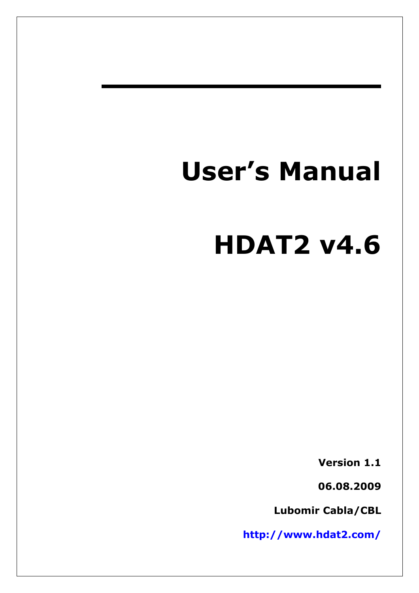# **User's Manual**

# **HDAT2 v4.6**

**Version 1.1**

**06.08.2009**

**Lubomir Cabla/CBL**

**<http://www.hdat2.com/>**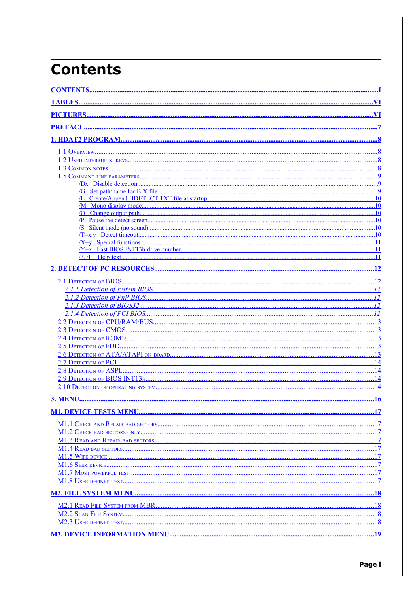## <span id="page-1-18"></span>**Contents**

<span id="page-1-17"></span><span id="page-1-16"></span><span id="page-1-15"></span><span id="page-1-14"></span><span id="page-1-13"></span><span id="page-1-12"></span><span id="page-1-11"></span><span id="page-1-10"></span><span id="page-1-9"></span><span id="page-1-8"></span><span id="page-1-7"></span><span id="page-1-6"></span><span id="page-1-5"></span><span id="page-1-4"></span><span id="page-1-3"></span><span id="page-1-2"></span><span id="page-1-1"></span><span id="page-1-0"></span>

|                                                                                                                                                                                                                                                         | .10 |
|---------------------------------------------------------------------------------------------------------------------------------------------------------------------------------------------------------------------------------------------------------|-----|
|                                                                                                                                                                                                                                                         | .10 |
|                                                                                                                                                                                                                                                         |     |
|                                                                                                                                                                                                                                                         | .10 |
|                                                                                                                                                                                                                                                         | .11 |
|                                                                                                                                                                                                                                                         | .11 |
|                                                                                                                                                                                                                                                         |     |
|                                                                                                                                                                                                                                                         |     |
|                                                                                                                                                                                                                                                         |     |
|                                                                                                                                                                                                                                                         |     |
|                                                                                                                                                                                                                                                         |     |
|                                                                                                                                                                                                                                                         |     |
|                                                                                                                                                                                                                                                         |     |
|                                                                                                                                                                                                                                                         |     |
|                                                                                                                                                                                                                                                         |     |
|                                                                                                                                                                                                                                                         |     |
|                                                                                                                                                                                                                                                         |     |
|                                                                                                                                                                                                                                                         | 14  |
|                                                                                                                                                                                                                                                         |     |
| 2.9 DETECTION OF BIOS INT13 <sub>H</sub> 2000 <b>MM</b> 23 - 2.9 DETECTION OF BIOS INT13 <sub>H</sub> 2000 MM 2000 MM 2000 MM 2000 MM 2000 MM 2000 MM 2000 MM 2000 MM 2000 MM 2000 MM 2000 MM 2000 MM 2000 MM 2000 MM 2000 MM 2000 MM 2000 MM 2000 MM 2 |     |
|                                                                                                                                                                                                                                                         |     |
|                                                                                                                                                                                                                                                         |     |
|                                                                                                                                                                                                                                                         |     |
|                                                                                                                                                                                                                                                         |     |
|                                                                                                                                                                                                                                                         |     |
|                                                                                                                                                                                                                                                         |     |
|                                                                                                                                                                                                                                                         |     |
|                                                                                                                                                                                                                                                         |     |
|                                                                                                                                                                                                                                                         |     |
|                                                                                                                                                                                                                                                         |     |
|                                                                                                                                                                                                                                                         |     |
|                                                                                                                                                                                                                                                         |     |
|                                                                                                                                                                                                                                                         |     |
|                                                                                                                                                                                                                                                         |     |
|                                                                                                                                                                                                                                                         |     |
|                                                                                                                                                                                                                                                         | .18 |
|                                                                                                                                                                                                                                                         |     |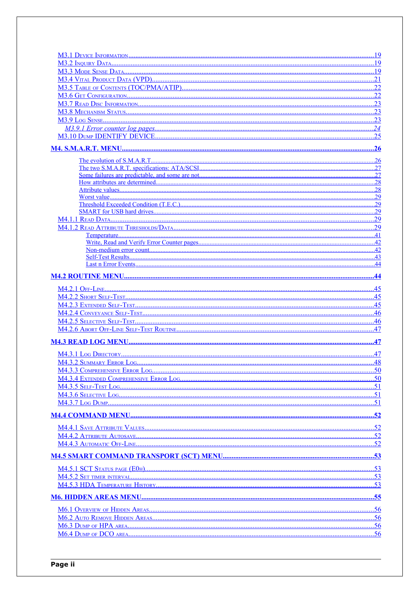| .23 |
|-----|
|     |
|     |
|     |
|     |
|     |
|     |
|     |
|     |
|     |
| .29 |
| .29 |
|     |
|     |
|     |
|     |
|     |
|     |
|     |
|     |
|     |
|     |
|     |
|     |
|     |
|     |
|     |
|     |
| .48 |
|     |
|     |
|     |
|     |
|     |
|     |
|     |
|     |
|     |
|     |
|     |
|     |
|     |
|     |
|     |
|     |
|     |
|     |
|     |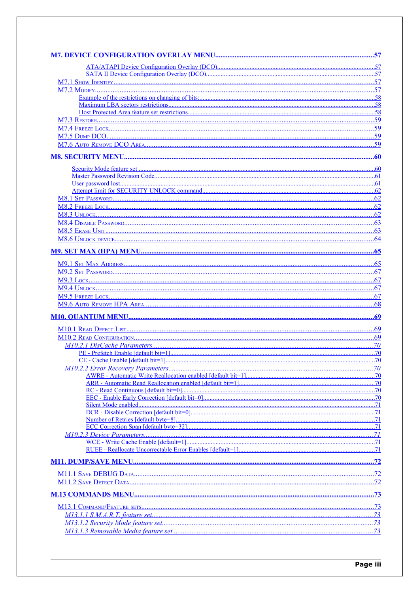| .58 |
|-----|
|     |
|     |
|     |
|     |
|     |
|     |
| .60 |
| .61 |
| .62 |
|     |
| .62 |
| .62 |
|     |
|     |
|     |
|     |
|     |
|     |
|     |
|     |
|     |
| .68 |
|     |
| .69 |
| .69 |
|     |
|     |
| .70 |
|     |
|     |
|     |
| .70 |
|     |
|     |
|     |
|     |
|     |
|     |
|     |
|     |
|     |
|     |
|     |
|     |
|     |
|     |
|     |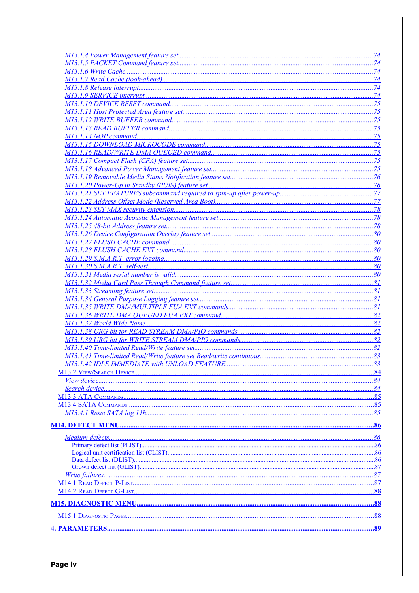|                              | 74          |
|------------------------------|-------------|
|                              |             |
|                              | 75          |
|                              | .75         |
|                              |             |
|                              |             |
|                              | .75         |
|                              |             |
|                              | .75         |
|                              | .75         |
|                              |             |
|                              |             |
|                              |             |
|                              |             |
|                              |             |
|                              |             |
|                              |             |
|                              |             |
|                              |             |
|                              |             |
|                              | .80         |
|                              |             |
|                              | .80         |
|                              |             |
|                              |             |
|                              |             |
|                              |             |
|                              |             |
|                              | 82          |
|                              |             |
|                              |             |
|                              |             |
|                              |             |
|                              | $\ldots 83$ |
|                              | .84         |
|                              |             |
|                              | 84          |
|                              |             |
|                              | 85          |
|                              | .85         |
|                              |             |
|                              |             |
|                              |             |
| Primary defect list (PLIST). | .86         |
|                              | .86         |
|                              |             |
|                              |             |
|                              |             |
|                              |             |
|                              |             |
|                              |             |
|                              |             |
|                              |             |
|                              |             |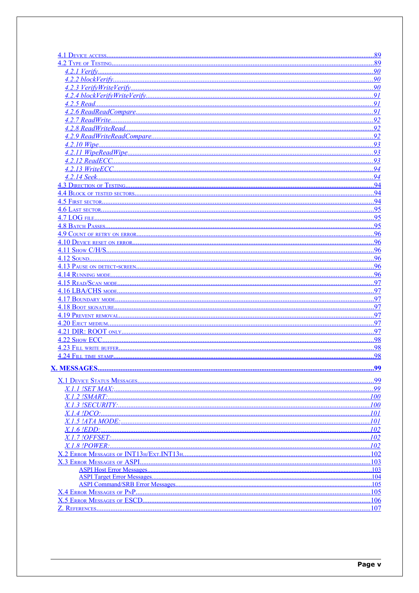<span id="page-5-36"></span><span id="page-5-35"></span><span id="page-5-34"></span><span id="page-5-33"></span><span id="page-5-32"></span><span id="page-5-31"></span><span id="page-5-30"></span><span id="page-5-29"></span><span id="page-5-28"></span><span id="page-5-27"></span><span id="page-5-26"></span><span id="page-5-25"></span><span id="page-5-24"></span><span id="page-5-23"></span><span id="page-5-22"></span><span id="page-5-21"></span><span id="page-5-20"></span><span id="page-5-19"></span><span id="page-5-18"></span><span id="page-5-17"></span><span id="page-5-16"></span><span id="page-5-15"></span><span id="page-5-14"></span><span id="page-5-13"></span><span id="page-5-12"></span><span id="page-5-11"></span><span id="page-5-10"></span><span id="page-5-9"></span><span id="page-5-8"></span><span id="page-5-7"></span><span id="page-5-6"></span><span id="page-5-5"></span><span id="page-5-4"></span><span id="page-5-3"></span><span id="page-5-2"></span><span id="page-5-1"></span><span id="page-5-0"></span>

|                                    | .89                       |
|------------------------------------|---------------------------|
|                                    | .89                       |
|                                    | 90                        |
|                                    | $\ldots \ldots \ldots 90$ |
|                                    | $\ldots$ .90              |
|                                    | 91                        |
|                                    | .91                       |
|                                    | 91                        |
|                                    | .92                       |
|                                    | 92                        |
|                                    | 92                        |
|                                    | 93                        |
|                                    | .93                       |
|                                    | 93                        |
|                                    | .94                       |
|                                    | 94                        |
|                                    | .94                       |
|                                    | .94                       |
|                                    | 94                        |
|                                    | 95                        |
|                                    | 95                        |
|                                    | 95                        |
|                                    | 96                        |
|                                    | 96                        |
|                                    | .96                       |
|                                    | 96                        |
|                                    | .96                       |
|                                    | .96                       |
|                                    | 97                        |
|                                    | 97                        |
|                                    | 97                        |
|                                    | .97                       |
|                                    | 97                        |
|                                    | .97                       |
|                                    | .97                       |
|                                    | 98                        |
|                                    | 98                        |
|                                    | 98                        |
|                                    |                           |
|                                    |                           |
|                                    | 99                        |
|                                    | .99                       |
|                                    |                           |
|                                    |                           |
|                                    | 101                       |
|                                    | 101                       |
|                                    |                           |
|                                    |                           |
|                                    |                           |
|                                    | .102                      |
| <b>X.3 ERROR MESSAGES OF ASPI.</b> | 103                       |
|                                    | .103<br>.104              |
|                                    |                           |
|                                    | .105                      |
|                                    |                           |
|                                    | $\dots$ 107               |
|                                    |                           |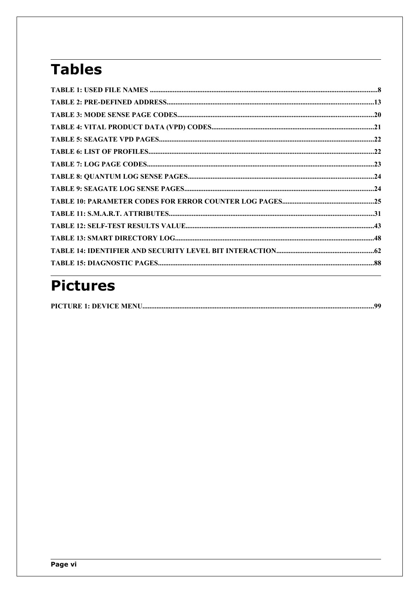## <span id="page-6-1"></span>**Tables**

## <span id="page-6-0"></span>**Pictures**

|--|--|--|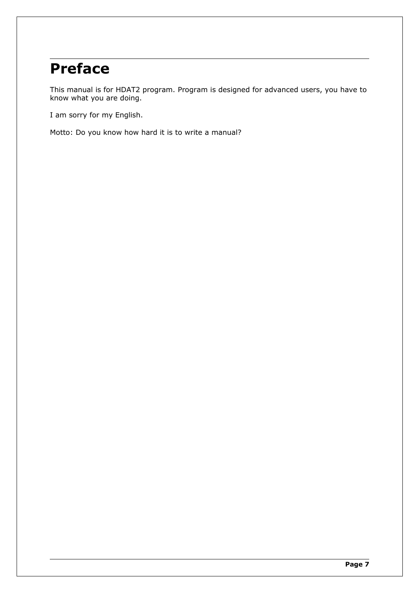## <span id="page-7-0"></span>**Preface**

This manual is for HDAT2 program. Program is designed for advanced users, you have to know what you are doing.

I am sorry for my English.

Motto: Do you know how hard it is to write a manual?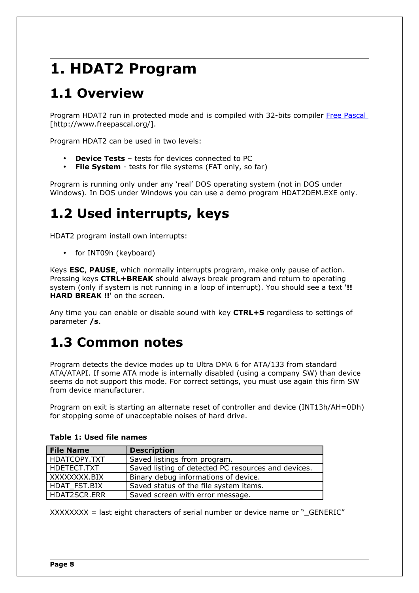## **1. HDAT2 Program**

## <span id="page-8-0"></span>**1.1 Overview**

Program HDAT2 run in protected mode and is compiled with 32-bits compiler [Free Pascal](http://www.freepascal.org/) [http://www.freepascal.org/].

Program HDAT2 can be used in two levels:

- **Device Tests** tests for devices connected to PC
- **File System** tests for file systems (FAT only, so far)

Program is running only under any 'real' DOS operating system (not in DOS under Windows). In DOS under Windows you can use a demo program HDAT2DEM.EXE only.

## **1.2 Used interrupts, keys**

HDAT2 program install own interrupts:

• for INT09h (keyboard)

Keys **ESC**, **PAUSE**, which normally interrupts program, make only pause of action. Pressing keys **CTRL+BREAK** should always break program and return to operating system (only if system is not running in a loop of interrupt). You should see a text '**!! HARD BREAK !!**' on the screen.

Any time you can enable or disable sound with key **CTRL+S** regardless to settings of parameter **/s**.

## **1.3 Common notes**

Program detects the device modes up to Ultra DMA 6 for ATA/133 from standard ATA/ATAPI. If some ATA mode is internally disabled (using a company SW) than device seems do not support this mode. For correct settings, you must use again this firm SW from device manufacturer.

Program on exit is starting an alternate reset of controller and device (INT13h/AH=0Dh) for stopping some of unacceptable noises of hard drive.

| <b>File Name</b> | <b>Description</b>                                  |
|------------------|-----------------------------------------------------|
| HDATCOPY.TXT     | Saved listings from program.                        |
| l HDETECT.TXT    | Saved listing of detected PC resources and devices. |
| XXXXXXXX.BIX     | Binary debug informations of device.                |
| HDAT FST.BIX     | Saved status of the file system items.              |
| HDAT2SCR.ERR     | Saved screen with error message.                    |

### **Table 1: Used file names**

 $XXXXXX =$  last eight characters of serial number or device name or " $GENERIC"$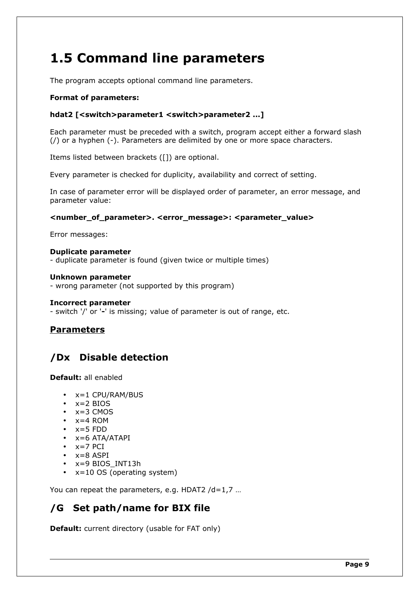## **1.5 Command line parameters**

The program accepts optional command line parameters.

### **Format of parameters:**

### **hdat2 [<switch>parameter1 <switch>parameter2 ...]**

Each parameter must be preceded with a switch, program accept either a forward slash (/) or a hyphen (-). Parameters are delimited by one or more space characters.

Items listed between brackets ([]) are optional.

Every parameter is checked for duplicity, availability and correct of setting.

In case of parameter error will be displayed order of parameter, an error message, and parameter value:

#### **<number\_of\_parameter>. <error\_message>: <parameter\_value>**

Error messages:

#### **Duplicate parameter**

- duplicate parameter is found (given twice or multiple times)

#### **Unknown parameter**

- wrong parameter (not supported by this program)

#### **Incorrect parameter**

- switch '/' or '**-**' is missing; value of parameter is out of range, etc.

### **Parameters**

### <span id="page-9-1"></span>**/Dx Disable detection**

**Default:** all enabled

- $x=1$  CPU/RAM/BUS
- $\bullet$   $x=2$  BIOS
- $\cdot$   $x=3$  CMOS
- $x=4$  ROM
- $x=5$  FDD
- x=6 ATA/ATAPI
- $\bullet$   $x=7$  PCI
- $\bullet$   $x=8$  ASPI
- x=9 BIOS INT13h
- $x=10$  OS (operating system)

You can repeat the parameters, e.g. HDAT2 /d=1,7 …

### <span id="page-9-0"></span>**/G Set path/name for BIX file**

**Default:** current directory (usable for FAT only)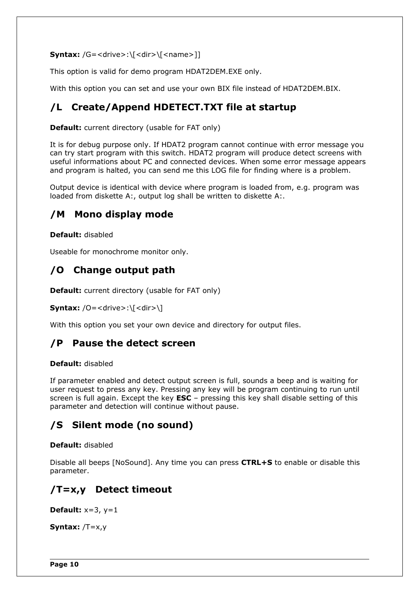```
Syntax: /G = \langle drive \rangle : \langle \langle dir \rangle \langle \langle name \rangle]
```
This option is valid for demo program HDAT2DEM.EXE only.

With this option you can set and use your own BIX file instead of HDAT2DEM.BIX.

### <span id="page-10-5"></span>**/L Create/Append HDETECT.TXT file at startup**

**Default:** current directory (usable for FAT only)

It is for debug purpose only. If HDAT2 program cannot continue with error message you can try start program with this switch. HDAT2 program will produce detect screens with useful informations about PC and connected devices. When some error message appears and program is halted, you can send me this LOG file for finding where is a problem.

Output device is identical with device where program is loaded from, e.g. program was loaded from diskette A:, output log shall be written to diskette A:.

### <span id="page-10-4"></span>**/M Mono display mode**

**Default:** disabled

Useable for monochrome monitor only.

### <span id="page-10-3"></span>**/O Change output path**

**Default:** current directory (usable for FAT only)

**Syntax:**  $/O = <$ drive>:\ ${ <$ dir>\ ${ }$ 

With this option you set your own device and directory for output files.

### <span id="page-10-2"></span>**/P Pause the detect screen**

### **Default:** disabled

If parameter enabled and detect output screen is full, sounds a beep and is waiting for user request to press any key. Pressing any key will be program continuing to run until screen is full again. Except the key **ESC** – pressing this key shall disable setting of this parameter and detection will continue without pause.

### <span id="page-10-1"></span>**/S Silent mode (no sound)**

**Default:** disabled

Disable all beeps [NoSound]. Any time you can press **CTRL+S** to enable or disable this parameter.

### <span id="page-10-0"></span>**/T=x,y Detect timeout**

**Default:** x=3, y=1

**Syntax:** /T=x,y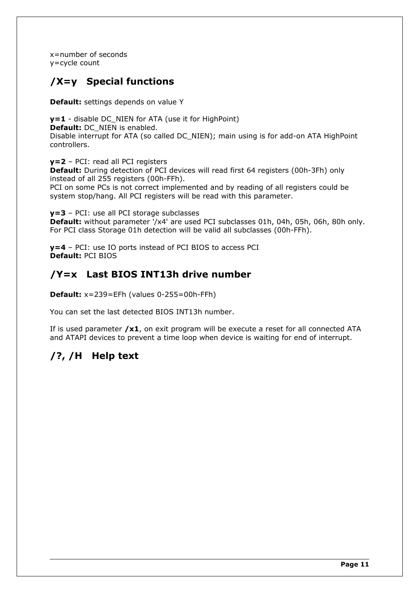x=number of seconds y=cycle count

### <span id="page-11-2"></span>**/X=y Special functions**

**Default:** settings depends on value Y

**y=1** - disable DC\_NIEN for ATA (use it for HighPoint) **Default:** DC\_NIEN is enabled. Disable interrupt for ATA (so called DC\_NIEN); main using is for add-on ATA HighPoint controllers.

**y=2** – PCI: read all PCI registers

**Default:** During detection of PCI devices will read first 64 registers (00h-3Fh) only instead of all 255 registers (00h-FFh).

PCI on some PCs is not correct implemented and by reading of all registers could be system stop/hang. All PCI registers will be read with this parameter.

**y=3** – PCI: use all PCI storage subclasses **Default:** without parameter /x4' are used PCI subclasses 01h, 04h, 05h, 06h, 80h only. For PCI class Storage 01h detection will be valid all subclasses (00h-FFh).

**y=4** – PCI: use IO ports instead of PCI BIOS to access PCI **Default:** PCI BIOS

### <span id="page-11-1"></span>**/Y=x Last BIOS INT13h drive number**

**Default:** x=239=EFh (values 0-255=00h-FFh)

You can set the last detected BIOS INT13h number.

If is used parameter **/x1**, on exit program will be execute a reset for all connected ATA and ATAPI devices to prevent a time loop when device is waiting for end of interrupt.

### <span id="page-11-0"></span>**/?, /H Help text**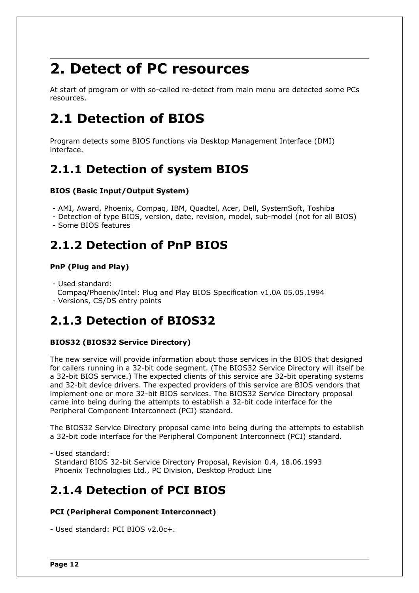## **2. Detect of PC resources**

At start of program or with so-called re-detect from main menu are detected some PCs resources.

## **2.1 Detection of BIOS**

Program detects some BIOS functions via Desktop Management Interface (DMI) interface.

### **2.1.1 Detection of system BIOS**

### **BIOS (Basic Input/Output System)**

- AMI, Award, Phoenix, Compaq, IBM, Quadtel, Acer, Dell, SystemSoft, Toshiba
- Detection of type BIOS, version, date, revision, model, sub-model (not for all BIOS)
- Some BIOS features

### <span id="page-12-0"></span>**2.1.2 Detection of PnP BIOS**

### **PnP (Plug and Play)**

- Used standard:
- Compaq/Phoenix/Intel: Plug and Play BIOS Specification v1.0A 05.05.1994
- Versions, CS/DS entry points

### **2.1.3 Detection of BIOS32**

### **BIOS32 (BIOS32 Service Directory)**

The new service will provide information about those services in the BIOS that designed for callers running in a 32-bit code segment. (The BIOS32 Service Directory will itself be a 32-bit BIOS service.) The expected clients of this service are 32-bit operating systems and 32-bit device drivers. The expected providers of this service are BIOS vendors that implement one or more 32-bit BIOS services. The BIOS32 Service Directory proposal came into being during the attempts to establish a 32-bit code interface for the Peripheral Component Interconnect (PCI) standard.

The BIOS32 Service Directory proposal came into being during the attempts to establish a 32-bit code interface for the Peripheral Component Interconnect (PCI) standard.

- Used standard: Standard BIOS 32-bit Service Directory Proposal, Revision 0.4, 18.06.1993 Phoenix Technologies Ltd., PC Division, Desktop Product Line

### **2.1.4 Detection of PCI BIOS**

### **PCI (Peripheral Component Interconnect)**

- Used standard: PCI BIOS v2.0c+.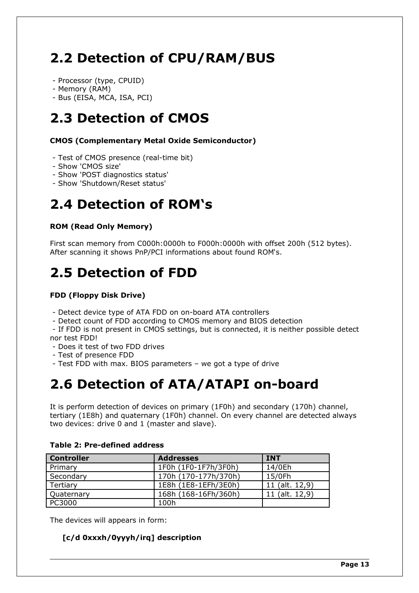## <span id="page-13-0"></span>**2.2 Detection of CPU/RAM/BUS**

- Processor (type, CPUID)
- Memory (RAM)

- Bus (EISA, MCA, ISA, PCI)

### **2.3 Detection of CMOS**

**CMOS (Complementary Metal Oxide Semiconductor)**

- Test of CMOS presence (real-time bit)
- Show 'CMOS size'
- Show 'POST diagnostics status'
- Show 'Shutdown/Reset status'

## **2.4 Detection of ROM's**

### **ROM (Read Only Memory)**

First scan memory from C000h:0000h to F000h:0000h with offset 200h (512 bytes). After scanning it shows PnP/PCI informations about found ROM's.

## **2.5 Detection of FDD**

### **FDD (Floppy Disk Drive)**

- Detect device type of ATA FDD on on-board ATA controllers
- Detect count of FDD according to CMOS memory and BIOS detection

 - If FDD is not present in CMOS settings, but is connected, it is neither possible detect nor test FDD!

- Does it test of two FDD drives
- Test of presence FDD
- Test FDD with max. BIOS parameters we got a type of drive

## **2.6 Detection of ATA/ATAPI on-board**

It is perform detection of devices on primary (1F0h) and secondary (170h) channel, tertiary (1E8h) and quaternary (1F0h) channel. On every channel are detected always two devices: drive 0 and 1 (master and slave).

| <b>Controller</b> | <b>Addresses</b>     | <b>INT</b>     |
|-------------------|----------------------|----------------|
| Primary           | 1F0h (1F0-1F7h/3F0h) | 14/0Eh         |
| Secondary         | 170h (170-177h/370h) | 15/0Fh         |
| Tertiary          | 1E8h (1E8-1EFh/3E0h) | 11 (alt. 12,9) |
| Quaternary        | 168h (168-16Fh/360h) | 11 (alt. 12,9) |
| PC3000            | 100h                 |                |

### **Table 2: Pre-defined address**

The devices will appears in form:

### **[c/d 0xxxh/0yyyh/irq] description**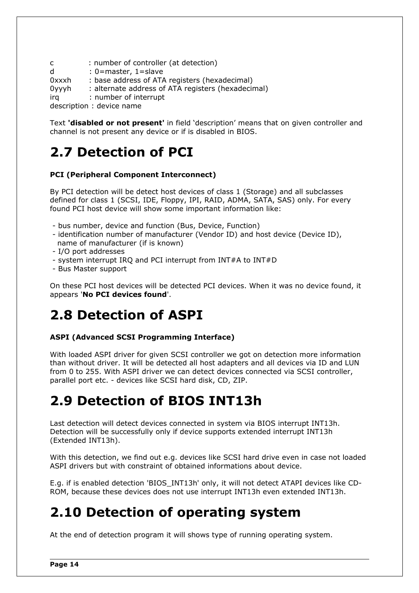c : number of controller (at detection) d : 0=master, 1=slave 0xxxh : base address of ATA registers (hexadecimal) 0yyyh : alternate address of ATA registers (hexadecimal) irq : number of interrupt description : device name

Text **'disabled or not present'** in field 'description' means that on given controller and channel is not present any device or if is disabled in BIOS.

## **2.7 Detection of PCI**

### **PCI (Peripheral Component Interconnect)**

By PCI detection will be detect host devices of class 1 (Storage) and all subclasses defined for class 1 (SCSI, IDE, Floppy, IPI, RAID, ADMA, SATA, SAS) only. For every found PCI host device will show some important information like:

- bus number, device and function (Bus, Device, Function)
- identification number of manufacturer (Vendor ID) and host device (Device ID), name of manufacturer (if is known)
- I/O port addresses
- system interrupt IRQ and PCI interrupt from INT#A to INT#D
- Bus Master support

On these PCI host devices will be detected PCI devices. When it was no device found, it appears '**No PCI devices found**'.

### **2.8 Detection of ASPI**

### **ASPI (Advanced SCSI Programming Interface)**

With loaded ASPI driver for given SCSI controller we got on detection more information than without driver. It will be detected all host adapters and all devices via ID and LUN from 0 to 255. With ASPI driver we can detect devices connected via SCSI controller, parallel port etc. - devices like SCSI hard disk, CD, ZIP.

## **2.9 Detection of BIOS INT13h**

Last detection will detect devices connected in system via BIOS interrupt INT13h. Detection will be successfully only if device supports extended interrupt INT13h (Extended INT13h).

With this detection, we find out e.g. devices like SCSI hard drive even in case not loaded ASPI drivers but with constraint of obtained informations about device.

E.g. if is enabled detection 'BIOS\_INT13h' only, it will not detect ATAPI devices like CD-ROM, because these devices does not use interrupt INT13h even extended INT13h.

### **2.10 Detection of operating system**

At the end of detection program it will shows type of running operating system.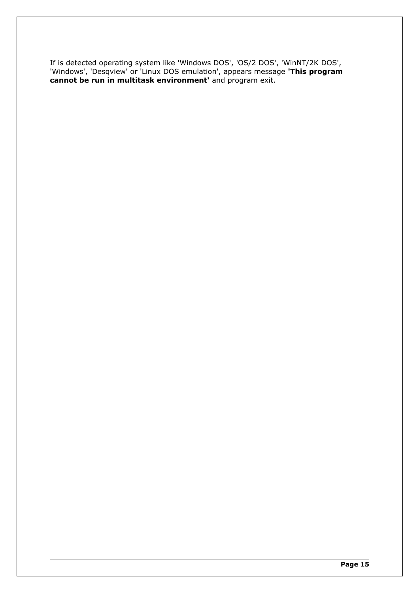If is detected operating system like 'Windows DOS', 'OS/2 DOS', 'WinNT/2K DOS', 'Windows', 'Desqview' or 'Linux DOS emulation', appears message **'This program cannot be run in multitask environment'** and program exit.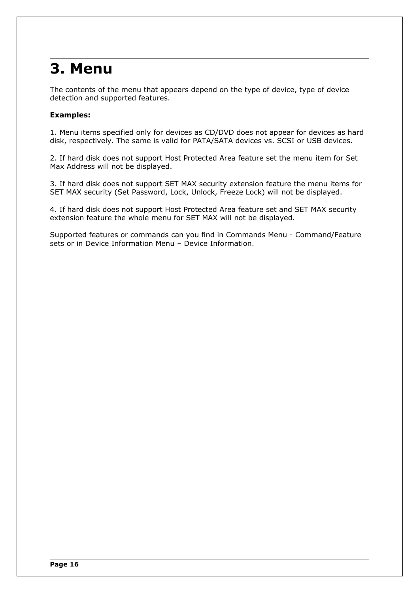## **3. Menu**

The contents of the menu that appears depend on the type of device, type of device detection and supported features.

### **Examples:**

1. Menu items specified only for devices as CD/DVD does not appear for devices as hard disk, respectively. The same is valid for PATA/SATA devices vs. SCSI or USB devices.

2. If hard disk does not support Host Protected Area feature set the menu item for Set Max Address will not be displayed.

3. If hard disk does not support SET MAX security extension feature the menu items for SET MAX security (Set Password, Lock, Unlock, Freeze Lock) will not be displayed.

4. If hard disk does not support Host Protected Area feature set and SET MAX security extension feature the whole menu for SET MAX will not be displayed.

Supported features or commands can you find in Commands Menu - Command/Feature sets or in Device Information Menu – Device Information.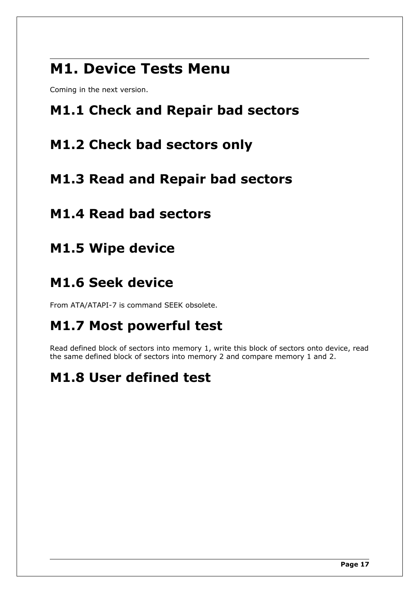## <span id="page-17-8"></span>**M1. Device Tests Menu**

Coming in the next version.

## <span id="page-17-7"></span>**M1.1 Check and Repair bad sectors**

### <span id="page-17-6"></span>**M1.2 Check bad sectors only**

### <span id="page-17-5"></span>**M1.3 Read and Repair bad sectors**

## <span id="page-17-4"></span>**M1.4 Read bad sectors**

<span id="page-17-3"></span>**M1.5 Wipe device**

## <span id="page-17-2"></span>**M1.6 Seek device**

From ATA/ATAPI-7 is command SEEK obsolete.

## <span id="page-17-1"></span>**M1.7 Most powerful test**

Read defined block of sectors into memory 1, write this block of sectors onto device, read the same defined block of sectors into memory 2 and compare memory 1 and 2.

## <span id="page-17-0"></span>**M1.8 User defined test**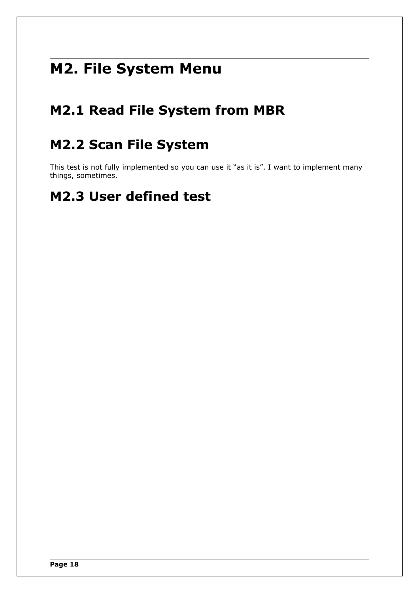## <span id="page-18-3"></span>**M2. File System Menu**

## <span id="page-18-2"></span>**M2.1 Read File System from MBR**

## <span id="page-18-1"></span>**M2.2 Scan File System**

This test is not fully implemented so you can use it "as it is". I want to implement many things, sometimes.

## <span id="page-18-0"></span>**M2.3 User defined test**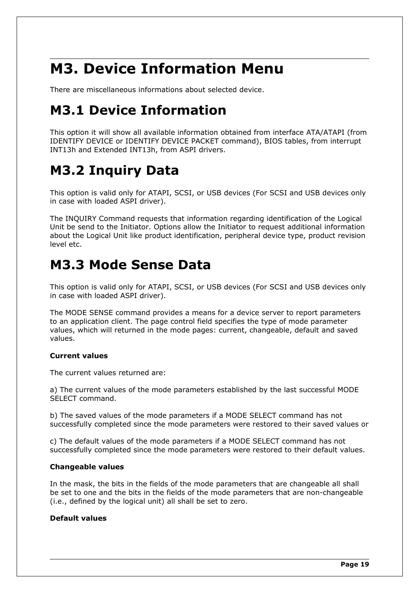## <span id="page-19-0"></span>**M3. Device Information Menu**

There are miscellaneous informations about selected device.

## <span id="page-19-3"></span>**M3.1 Device Information**

This option it will show all available information obtained from interface ATA/ATAPI (from IDENTIFY DEVICE or IDENTIFY DEVICE PACKET command), BIOS tables, from interrupt INT13h and Extended INT13h, from ASPI drivers.

## <span id="page-19-2"></span>**M3.2 Inquiry Data**

This option is valid only for ATAPI, SCSI, or USB devices (For SCSI and USB devices only in case with loaded ASPI driver).

The INQUIRY Command requests that information regarding identification of the Logical Unit be send to the Initiator. Options allow the Initiator to request additional information about the Logical Unit like product identification, peripheral device type, product revision level etc.

## <span id="page-19-1"></span>**M3.3 Mode Sense Data**

This option is valid only for ATAPI, SCSI, or USB devices (For SCSI and USB devices only in case with loaded ASPI driver).

The MODE SENSE command provides a means for a device server to report parameters to an application client. The page control field specifies the type of mode parameter values, which will returned in the mode pages: current, changeable, default and saved values.

### **Current values**

The current values returned are:

a) The current values of the mode parameters established by the last successful MODE SELECT command.

b) The saved values of the mode parameters if a MODE SELECT command has not successfully completed since the mode parameters were restored to their saved values or

c) The default values of the mode parameters if a MODE SELECT command has not successfully completed since the mode parameters were restored to their default values.

### **Changeable values**

In the mask, the bits in the fields of the mode parameters that are changeable all shall be set to one and the bits in the fields of the mode parameters that are non-changeable (i.e., defined by the logical unit) all shall be set to zero.

### **Default values**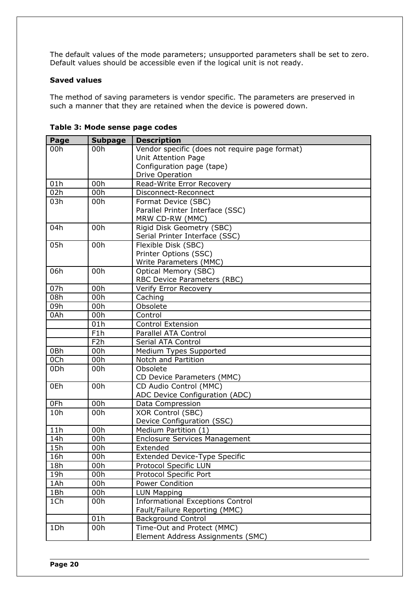The default values of the mode parameters; unsupported parameters shall be set to zero. Default values should be accessible even if the logical unit is not ready.

### **Saved values**

The method of saving parameters is vendor specific. The parameters are preserved in such a manner that they are retained when the device is powered down.

| Page | <b>Subpage</b>   | <b>Description</b>                             |
|------|------------------|------------------------------------------------|
| 00h  | 00h              | Vendor specific (does not require page format) |
|      |                  | <b>Unit Attention Page</b>                     |
|      |                  | Configuration page (tape)                      |
|      |                  | <b>Drive Operation</b>                         |
| 01h  | 00h              | Read-Write Error Recovery                      |
| 02h  | 00h              | Disconnect-Reconnect                           |
| 03h  | 00h              | Format Device (SBC)                            |
|      |                  | Parallel Printer Interface (SSC)               |
|      |                  | MRW CD-RW (MMC)                                |
| 04h  | 00h              | Rigid Disk Geometry (SBC)                      |
|      |                  | Serial Printer Interface (SSC)                 |
| 05h  | 00h              | Flexible Disk (SBC)                            |
|      |                  | Printer Options (SSC)                          |
|      |                  | Write Parameters (MMC)                         |
| 06h  | 00h              | <b>Optical Memory (SBC)</b>                    |
|      |                  | RBC Device Parameters (RBC)                    |
| 07h  | 00h              | Verify Error Recovery                          |
| 08h  | 00h              | Caching                                        |
| 09h  | 00h              | Obsolete                                       |
| 0Ah  | 00h              | Control                                        |
|      | 01h              | <b>Control Extension</b>                       |
|      | F1h              | Parallel ATA Control                           |
|      | F <sub>2</sub> h | Serial ATA Control                             |
| 0Bh  | 00h              | Medium Types Supported                         |
| 0Ch  | 00h              | Notch and Partition                            |
| 0Dh  | 00h              | Obsolete                                       |
|      |                  | CD Device Parameters (MMC)                     |
| 0Eh  | 00h              | CD Audio Control (MMC)                         |
|      |                  | ADC Device Configuration (ADC)                 |
| 0Fh  | 00h              | Data Compression                               |
| 10h  | 00h              | XOR Control (SBC)                              |
|      |                  | Device Configuration (SSC)                     |
| 11h  | 00h              | Medium Partition (1)                           |
| 14h  | 00h              | <b>Enclosure Services Management</b>           |
| 15h  | 00h              | Extended                                       |
| 16h  | 00h              | <b>Extended Device-Type Specific</b>           |
| 18h  | 00h              | Protocol Specific LUN                          |
| 19h  | 00h              | Protocol Specific Port                         |
| 1Ah  | 00h              | <b>Power Condition</b>                         |
| 1Bh  | 00h              | <b>LUN Mapping</b>                             |
| 1Ch  | 00h              | <b>Informational Exceptions Control</b>        |
|      |                  | Fault/Failure Reporting (MMC)                  |
|      | 01h              | <b>Background Control</b>                      |
| 1Dh  | 00h              | Time-Out and Protect (MMC)                     |
|      |                  | Element Address Assignments (SMC)              |

| Table 3: Mode sense page codes |  |  |  |  |
|--------------------------------|--|--|--|--|
|--------------------------------|--|--|--|--|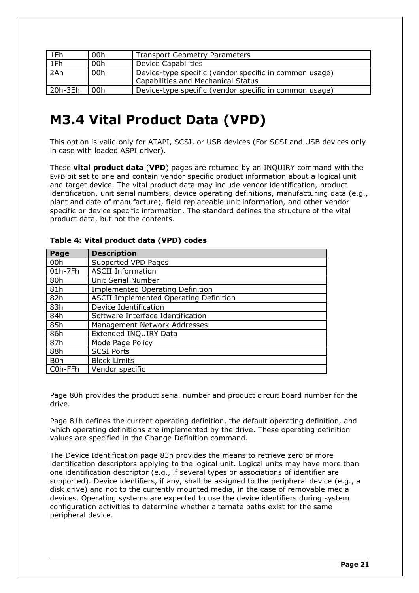| 1Eh     | 00h | <b>Transport Geometry Parameters</b>                                                         |
|---------|-----|----------------------------------------------------------------------------------------------|
| 1Fh     | 00h | <b>Device Capabilities</b>                                                                   |
| 2Ah     | 00h | Device-type specific (vendor specific in common usage)<br>Capabilities and Mechanical Status |
| 20h-3Eh | 00h | Device-type specific (vendor specific in common usage)                                       |

## <span id="page-21-0"></span>**M3.4 Vital Product Data (VPD)**

This option is valid only for ATAPI, SCSI, or USB devices (For SCSI and USB devices only in case with loaded ASPI driver).

These **vital product data** (**VPD**) pages are returned by an INQUIRY command with the EVPD bit set to one and contain vendor specific product information about a logical unit and target device. The vital product data may include vendor identification, product identification, unit serial numbers, device operating definitions, manufacturing data (e.g., plant and date of manufacture), field replaceable unit information, and other vendor specific or device specific information. The standard defines the structure of the vital product data, but not the contents.

| Page             | <b>Description</b>                            |  |
|------------------|-----------------------------------------------|--|
| 00h              | Supported VPD Pages                           |  |
| $01h-7Fh$        | <b>ASCII Information</b>                      |  |
| 80h              | Unit Serial Number                            |  |
| 81h              | <b>Implemented Operating Definition</b>       |  |
| 82h              | <b>ASCII Implemented Operating Definition</b> |  |
| 83h              | Device Identification                         |  |
| 84h              | Software Interface Identification             |  |
| 85h              | Management Network Addresses                  |  |
| 86h              | Extended INQUIRY Data                         |  |
| 87h              | Mode Page Policy                              |  |
| 88h              | <b>SCSI Ports</b>                             |  |
| B <sub>0</sub> h | <b>Block Limits</b>                           |  |
| C0h-FFh          | Vendor specific                               |  |

### **Table 4: Vital product data (VPD) codes**

Page 80h provides the product serial number and product circuit board number for the drive.

Page 81h defines the current operating definition, the default operating definition, and which operating definitions are implemented by the drive. These operating definition values are specified in the Change Definition command.

The Device Identification page 83h provides the means to retrieve zero or more identification descriptors applying to the logical unit. Logical units may have more than one identification descriptor (e.g., if several types or associations of identifier are supported). Device identifiers, if any, shall be assigned to the peripheral device (e.g., a disk drive) and not to the currently mounted media, in the case of removable media devices. Operating systems are expected to use the device identifiers during system configuration activities to determine whether alternate paths exist for the same peripheral device.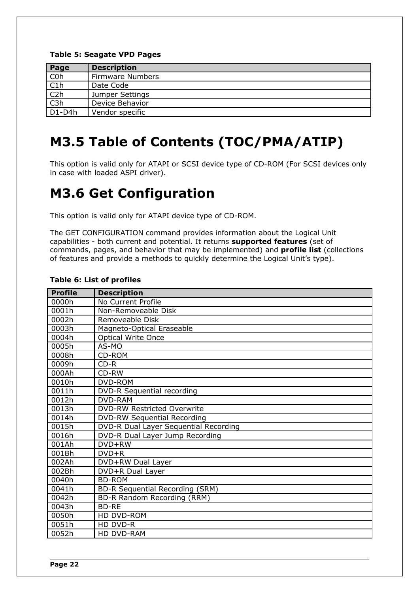### **Table 5: Seagate VPD Pages**

| Page              | <b>Description</b>      |  |
|-------------------|-------------------------|--|
| C <sub>Oh</sub>   | <b>Firmware Numbers</b> |  |
| $\frac{C1h}{C2h}$ | Date Code               |  |
|                   | Jumper Settings         |  |
| $\overline{C3h}$  | Device Behavior         |  |
| $D1-D4h$          | Vendor specific         |  |

## <span id="page-22-1"></span>**M3.5 Table of Contents (TOC/PMA/ATIP)**

This option is valid only for ATAPI or SCSI device type of CD-ROM (For SCSI devices only in case with loaded ASPI driver).

## <span id="page-22-0"></span>**M3.6 Get Configuration**

This option is valid only for ATAPI device type of CD-ROM.

The GET CONFIGURATION command provides information about the Logical Unit capabilities - both current and potential. It returns **supported features** (set of commands, pages, and behavior that may be implemented) and **profile list** (collections of features and provide a methods to quickly determine the Logical Unit's type).

| <b>Profile</b> | <b>Description</b>                    |  |  |
|----------------|---------------------------------------|--|--|
| 0000h          | No Current Profile                    |  |  |
| 0001h          | Non-Removeable Disk                   |  |  |
| 0002h          | Removeable Disk                       |  |  |
| 0003h          | Magneto-Optical Eraseable             |  |  |
| 0004h          | <b>Optical Write Once</b>             |  |  |
| 0005h          | AS-MO                                 |  |  |
| 0008h          | CD-ROM                                |  |  |
| 0009h          | $CD-R$                                |  |  |
| 000Ah          | CD-RW                                 |  |  |
| 0010h          | <b>DVD-ROM</b>                        |  |  |
| 0011h          | <b>DVD-R Sequential recording</b>     |  |  |
| 0012h          | <b>DVD-RAM</b>                        |  |  |
| 0013h          | <b>DVD-RW Restricted Overwrite</b>    |  |  |
| 0014h          | <b>DVD-RW Sequential Recording</b>    |  |  |
| 0015h          | DVD-R Dual Layer Sequential Recording |  |  |
| 0016h          | DVD-R Dual Layer Jump Recording       |  |  |
| 001Ah          | DVD+RW                                |  |  |
| 001Bh          | $DVD+R$                               |  |  |
| 002Ah          | DVD+RW Dual Layer                     |  |  |
| 002Bh          | DVD+R Dual Layer                      |  |  |
| 0040h          | <b>BD-ROM</b>                         |  |  |
| 0041h          | BD-R Sequential Recording (SRM)       |  |  |
| 0042h          | BD-R Random Recording (RRM)           |  |  |
| 0043h          | <b>BD-RE</b>                          |  |  |
| 0050h          | HD DVD-ROM                            |  |  |
| 0051h          | HD DVD-R                              |  |  |
| 0052h          | HD DVD-RAM                            |  |  |

#### **Table 6: List of profiles**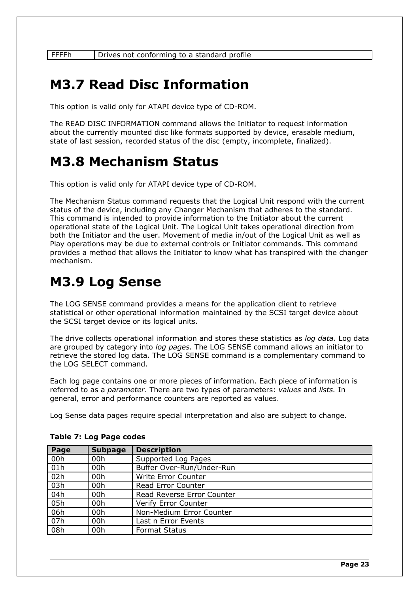FFFFh | Drives not conforming to a standard profile

## <span id="page-23-2"></span>**M3.7 Read Disc Information**

This option is valid only for ATAPI device type of CD-ROM.

The READ DISC INFORMATION command allows the Initiator to request information about the currently mounted disc like formats supported by device, erasable medium, state of last session, recorded status of the disc (empty, incomplete, finalized).

### <span id="page-23-1"></span>**M3.8 Mechanism Status**

This option is valid only for ATAPI device type of CD-ROM.

The Mechanism Status command requests that the Logical Unit respond with the current status of the device, including any Changer Mechanism that adheres to the standard. This command is intended to provide information to the Initiator about the current operational state of the Logical Unit. The Logical Unit takes operational direction from both the Initiator and the user. Movement of media in/out of the Logical Unit as well as Play operations may be due to external controls or Initiator commands. This command provides a method that allows the Initiator to know what has transpired with the changer mechanism.

## <span id="page-23-0"></span>**M3.9 Log Sense**

The LOG SENSE command provides a means for the application client to retrieve statistical or other operational information maintained by the SCSI target device about the SCSI target device or its logical units.

The drive collects operational information and stores these statistics as *log data*. Log data are grouped by category into *log pages.* The LOG SENSE command allows an initiator to retrieve the stored log data. The LOG SENSE command is a complementary command to the LOG SELECT command.

Each log page contains one or more pieces of information. Each piece of information is referred to as a *parameter*. There are two types of parameters: *values* and *lists.* In general, error and performance counters are reported as values.

Log Sense data pages require special interpretation and also are subject to change.

| Page | <b>Subpage</b> | <b>Description</b>         |  |
|------|----------------|----------------------------|--|
| 00h  | 00h            | Supported Log Pages        |  |
| 01h  | 00h            | Buffer Over-Run/Under-Run  |  |
| 02h  | 00h            | Write Error Counter        |  |
| 03h  | 00h            | Read Error Counter         |  |
| 04h  | 00h            | Read Reverse Error Counter |  |
| 05h  | 00h            | Verify Error Counter       |  |
| 06h  | 00h            | Non-Medium Error Counter   |  |
| 07h  | 00h            | Last n Error Events        |  |
| 08h  | 00h            | <b>Format Status</b>       |  |

### **Table 7: Log Page codes**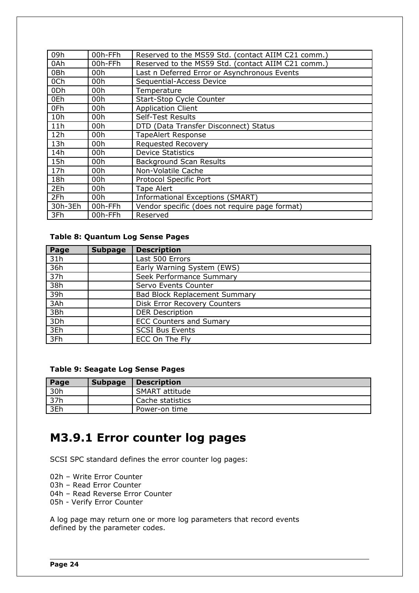| 09h             | 00h-FFh | Reserved to the MS59 Std. (contact AIIM C21 comm.) |  |  |
|-----------------|---------|----------------------------------------------------|--|--|
| 0Ah             | 00h-FFh | Reserved to the MS59 Std. (contact AIIM C21 comm.) |  |  |
| 0Bh             | 00h     | Last n Deferred Error or Asynchronous Events       |  |  |
| 0Ch             | 00h     | Sequential-Access Device                           |  |  |
| 0 <sub>Dh</sub> | 00h     | Temperature                                        |  |  |
| 0Eh             | 00h     | Start-Stop Cycle Counter                           |  |  |
| 0Fh             | 00h     | <b>Application Client</b>                          |  |  |
| 10h             | 00h     | <b>Self-Test Results</b>                           |  |  |
| 11h             | 00h     | DTD (Data Transfer Disconnect) Status              |  |  |
| 12h             | 00h     | <b>TapeAlert Response</b>                          |  |  |
| 13h             | 00h     | <b>Requested Recovery</b>                          |  |  |
| 14h             | 00h     | <b>Device Statistics</b>                           |  |  |
| 15h             | 00h     | <b>Background Scan Results</b>                     |  |  |
| 17h             | 00h     | Non-Volatile Cache                                 |  |  |
| 18h             | 00h     | Protocol Specific Port                             |  |  |
| 2Eh             | 00h     | Tape Alert                                         |  |  |
| 2Fh             | 00h     | Informational Exceptions (SMART)                   |  |  |
| 30h-3Eh         | 00h-FFh | Vendor specific (does not require page format)     |  |  |
| 3Fh             | 00h-FFh | Reserved                                           |  |  |

### **Table 8: Quantum Log Sense Pages**

| Page | <b>Subpage</b> | <b>Description</b>                   |  |  |
|------|----------------|--------------------------------------|--|--|
| 31h  |                | Last 500 Errors                      |  |  |
| 36h  |                | Early Warning System (EWS)           |  |  |
| 37h  |                | Seek Performance Summary             |  |  |
| 38h  |                | Servo Events Counter                 |  |  |
| 39h  |                | <b>Bad Block Replacement Summary</b> |  |  |
| 3Ah  |                | <b>Disk Error Recovery Counters</b>  |  |  |
| 3Bh  |                | <b>DER Description</b>               |  |  |
| 3Dh  |                | <b>ECC Counters and Sumary</b>       |  |  |
| 3Eh  |                | <b>SCSI Bus Events</b>               |  |  |
| 3Fh  |                | ECC On The Fly                       |  |  |

### **Table 9: Seagate Log Sense Pages**

| Page | <b>Subpage</b> | <b>Description</b> |
|------|----------------|--------------------|
| 30h  |                | SMART attitude     |
| 37h  |                | Cache statistics   |
| 3Eh  |                | Power-on time      |

### <span id="page-24-0"></span>**M3.9.1 Error counter log pages**

SCSI SPC standard defines the error counter log pages:

02h – Write Error Counter

03h – Read Error Counter

04h – Read Reverse Error Counter

05h - Verify Error Counter

A log page may return one or more log parameters that record events defined by the parameter codes.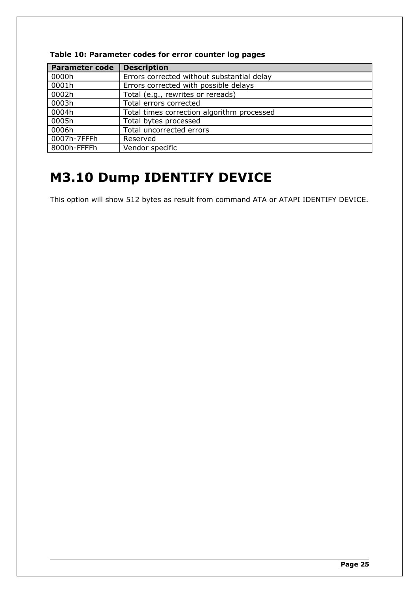| <b>Parameter code</b> | <b>Description</b>                         |  |
|-----------------------|--------------------------------------------|--|
| 0000h                 | Errors corrected without substantial delay |  |
| 0001h                 | Errors corrected with possible delays      |  |
| 0002h                 | Total (e.g., rewrites or rereads)          |  |
| 0003h                 | Total errors corrected                     |  |
| 0004h                 | Total times correction algorithm processed |  |
| 0005h                 | Total bytes processed                      |  |
| 0006h                 | Total uncorrected errors                   |  |
| 0007h-7FFFh           | Reserved                                   |  |
| 8000h-FFFFh           | Vendor specific                            |  |

### **Table 10: Parameter codes for error counter log pages**

## <span id="page-25-0"></span>**M3.10 Dump IDENTIFY DEVICE**

This option will show 512 bytes as result from command ATA or ATAPI IDENTIFY DEVICE.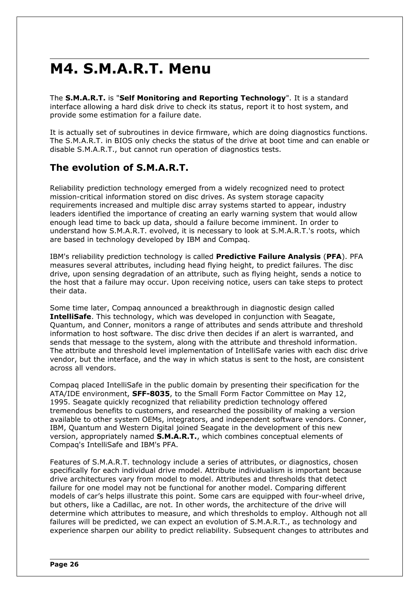## <span id="page-26-1"></span>**M4. S.M.A.R.T. Menu**

The **S.M.A.R.T.** is "**Self Monitoring and Reporting Technology**". It is a standard interface allowing a hard disk drive to check its status, report it to host system, and provide some estimation for a failure date.

It is actually set of subroutines in device firmware, which are doing diagnostics functions. The S.M.A.R.T. in BIOS only checks the status of the drive at boot time and can enable or disable S.M.A.R.T., but cannot run operation of diagnostics tests.

### <span id="page-26-0"></span>**The evolution of S.M.A.R.T.**

Reliability prediction technology emerged from a widely recognized need to protect mission-critical information stored on disc drives. As system storage capacity requirements increased and multiple disc array systems started to appear, industry leaders identified the importance of creating an early warning system that would allow enough lead time to back up data, should a failure become imminent. In order to understand how S.M.A.R.T. evolved, it is necessary to look at S.M.A.R.T.'s roots, which are based in technology developed by IBM and Compaq.

IBM's reliability prediction technology is called **Predictive Failure Analysis** (**PFA**). PFA measures several attributes, including head flying height, to predict failures. The disc drive, upon sensing degradation of an attribute, such as flying height, sends a notice to the host that a failure may occur. Upon receiving notice, users can take steps to protect their data.

Some time later, Compaq announced a breakthrough in diagnostic design called **IntelliSafe**. This technology, which was developed in conjunction with Seagate, Quantum, and Conner, monitors a range of attributes and sends attribute and threshold information to host software. The disc drive then decides if an alert is warranted, and sends that message to the system, along with the attribute and threshold information. The attribute and threshold level implementation of IntelliSafe varies with each disc drive vendor, but the interface, and the way in which status is sent to the host, are consistent across all vendors.

Compaq placed IntelliSafe in the public domain by presenting their specification for the ATA/IDE environment, **SFF-8035**, to the Small Form Factor Committee on May 12, 1995. Seagate quickly recognized that reliability prediction technology offered tremendous benefits to customers, and researched the possibility of making a version available to other system OEMs, integrators, and independent software vendors. Conner, IBM, Quantum and Western Digital joined Seagate in the development of this new version, appropriately named **S.M.A.R.T.**, which combines conceptual elements of Compaq's IntelliSafe and IBM's PFA.

Features of S.M.A.R.T. technology include a series of attributes, or diagnostics, chosen specifically for each individual drive model. Attribute individualism is important because drive architectures vary from model to model. Attributes and thresholds that detect failure for one model may not be functional for another model. Comparing different models of car's helps illustrate this point. Some cars are equipped with four-wheel drive, but others, like a Cadillac, are not. In other words, the architecture of the drive will determine which attributes to measure, and which thresholds to employ. Although not all failures will be predicted, we can expect an evolution of S.M.A.R.T., as technology and experience sharpen our ability to predict reliability. Subsequent changes to attributes and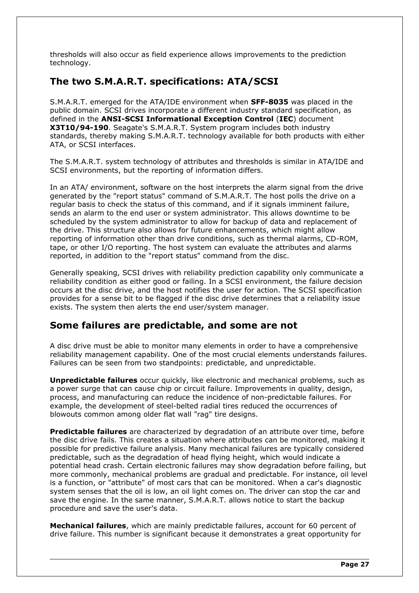thresholds will also occur as field experience allows improvements to the prediction technology.

### <span id="page-27-1"></span>**The two S.M.A.R.T. specifications: ATA/SCSI**

S.M.A.R.T. emerged for the ATA/IDE environment when **SFF-8035** was placed in the public domain. SCSI drives incorporate a different industry standard specification, as defined in the **ANSI-SCSI Informational Exception Control** (**IEC**) document **X3T10/94-190**. Seagate's S.M.A.R.T. System program includes both industry standards, thereby making S.M.A.R.T. technology available for both products with either ATA, or SCSI interfaces.

The S.M.A.R.T. system technology of attributes and thresholds is similar in ATA/IDE and SCSI environments, but the reporting of information differs.

In an ATA/ environment, software on the host interprets the alarm signal from the drive generated by the "report status" command of S.M.A.R.T. The host polls the drive on a regular basis to check the status of this command, and if it signals imminent failure, sends an alarm to the end user or system administrator. This allows downtime to be scheduled by the system administrator to allow for backup of data and replacement of the drive. This structure also allows for future enhancements, which might allow reporting of information other than drive conditions, such as thermal alarms, CD-ROM, tape, or other I/O reporting. The host system can evaluate the attributes and alarms reported, in addition to the "report status" command from the disc.

Generally speaking, SCSI drives with reliability prediction capability only communicate a reliability condition as either good or failing. In a SCSI environment, the failure decision occurs at the disc drive, and the host notifies the user for action. The SCSI specification provides for a sense bit to be flagged if the disc drive determines that a reliability issue exists. The system then alerts the end user/system manager.

### <span id="page-27-0"></span>**Some failures are predictable, and some are not**

A disc drive must be able to monitor many elements in order to have a comprehensive reliability management capability. One of the most crucial elements understands failures. Failures can be seen from two standpoints: predictable, and unpredictable.

**Unpredictable failures** occur quickly, like electronic and mechanical problems, such as a power surge that can cause chip or circuit failure. Improvements in quality, design, process, and manufacturing can reduce the incidence of non-predictable failures. For example, the development of steel-belted radial tires reduced the occurrences of blowouts common among older flat wall "rag" tire designs.

**Predictable failures** are characterized by degradation of an attribute over time, before the disc drive fails. This creates a situation where attributes can be monitored, making it possible for predictive failure analysis. Many mechanical failures are typically considered predictable, such as the degradation of head flying height, which would indicate a potential head crash. Certain electronic failures may show degradation before failing, but more commonly, mechanical problems are gradual and predictable. For instance, oil level is a function, or "attribute" of most cars that can be monitored. When a car's diagnostic system senses that the oil is low, an oil light comes on. The driver can stop the car and save the engine. In the same manner, S.M.A.R.T. allows notice to start the backup procedure and save the user's data.

**Mechanical failures**, which are mainly predictable failures, account for 60 percent of drive failure. This number is significant because it demonstrates a great opportunity for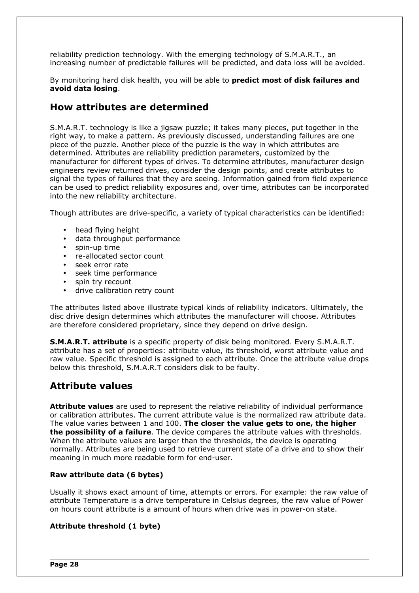reliability prediction technology. With the emerging technology of S.M.A.R.T., an increasing number of predictable failures will be predicted, and data loss will be avoided.

By monitoring hard disk health, you will be able to **predict most of disk failures and avoid data losing**.

### <span id="page-28-1"></span>**How attributes are determined**

S.M.A.R.T. technology is like a jigsaw puzzle; it takes many pieces, put together in the right way, to make a pattern. As previously discussed, understanding failures are one piece of the puzzle. Another piece of the puzzle is the way in which attributes are determined. Attributes are reliability prediction parameters, customized by the manufacturer for different types of drives. To determine attributes, manufacturer design engineers review returned drives, consider the design points, and create attributes to signal the types of failures that they are seeing. Information gained from field experience can be used to predict reliability exposures and, over time, attributes can be incorporated into the new reliability architecture.

Though attributes are drive-specific, a variety of typical characteristics can be identified:

- head flying height
- data throughput performance
- spin-up time
- re-allocated sector count
- seek error rate
- seek time performance
- spin try recount
- drive calibration retry count

The attributes listed above illustrate typical kinds of reliability indicators. Ultimately, the disc drive design determines which attributes the manufacturer will choose. Attributes are therefore considered proprietary, since they depend on drive design.

**S.M.A.R.T. attribute** is a specific property of disk being monitored. Every S.M.A.R.T. attribute has a set of properties: attribute value, its threshold, worst attribute value and raw value. Specific threshold is assigned to each attribute. Once the attribute value drops below this threshold, S.M.A.R.T considers disk to be faulty.

### <span id="page-28-0"></span>**Attribute values**

**Attribute values** are used to represent the relative reliability of individual performance or calibration attributes. The current attribute value is the normalized raw attribute data. The value varies between 1 and 100. **The closer the value gets to one, the higher the possibility of a failure**. The device compares the attribute values with thresholds. When the attribute values are larger than the thresholds, the device is operating normally. Attributes are being used to retrieve current state of a drive and to show their meaning in much more readable form for end-user.

### **Raw attribute data (6 bytes)**

Usually it shows exact amount of time, attempts or errors. For example: the raw value of attribute Temperature is a drive temperature in Celsius degrees, the raw value of Power on hours count attribute is a amount of hours when drive was in power-on state.

### **Attribute threshold (1 byte)**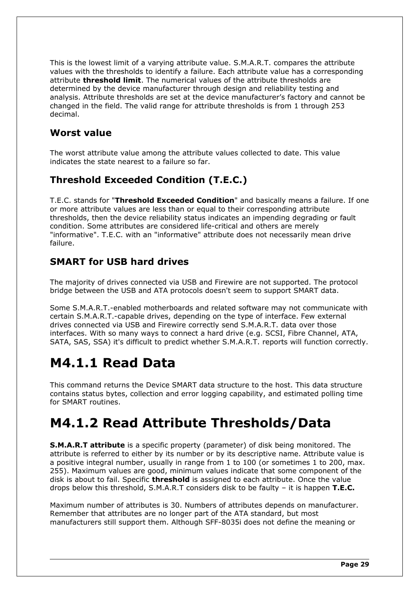This is the lowest limit of a varying attribute value. S.M.A.R.T. compares the attribute values with the thresholds to identify a failure. Each attribute value has a corresponding attribute **threshold limit**. The numerical values of the attribute thresholds are determined by the device manufacturer through design and reliability testing and analysis. Attribute thresholds are set at the device manufacturer's factory and cannot be changed in the field. The valid range for attribute thresholds is from 1 through 253 decimal.

### <span id="page-29-4"></span>**Worst value**

The worst attribute value among the attribute values collected to date. This value indicates the state nearest to a failure so far.

### <span id="page-29-3"></span>**Threshold Exceeded Condition (T.E.C.)**

T.E.C. stands for "**Threshold Exceeded Condition**" and basically means a failure. If one or more attribute values are less than or equal to their corresponding attribute thresholds, then the device reliability status indicates an impending degrading or fault condition. Some attributes are considered life-critical and others are merely "informative". T.E.C. with an "informative" attribute does not necessarily mean drive failure.

### <span id="page-29-2"></span>**SMART for USB hard drives**

The majority of drives connected via USB and Firewire are not supported. The protocol bridge between the USB and ATA protocols doesn't seem to support SMART data.

Some S.M.A.R.T.-enabled motherboards and related software may not communicate with certain S.M.A.R.T.-capable drives, depending on the type of interface. Few external drives connected via USB and Firewire correctly send S.M.A.R.T. data over those interfaces. With so many ways to connect a hard drive (e.g. SCSI, Fibre Channel, ATA, SATA, SAS, SSA) it's difficult to predict whether S.M.A.R.T. reports will function correctly.

## <span id="page-29-1"></span>**M4.1.1 Read Data**

This command returns the Device SMART data structure to the host. This data structure contains status bytes, collection and error logging capability, and estimated polling time for SMART routines.

## <span id="page-29-0"></span>**M4.1.2 Read Attribute Thresholds/Data**

**S.M.A.R.T attribute** is a specific property (parameter) of disk being monitored. The attribute is referred to either by its number or by its descriptive name. Attribute value is a positive integral number, usually in range from 1 to 100 (or sometimes 1 to 200, max. 255). Maximum values are good, minimum values indicate that some component of the disk is about to fail. Specific **threshold** is assigned to each attribute. Once the value drops below this threshold, S.M.A.R.T considers disk to be faulty – it is happen **T.E.C.**

Maximum number of attributes is 30. Numbers of attributes depends on manufacturer. Remember that attributes are no longer part of the ATA standard, but most manufacturers still support them. Although SFF-8035i does not define the meaning or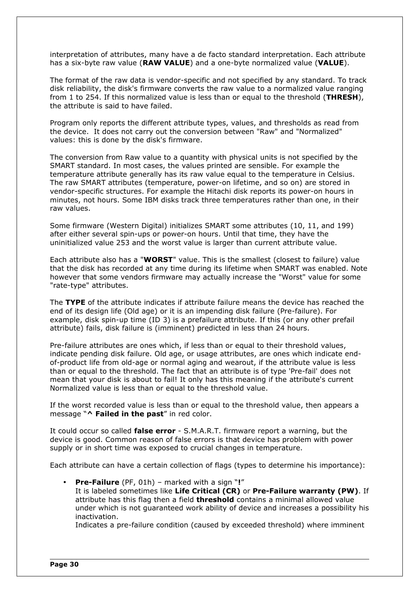interpretation of attributes, many have a de facto standard interpretation. Each attribute has a six-byte raw value (**RAW VALUE**) and a one-byte normalized value (**VALUE**).

The format of the raw data is vendor-specific and not specified by any standard. To track disk reliability, the disk's firmware converts the raw value to a normalized value ranging from 1 to 254. If this normalized value is less than or equal to the threshold (**THRESH**), the attribute is said to have failed.

Program only reports the different attribute types, values, and thresholds as read from the device. It does not carry out the conversion between "Raw" and "Normalized" values: this is done by the disk's firmware.

The conversion from Raw value to a quantity with physical units is not specified by the SMART standard. In most cases, the values printed are sensible. For example the temperature attribute generally has its raw value equal to the temperature in Celsius. The raw SMART attributes (temperature, power-on lifetime, and so on) are stored in vendor-specific structures. For example the Hitachi disk reports its power-on hours in minutes, not hours. Some IBM disks track three temperatures rather than one, in their raw values.

Some firmware (Western Digital) initializes SMART some attributes (10, 11, and 199) after either several spin-ups or power-on hours. Until that time, they have the uninitialized value 253 and the worst value is larger than current attribute value.

Each attribute also has a "**WORST**" value. This is the smallest (closest to failure) value that the disk has recorded at any time during its lifetime when SMART was enabled. Note however that some vendors firmware may actually increase the "Worst" value for some "rate-type" attributes.

The **TYPE** of the attribute indicates if attribute failure means the device has reached the end of its design life (Old age) or it is an impending disk failure (Pre-failure). For example, disk spin-up time (ID 3) is a prefailure attribute. If this (or any other prefail attribute) fails, disk failure is (imminent) predicted in less than 24 hours.

Pre-failure attributes are ones which, if less than or equal to their threshold values, indicate pending disk failure. Old age, or usage attributes, are ones which indicate endof-product life from old-age or normal aging and wearout, if the attribute value is less than or equal to the threshold. The fact that an attribute is of type 'Pre-fail' does not mean that your disk is about to fail! It only has this meaning if the attribute's current Normalized value is less than or equal to the threshold value.

If the worst recorded value is less than or equal to the threshold value, then appears a message "**^ Failed in the past**" in red color.

It could occur so called **false error** - S.M.A.R.T. firmware report a warning, but the device is good. Common reason of false errors is that device has problem with power supply or in short time was exposed to crucial changes in temperature.

Each attribute can have a certain collection of flags (types to determine his importance):

• **Pre-Failure** (PF, 01h) – marked with a sign "**!**" It is labeled sometimes like **Life Critical (CR)** or **Pre-Failure warranty (PW)**. If attribute has this flag then a field **threshold** contains a minimal allowed value under which is not guaranteed work ability of device and increases a possibility his inactivation.

Indicates a pre-failure condition (caused by exceeded threshold) where imminent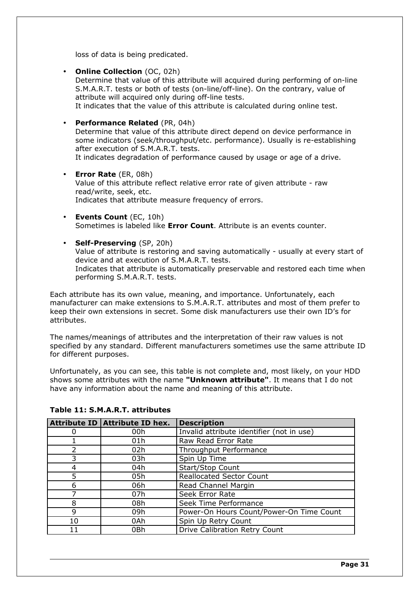loss of data is being predicated.

- **Online Collection** (OC, 02h) Determine that value of this attribute will acquired during performing of on-line S.M.A.R.T. tests or both of tests (on-line/off-line). On the contrary, value of attribute will acquired only during off-line tests. It indicates that the value of this attribute is calculated during online test.
- **Performance Related** (PR, 04h) Determine that value of this attribute direct depend on device performance in some indicators (seek/throughput/etc. performance). Usually is re-establishing after execution of S.M.A.R.T. tests. It indicates degradation of performance caused by usage or age of a drive.
- **Error Rate** (ER, 08h) Value of this attribute reflect relative error rate of given attribute - raw read/write, seek, etc. Indicates that attribute measure frequency of errors.
- **Events Count** (EC, 10h) Sometimes is labeled like **Error Count**. Attribute is an events counter.
- **Self-Preserving** (SP, 20h) Value of attribute is restoring and saving automatically - usually at every start of device and at execution of S.M.A.R.T. tests. Indicates that attribute is automatically preservable and restored each time when performing S.M.A.R.T. tests.

Each attribute has its own value, meaning, and importance. Unfortunately, each manufacturer can make extensions to S.M.A.R.T. attributes and most of them prefer to keep their own extensions in secret. Some disk manufacturers use their own ID's for attributes.

The names/meanings of attributes and the interpretation of their raw values is not specified by any standard. Different manufacturers sometimes use the same attribute ID for different purposes.

Unfortunately, as you can see, this table is not complete and, most likely, on your HDD shows some attributes with the name **"Unknown attribute"**. It means that I do not have any information about the name and meaning of this attribute.

|    | Attribute ID Attribute ID hex. | <b>Description</b>                        |
|----|--------------------------------|-------------------------------------------|
| 0  | 00h                            | Invalid attribute identifier (not in use) |
|    | 01 <sub>h</sub>                | Raw Read Error Rate                       |
| 2  | 02h                            | Throughput Performance                    |
| 3  | 03h                            | Spin Up Time                              |
| 4  | 04h                            | Start/Stop Count                          |
| 5  | 05h                            | <b>Reallocated Sector Count</b>           |
| 6  | 06h                            | Read Channel Margin                       |
| ᄀ  | 07h                            | Seek Error Rate                           |
| 8  | 08h                            | Seek Time Performance                     |
| q  | 09h                            | Power-On Hours Count/Power-On Time Count  |
| 10 | 0Ah                            | Spin Up Retry Count                       |
| 11 | 0Bh                            | Drive Calibration Retry Count             |

### **Table 11: S.M.A.R.T. attributes**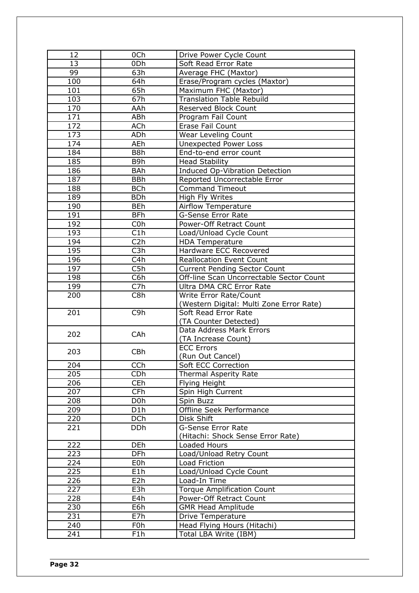| 12  | 0Ch              | Drive Power Cycle Count                  |
|-----|------------------|------------------------------------------|
| 13  | 0Dh              | Soft Read Error Rate                     |
| 99  | 63h              | Average FHC (Maxtor)                     |
| 100 | 64h              | Erase/Program cycles (Maxtor)            |
| 101 | 65h              | Maximum FHC (Maxtor)                     |
| 103 | 67h              | <b>Translation Table Rebuild</b>         |
| 170 | AAh              | Reserved Block Count                     |
| 171 | ABh              | Program Fail Count                       |
| 172 | <b>ACh</b>       | Erase Fail Count                         |
| 173 | ADh              |                                          |
|     |                  | Wear Leveling Count                      |
| 174 | <b>AEh</b>       | <b>Unexpected Power Loss</b>             |
| 184 | B8h              | End-to-end error count                   |
| 185 | B9h              | <b>Head Stability</b>                    |
| 186 | <b>BAh</b>       | Induced Op-Vibration Detection           |
| 187 | <b>BBh</b>       | Reported Uncorrectable Error             |
| 188 | <b>BCh</b>       | <b>Command Timeout</b>                   |
| 189 | <b>BDh</b>       | High Fly Writes                          |
| 190 | <b>BEh</b>       | Airflow Temperature                      |
| 191 | <b>BFh</b>       | <b>G-Sense Error Rate</b>                |
| 192 | C <sub>0</sub> h | Power-Off Retract Count                  |
| 193 | C1h              | Load/Unload Cycle Count                  |
| 194 | C2h              | <b>HDA Temperature</b>                   |
| 195 | C <sub>3</sub> h | Hardware ECC Recovered                   |
| 196 | C <sub>4</sub> h | <b>Reallocation Event Count</b>          |
| 197 | C5h              | <b>Current Pending Sector Count</b>      |
| 198 | C6h              | Off-line Scan Uncorrectable Sector Count |
| 199 | C7h              | Ultra DMA CRC Error Rate                 |
| 200 | C8h              | Write Error Rate/Count                   |
|     |                  | (Western Digital: Multi Zone Error Rate) |
| 201 | C9h              | Soft Read Error Rate                     |
|     |                  | (TA Counter Detected)                    |
| 202 | CAh              | Data Address Mark Errors                 |
|     |                  | (TA Increase Count)                      |
| 203 | CBh              | <b>ECC Errors</b>                        |
|     |                  | (Run Out Cancel)                         |
| 204 | CCh              | Soft ECC Correction                      |
| 205 | <b>CDh</b>       | Thermal Asperity Rate                    |
| 206 | <b>CEh</b>       | Flying Height                            |
| 207 | <b>CFh</b>       | Spin High Current                        |
| 208 | D <sub>0</sub> h | Spin Buzz                                |
| 209 | D1h              | Offline Seek Performance                 |
| 220 | <b>DCh</b>       | Disk Shift                               |
| 221 | <b>DDh</b>       | <b>G-Sense Error Rate</b>                |
|     |                  | (Hitachi: Shock Sense Error Rate)        |
| 222 | <b>DEh</b>       | Loaded Hours                             |
| 223 | <b>DFh</b>       | Load/Unload Retry Count                  |
| 224 | E0h              | Load Friction                            |
| 225 | E1h              | Load/Unload Cycle Count                  |
| 226 | E <sub>2</sub> h | Load-In Time                             |
| 227 | E3h              | <b>Torque Amplification Count</b>        |
| 228 | E4h              | Power-Off Retract Count                  |
| 230 | E6h              | <b>GMR Head Amplitude</b>                |
| 231 | E7h              | Drive Temperature                        |
| 240 | F <sub>0</sub> h | Head Flying Hours (Hitachi)              |
| 241 | F1h              | Total LBA Write (IBM)                    |
|     |                  |                                          |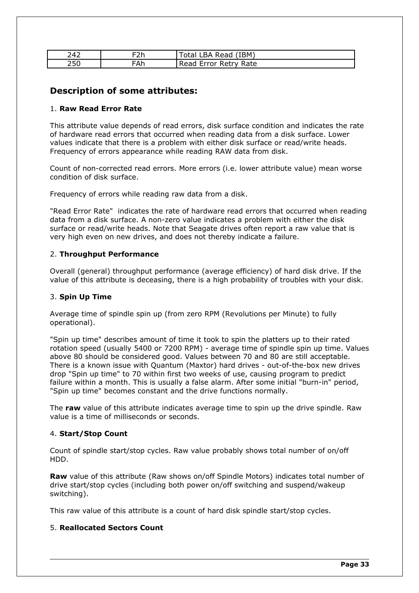| 242 | ニつん<br>ᄼ | IBM)<br>Total<br>Read<br>`BA |
|-----|----------|------------------------------|
| 250 | FAh      | Error Retry Rate<br>Read     |

### **Description of some attributes:**

### 1. **Raw Read Error Rate**

This attribute value depends of read errors, disk surface condition and indicates the rate of hardware read errors that occurred when reading data from a disk surface. Lower values indicate that there is a problem with either disk surface or read/write heads. Frequency of errors appearance while reading RAW data from disk.

Count of non-corrected read errors. More errors (i.e. lower attribute value) mean worse condition of disk surface.

Frequency of errors while reading raw data from a disk.

"Read Error Rate" indicates the rate of hardware read errors that occurred when reading data from a disk surface. A non-zero value indicates a problem with either the disk surface or read/write heads. Note that Seagate drives often report a raw value that is very high even on new drives, and does not thereby indicate a failure.

### 2. **Throughput Performance**

Overall (general) throughput performance (average efficiency) of hard disk drive. If the value of this attribute is deceasing, there is a high probability of troubles with your disk.

### 3. **Spin Up Time**

Average time of spindle spin up (from zero RPM (Revolutions per Minute) to fully operational).

"Spin up time" describes amount of time it took to spin the platters up to their rated rotation speed (usually 5400 or 7200 RPM) - average time of spindle spin up time. Values above 80 should be considered good. Values between 70 and 80 are still acceptable. There is a known issue with Quantum (Maxtor) hard drives - out-of-the-box new drives drop "Spin up time" to 70 within first two weeks of use, causing program to predict failure within a month. This is usually a false alarm. After some initial "burn-in" period, "Spin up time" becomes constant and the drive functions normally.

The **raw** value of this attribute indicates average time to spin up the drive spindle. Raw value is a time of milliseconds or seconds.

### 4. **Start/Stop Count**

Count of spindle start/stop cycles. Raw value probably shows total number of on/off HDD.

**Raw** value of this attribute (Raw shows on/off Spindle Motors) indicates total number of drive start/stop cycles (including both power on/off switching and suspend/wakeup switching).

This raw value of this attribute is a count of hard disk spindle start/stop cycles.

### 5. **Reallocated Sectors Count**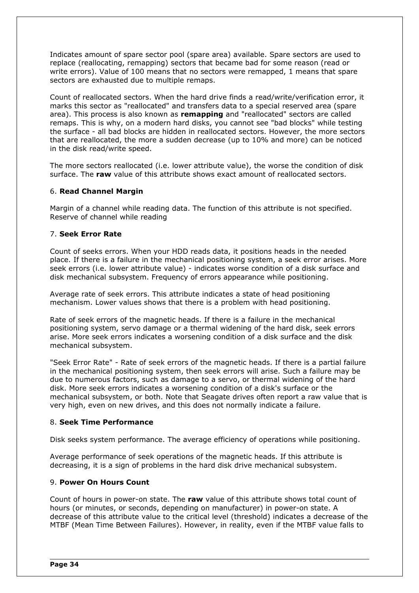Indicates amount of spare sector pool (spare area) available. Spare sectors are used to replace (reallocating, remapping) sectors that became bad for some reason (read or write errors). Value of 100 means that no sectors were remapped, 1 means that spare sectors are exhausted due to multiple remaps.

Count of reallocated sectors. When the hard drive finds a read/write/verification error, it marks this sector as "reallocated" and transfers data to a special reserved area (spare area). This process is also known as **remapping** and "reallocated" sectors are called remaps. This is why, on a modern hard disks, you cannot see "bad blocks" while testing the surface - all bad blocks are hidden in reallocated sectors. However, the more sectors that are reallocated, the more a sudden decrease (up to 10% and more) can be noticed in the disk read/write speed.

The more sectors reallocated (i.e. lower attribute value), the worse the condition of disk surface. The **raw** value of this attribute shows exact amount of reallocated sectors.

### 6. **Read Channel Margin**

Margin of a channel while reading data. The function of this attribute is not specified. Reserve of channel while reading

### 7. **Seek Error Rate**

Count of seeks errors. When your HDD reads data, it positions heads in the needed place. If there is a failure in the mechanical positioning system, a seek error arises. More seek errors (i.e. lower attribute value) - indicates worse condition of a disk surface and disk mechanical subsystem. Frequency of errors appearance while positioning.

Average rate of seek errors. This attribute indicates a state of head positioning mechanism. Lower values shows that there is a problem with head positioning.

Rate of seek errors of the magnetic heads. If there is a failure in the mechanical positioning system, servo damage or a thermal widening of the hard disk, seek errors arise. More seek errors indicates a worsening condition of a disk surface and the disk mechanical subsystem.

"Seek Error Rate" - Rate of seek errors of the magnetic heads. If there is a partial failure in the mechanical positioning system, then seek errors will arise. Such a failure may be due to numerous factors, such as damage to a servo, or thermal widening of the hard disk. More seek errors indicates a worsening condition of a disk's surface or the mechanical subsystem, or both. Note that Seagate drives often report a raw value that is very high, even on new drives, and this does not normally indicate a failure.

### 8. **Seek Time Performance**

Disk seeks system performance. The average efficiency of operations while positioning.

Average performance of seek operations of the magnetic heads. If this attribute is decreasing, it is a sign of problems in the hard disk drive mechanical subsystem.

### 9. **Power On Hours Count**

Count of hours in power-on state. The **raw** value of this attribute shows total count of hours (or minutes, or seconds, depending on manufacturer) in power-on state. A decrease of this attribute value to the critical level (threshold) indicates a decrease of the MTBF (Mean Time Between Failures). However, in reality, even if the MTBF value falls to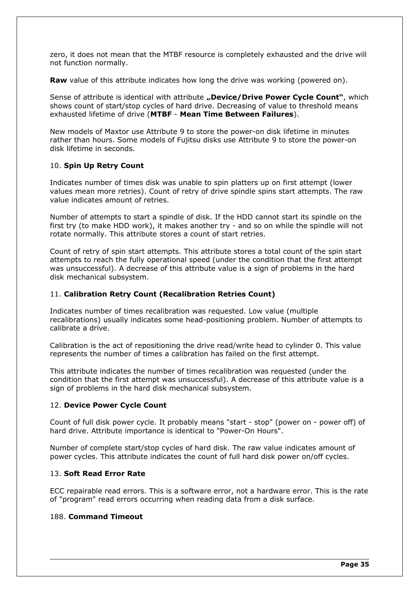zero, it does not mean that the MTBF resource is completely exhausted and the drive will not function normally.

**Raw** value of this attribute indicates how long the drive was working (powered on).

Sense of attribute is identical with attribute **"Device/Drive Power Cycle Count**", which shows count of start/stop cycles of hard drive. Decreasing of value to threshold means exhausted lifetime of drive (**MTBF** - **Mean Time Between Failures**).

New models of Maxtor use Attribute 9 to store the power-on disk lifetime in minutes rather than hours. Some models of Fujitsu disks use Attribute 9 to store the power-on disk lifetime in seconds.

### 10. **Spin Up Retry Count**

Indicates number of times disk was unable to spin platters up on first attempt (lower values mean more retries). Count of retry of drive spindle spins start attempts. The raw value indicates amount of retries.

Number of attempts to start a spindle of disk. If the HDD cannot start its spindle on the first try (to make HDD work), it makes another try - and so on while the spindle will not rotate normally. This attribute stores a count of start retries.

Count of retry of spin start attempts. This attribute stores a total count of the spin start attempts to reach the fully operational speed (under the condition that the first attempt was unsuccessful). A decrease of this attribute value is a sign of problems in the hard disk mechanical subsystem.

### 11. **Calibration Retry Count (Recalibration Retries Count)**

Indicates number of times recalibration was requested. Low value (multiple recalibrations) usually indicates some head-positioning problem. Number of attempts to calibrate a drive.

Calibration is the act of repositioning the drive read/write head to cylinder 0. This value represents the number of times a calibration has failed on the first attempt.

This attribute indicates the number of times recalibration was requested (under the condition that the first attempt was unsuccessful). A decrease of this attribute value is a sign of problems in the hard disk mechanical subsystem.

### 12. **Device Power Cycle Count**

Count of full disk power cycle. It probably means "start - stop" (power on - power off) of hard drive. Attribute importance is identical to "Power-On Hours".

Number of complete start/stop cycles of hard disk. The raw value indicates amount of power cycles. This attribute indicates the count of full hard disk power on/off cycles.

### 13. **Soft Read Error Rate**

ECC repairable read errors. This is a software error, not a hardware error. This is the rate of "program" read errors occurring when reading data from a disk surface.

### 188. **Command Timeout**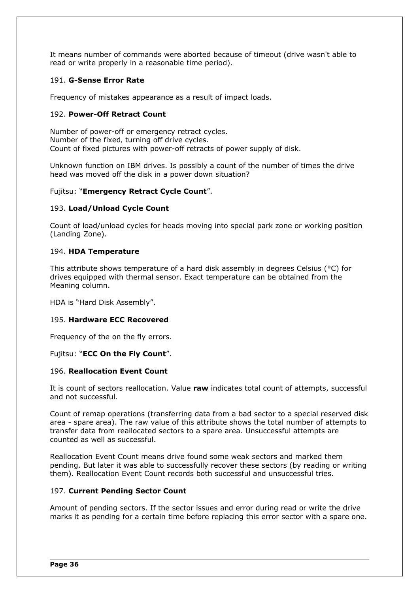It means number of commands were aborted because of timeout (drive wasn't able to read or write properly in a reasonable time period).

#### 191. **G-Sense Error Rate**

Frequency of mistakes appearance as a result of impact loads.

#### 192. **Power-Off Retract Count**

Number of power-off or emergency retract cycles. Number of the fixed, turning off drive cycles. Count of fixed pictures with power-off retracts of power supply of disk.

Unknown function on IBM drives. Is possibly a count of the number of times the drive head was moved off the disk in a power down situation?

#### Fujitsu: "**Emergency Retract Cycle Count**".

#### 193. **Load/Unload Cycle Count**

Count of load/unload cycles for heads moving into special park zone or working position (Landing Zone).

#### 194. **HDA Temperature**

This attribute shows temperature of a hard disk assembly in degrees Celsius (°C) for drives equipped with thermal sensor. Exact temperature can be obtained from the Meaning column.

HDA is "Hard Disk Assembly".

#### 195. **Hardware ECC Recovered**

Frequency of the on the fly errors.

#### Fujitsu: "**ECC On the Fly Count**".

#### 196. **Reallocation Event Count**

It is count of sectors reallocation. Value **raw** indicates total count of attempts, successful and not successful.

Count of remap operations (transferring data from a bad sector to a special reserved disk area - spare area). The raw value of this attribute shows the total number of attempts to transfer data from reallocated sectors to a spare area. Unsuccessful attempts are counted as well as successful.

Reallocation Event Count means drive found some weak sectors and marked them pending. But later it was able to successfully recover these sectors (by reading or writing them). Reallocation Event Count records both successful and unsuccessful tries.

#### 197. **Current Pending Sector Count**

Amount of pending sectors. If the sector issues and error during read or write the drive marks it as pending for a certain time before replacing this error sector with a spare one.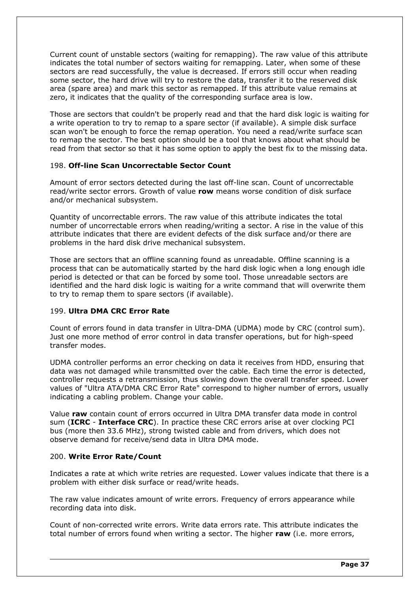Current count of unstable sectors (waiting for remapping). The raw value of this attribute indicates the total number of sectors waiting for remapping. Later, when some of these sectors are read successfully, the value is decreased. If errors still occur when reading some sector, the hard drive will try to restore the data, transfer it to the reserved disk area (spare area) and mark this sector as remapped. If this attribute value remains at zero, it indicates that the quality of the corresponding surface area is low.

Those are sectors that couldn't be properly read and that the hard disk logic is waiting for a write operation to try to remap to a spare sector (if available). A simple disk surface scan won't be enough to force the remap operation. You need a read/write surface scan to remap the sector. The best option should be a tool that knows about what should be read from that sector so that it has some option to apply the best fix to the missing data.

#### 198. **Off-line Scan Uncorrectable Sector Count**

Amount of error sectors detected during the last off-line scan. Count of uncorrectable read/write sector errors. Growth of value **row** means worse condition of disk surface and/or mechanical subsystem.

Quantity of uncorrectable errors. The raw value of this attribute indicates the total number of uncorrectable errors when reading/writing a sector. A rise in the value of this attribute indicates that there are evident defects of the disk surface and/or there are problems in the hard disk drive mechanical subsystem.

Those are sectors that an offline scanning found as unreadable. Offline scanning is a process that can be automatically started by the hard disk logic when a long enough idle period is detected or that can be forced by some tool. Those unreadable sectors are identified and the hard disk logic is waiting for a write command that will overwrite them to try to remap them to spare sectors (if available).

### 199. **Ultra DMA CRC Error Rate**

Count of errors found in data transfer in Ultra-DMA (UDMA) mode by CRC (control sum). Just one more method of error control in data transfer operations, but for high-speed transfer modes.

UDMA controller performs an error checking on data it receives from HDD, ensuring that data was not damaged while transmitted over the cable. Each time the error is detected, controller requests a retransmission, thus slowing down the overall transfer speed. Lower values of "Ultra ATA/DMA CRC Error Rate" correspond to higher number of errors, usually indicating a cabling problem. Change your cable.

Value **raw** contain count of errors occurred in Ultra DMA transfer data mode in control sum (**ICRC** - **Interface CRC**). In practice these CRC errors arise at over clocking PCI bus (more then 33.6 MHz), strong twisted cable and from drivers, which does not observe demand for receive/send data in Ultra DMA mode.

#### 200. **Write Error Rate/Count**

Indicates a rate at which write retries are requested. Lower values indicate that there is a problem with either disk surface or read/write heads.

The raw value indicates amount of write errors. Frequency of errors appearance while recording data into disk.

Count of non-corrected write errors. Write data errors rate. This attribute indicates the total number of errors found when writing a sector. The higher **raw** (i.e. more errors,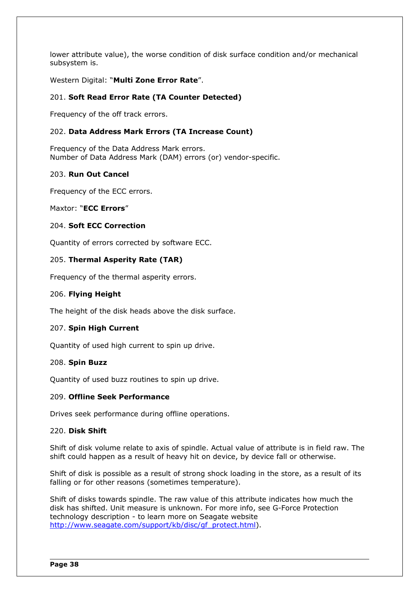lower attribute value), the worse condition of disk surface condition and/or mechanical subsystem is.

Western Digital: "**Multi Zone Error Rate**".

### 201. **Soft Read Error Rate (TA Counter Detected)**

Frequency of the off track errors.

#### 202. **Data Address Mark Errors (TA Increase Count)**

Frequency of the Data Address Mark errors. Number of Data Address Mark (DAM) errors (or) vendor-specific.

#### 203. **Run Out Cancel**

Frequency of the ECC errors.

Maxtor: "**ECC Errors**"

#### 204. **Soft ECC Correction**

Quantity of errors corrected by software ECC.

### 205. **Thermal Asperity Rate (TAR)**

Frequency of the thermal asperity errors.

#### 206. **Flying Height**

The height of the disk heads above the disk surface.

#### 207. **Spin High Current**

Quantity of used high current to spin up drive.

#### 208. **Spin Buzz**

Quantity of used buzz routines to spin up drive.

### 209. **Offline Seek Performance**

Drives seek performance during offline operations.

#### 220. **Disk Shift**

Shift of disk volume relate to axis of spindle. Actual value of attribute is in field raw. The shift could happen as a result of heavy hit on device, by device fall or otherwise.

Shift of disk is possible as a result of strong shock loading in the store, as a result of its falling or for other reasons (sometimes temperature).

Shift of disks towards spindle. The raw value of this attribute indicates how much the disk has shifted. Unit measure is unknown. For more info, see G-Force Protection technology description - to learn more on Seagate website [http://www.seagate.com/support/kb/disc/gf\\_protect.html\)](http://www.seagate.com/support/kb/disc/gf_protect.html).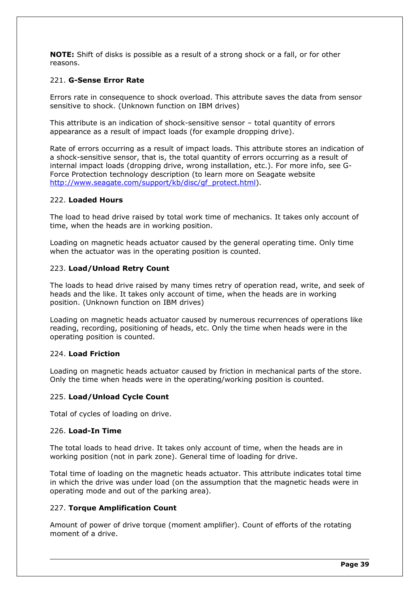**NOTE:** Shift of disks is possible as a result of a strong shock or a fall, or for other reasons.

#### 221. **G-Sense Error Rate**

Errors rate in consequence to shock overload. This attribute saves the data from sensor sensitive to shock. (Unknown function on IBM drives)

This attribute is an indication of shock-sensitive sensor – total quantity of errors appearance as a result of impact loads (for example dropping drive).

Rate of errors occurring as a result of impact loads. This attribute stores an indication of a shock-sensitive sensor, that is, the total quantity of errors occurring as a result of internal impact loads (dropping drive, wrong installation, etc.). For more info, see G-Force Protection technology description (to learn more on Seagate website [http://www.seagate.com/support/kb/disc/gf\\_protect.html\)](http://www.seagate.com/support/kb/disc/gf_protect.html).

#### 222. **Loaded Hours**

The load to head drive raised by total work time of mechanics. It takes only account of time, when the heads are in working position.

Loading on magnetic heads actuator caused by the general operating time. Only time when the actuator was in the operating position is counted.

#### 223. **Load/Unload Retry Count**

The loads to head drive raised by many times retry of operation read, write, and seek of heads and the like. It takes only account of time, when the heads are in working position. (Unknown function on IBM drives)

Loading on magnetic heads actuator caused by numerous recurrences of operations like reading, recording, positioning of heads, etc. Only the time when heads were in the operating position is counted.

#### 224. **Load Friction**

Loading on magnetic heads actuator caused by friction in mechanical parts of the store. Only the time when heads were in the operating/working position is counted.

#### 225. **Load/Unload Cycle Count**

Total of cycles of loading on drive.

#### 226. **Load-In Time**

The total loads to head drive. It takes only account of time, when the heads are in working position (not in park zone). General time of loading for drive.

Total time of loading on the magnetic heads actuator. This attribute indicates total time in which the drive was under load (on the assumption that the magnetic heads were in operating mode and out of the parking area).

#### 227. **Torque Amplification Count**

Amount of power of drive torque (moment amplifier). Count of efforts of the rotating moment of a drive.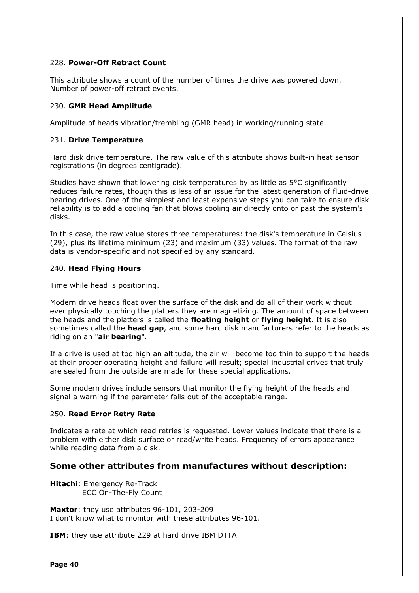#### 228. **Power-Off Retract Count**

This attribute shows a count of the number of times the drive was powered down. Number of power-off retract events.

#### 230. **GMR Head Amplitude**

Amplitude of heads vibration/trembling (GMR head) in working/running state.

#### 231. **Drive Temperature**

Hard disk drive temperature. The raw value of this attribute shows built-in heat sensor registrations (in degrees centigrade).

Studies have shown that lowering disk temperatures by as little as 5°C significantly reduces failure rates, though this is less of an issue for the latest generation of fluid-drive bearing drives. One of the simplest and least expensive steps you can take to ensure disk reliability is to add a cooling fan that blows cooling air directly onto or past the system's disks.

In this case, the raw value stores three temperatures: the disk's temperature in Celsius (29), plus its lifetime minimum (23) and maximum (33) values. The format of the raw data is vendor-specific and not specified by any standard.

#### 240. **Head Flying Hours**

Time while head is positioning.

Modern drive heads float over the surface of the disk and do all of their work without ever physically touching the platters they are magnetizing. The amount of space between the heads and the platters is called the **floating height** or **flying height**. It is also sometimes called the **head gap**, and some hard disk manufacturers refer to the heads as riding on an "**air bearing**".

If a drive is used at too high an altitude, the air will become too thin to support the heads at their proper operating height and failure will result; special industrial drives that truly are sealed from the outside are made for these special applications.

Some modern drives include sensors that monitor the flying height of the heads and signal a warning if the parameter falls out of the acceptable range.

#### 250. **Read Error Retry Rate**

Indicates a rate at which read retries is requested. Lower values indicate that there is a problem with either disk surface or read/write heads. Frequency of errors appearance while reading data from a disk.

### **Some other attributes from manufactures without description:**

**Hitachi**: Emergency Re-Track ECC On-The-Fly Count

**Maxtor**: they use attributes 96-101, 203-209 I don't know what to monitor with these attributes 96-101.

**IBM**: they use attribute 229 at hard drive IBM DTTA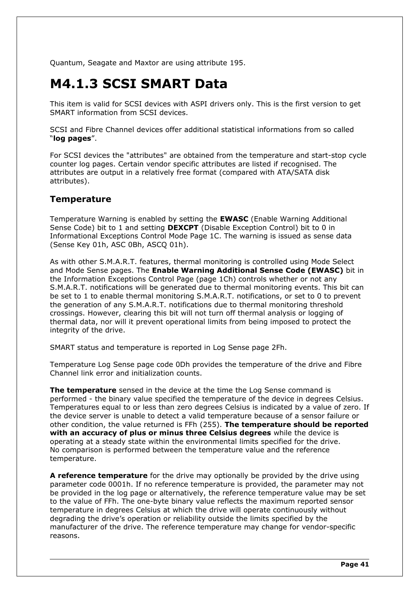Quantum, Seagate and Maxtor are using attribute 195.

## **M4.1.3 SCSI SMART Data**

This item is valid for SCSI devices with ASPI drivers only. This is the first version to get SMART information from SCSI devices.

SCSI and Fibre Channel devices offer additional statistical informations from so called "**log pages**".

For SCSI devices the "attributes" are obtained from the temperature and start-stop cycle counter log pages. Certain vendor specific attributes are listed if recognised. The attributes are output in a relatively free format (compared with ATA/SATA disk attributes).

### **Temperature**

Temperature Warning is enabled by setting the **EWASC** (Enable Warning Additional Sense Code) bit to 1 and setting **DEXCPT** (Disable Exception Control) bit to 0 in Informational Exceptions Control Mode Page 1C. The warning is issued as sense data (Sense Key 01h, ASC 0Bh, ASCO 01h).

As with other S.M.A.R.T. features, thermal monitoring is controlled using Mode Select and Mode Sense pages. The **Enable Warning Additional Sense Code (EWASC)** bit in the Information Exceptions Control Page (page 1Ch) controls whether or not any S.M.A.R.T. notifications will be generated due to thermal monitoring events. This bit can be set to 1 to enable thermal monitoring S.M.A.R.T. notifications, or set to 0 to prevent the generation of any S.M.A.R.T. notifications due to thermal monitoring threshold crossings. However, clearing this bit will not turn off thermal analysis or logging of thermal data, nor will it prevent operational limits from being imposed to protect the integrity of the drive.

SMART status and temperature is reported in Log Sense page 2Fh.

Temperature Log Sense page code 0Dh provides the temperature of the drive and Fibre Channel link error and initialization counts.

**The temperature** sensed in the device at the time the Log Sense command is performed - the binary value specified the temperature of the device in degrees Celsius. Temperatures equal to or less than zero degrees Celsius is indicated by a value of zero. If the device server is unable to detect a valid temperature because of a sensor failure or other condition, the value returned is FFh (255). **The temperature should be reported with an accuracy of plus or minus three Celsius degrees** while the device is operating at a steady state within the environmental limits specified for the drive. No comparison is performed between the temperature value and the reference temperature.

**A reference temperature** for the drive may optionally be provided by the drive using parameter code 0001h. If no reference temperature is provided, the parameter may not be provided in the log page or alternatively, the reference temperature value may be set to the value of FFh. The one-byte binary value reflects the maximum reported sensor temperature in degrees Celsius at which the drive will operate continuously without degrading the drive's operation or reliability outside the limits specified by the manufacturer of the drive. The reference temperature may change for vendor-specific reasons.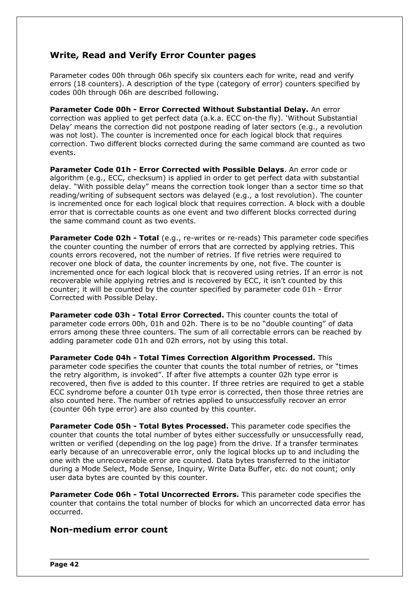### **Write, Read and Verify Error Counter pages**

Parameter codes 00h through 06h specify six counters each for write, read and verify errors (18 counters). A description of the type (category of error) counters specified by codes 00h through 06h are described following.

**Parameter Code 00h - Error Corrected Without Substantial Delay.** An error correction was applied to get perfect data (a.k.a. ECC on-the fly). 'Without Substantial Delay' means the correction did not postpone reading of later sectors (e.g., a revolution was not lost). The counter is incremented once for each logical block that requires correction. Two different blocks corrected during the same command are counted as two events.

**Parameter Code 01h - Error Corrected with Possible Delays**. An error code or algorithm (e.g., ECC, checksum) is applied in order to get perfect data with substantial delay. "With possible delay" means the correction took longer than a sector time so that reading/writing of subsequent sectors was delayed (e.g., a lost revolution). The counter is incremented once for each logical block that requires correction. A block with a double error that is correctable counts as one event and two different blocks corrected during the same command count as two events.

**Parameter Code 02h - Total** (e.g., re-writes or re-reads) This parameter code specifies the counter counting the number of errors that are corrected by applying retries. This counts errors recovered, not the number of retries. If five retries were required to recover one block of data, the counter increments by one, not five. The counter is incremented once for each logical block that is recovered using retries. If an error is not recoverable while applying retries and is recovered by ECC, it isn't counted by this counter; it will be counted by the counter specified by parameter code 01h - Error Corrected with Possible Delay.

**Parameter code 03h - Total Error Corrected.** This counter counts the total of parameter code errors 00h, 01h and 02h. There is to be no "double counting" of data errors among these three counters. The sum of all correctable errors can be reached by adding parameter code 01h and 02h errors, not by using this total.

**Parameter Code 04h - Total Times Correction Algorithm Processed.** This parameter code specifies the counter that counts the total number of retries, or "times the retry algorithm, is invoked". If after five attempts a counter 02h type error is recovered, then five is added to this counter. If three retries are required to get a stable ECC syndrome before a counter 01h type error is corrected, then those three retries are also counted here. The number of retries applied to unsuccessfully recover an error (counter 06h type error) are also counted by this counter.

**Parameter Code 05h - Total Bytes Processed.** This parameter code specifies the counter that counts the total number of bytes either successfully or unsuccessfully read, written or verified (depending on the log page) from the drive. If a transfer terminates early because of an unrecoverable error, only the logical blocks up to and including the one with the unrecoverable error are counted. Data bytes transferred to the initiator during a Mode Select, Mode Sense, Inquiry, Write Data Buffer, etc. do not count; only user data bytes are counted by this counter.

**Parameter Code 06h - Total Uncorrected Errors.** This parameter code specifies the counter that contains the total number of blocks for which an uncorrected data error has occurred.

### **Non-medium error count**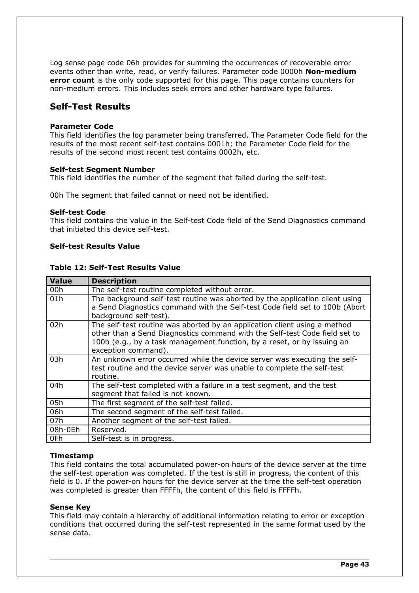Log sense page code 06h provides for summing the occurrences of recoverable error events other than write, read, or verify failures. Parameter code 0000h **Non-medium error count** is the only code supported for this page. This page contains counters for non-medium errors. This includes seek errors and other hardware type failures.

### **Self-Test Results**

#### **Parameter Code**

This field identifies the log parameter being transferred. The Parameter Code field for the results of the most recent self-test contains 0001h; the Parameter Code field for the results of the second most recent test contains 0002h, etc.

#### **Self-test Segment Number**

This field identifies the number of the segment that failed during the self-test.

00h The segment that failed cannot or need not be identified.

#### **Self-test Code**

This field contains the value in the Self-test Code field of the Send Diagnostics command that initiated this device self-test.

#### **Self-test Results Value**

#### **Table 12: Self-Test Results Value**

| Value   | <b>Description</b>                                                                                                                                                                                                                                        |  |  |
|---------|-----------------------------------------------------------------------------------------------------------------------------------------------------------------------------------------------------------------------------------------------------------|--|--|
| 00h     | The self-test routine completed without error.                                                                                                                                                                                                            |  |  |
| 01h     | The background self-test routine was aborted by the application client using<br>a Send Diagnostics command with the Self-test Code field set to 100b (Abort                                                                                               |  |  |
|         | background self-test).                                                                                                                                                                                                                                    |  |  |
| 02h     | The self-test routine was aborted by an application client using a method<br>other than a Send Diagnostics command with the Self-test Code field set to<br>100b (e.g., by a task management function, by a reset, or by issuing an<br>exception command). |  |  |
| 03h     | An unknown error occurred while the device server was executing the self-<br>test routine and the device server was unable to complete the self-test<br>routine.                                                                                          |  |  |
| 04h     | The self-test completed with a failure in a test segment, and the test<br>segment that failed is not known.                                                                                                                                               |  |  |
| 05h     | The first segment of the self-test failed.                                                                                                                                                                                                                |  |  |
| 06h     | The second segment of the self-test failed.                                                                                                                                                                                                               |  |  |
| 07h     | Another segment of the self-test failed.                                                                                                                                                                                                                  |  |  |
| 08h-0Eh | Reserved.                                                                                                                                                                                                                                                 |  |  |
| 0Fh     | Self-test is in progress.                                                                                                                                                                                                                                 |  |  |

#### **Timestamp**

This field contains the total accumulated power-on hours of the device server at the time the self-test operation was completed. If the test is still in progress, the content of this field is 0. If the power-on hours for the device server at the time the self-test operation was completed is greater than FFFFh, the content of this field is FFFFh.

#### **Sense Key**

This field may contain a hierarchy of additional information relating to error or exception conditions that occurred during the self-test represented in the same format used by the sense data.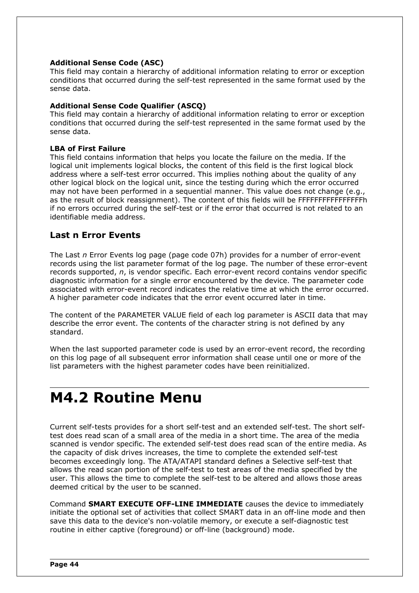#### **Additional Sense Code (ASC)**

This field may contain a hierarchy of additional information relating to error or exception conditions that occurred during the self-test represented in the same format used by the sense data.

#### **Additional Sense Code Qualifier (ASCQ)**

This field may contain a hierarchy of additional information relating to error or exception conditions that occurred during the self-test represented in the same format used by the sense data.

#### **LBA of First Failure**

This field contains information that helps you locate the failure on the media. If the logical unit implements logical blocks, the content of this field is the first logical block address where a self-test error occurred. This implies nothing about the quality of any other logical block on the logical unit, since the testing during which the error occurred may not have been performed in a sequential manner. This value does not change (e.g., as the result of block reassignment). The content of this fields will be FFFFFFFFFFFFFFFFh if no errors occurred during the self-test or if the error that occurred is not related to an identifiable media address.

### **Last n Error Events**

The Last *n* Error Events log page (page code 07h) provides for a number of error-event records using the list parameter format of the log page. The number of these error-event records supported, *n*, is vendor specific. Each error-event record contains vendor specific diagnostic information for a single error encountered by the device. The parameter code associated with error-event record indicates the relative time at which the error occurred. A higher parameter code indicates that the error event occurred later in time.

The content of the PARAMETER VALUE field of each log parameter is ASCII data that may describe the error event. The contents of the character string is not defined by any standard.

When the last supported parameter code is used by an error-event record, the recording on this log page of all subsequent error information shall cease until one or more of the list parameters with the highest parameter codes have been reinitialized.

## **M4.2 Routine Menu**

Current self-tests provides for a short self-test and an extended self-test. The short selftest does read scan of a small area of the media in a short time. The area of the media scanned is vendor specific. The extended self-test does read scan of the entire media. As the capacity of disk drives increases, the time to complete the extended self-test becomes exceedingly long. The ATA/ATAPI standard defines a Selective self-test that allows the read scan portion of the self-test to test areas of the media specified by the user. This allows the time to complete the self-test to be altered and allows those areas deemed critical by the user to be scanned.

Command **SMART EXECUTE OFF-LINE IMMEDIATE** causes the device to immediately initiate the optional set of activities that collect SMART data in an off-line mode and then save this data to the device's non-volatile memory, or execute a self-diagnostic test routine in either captive (foreground) or off-line (background) mode.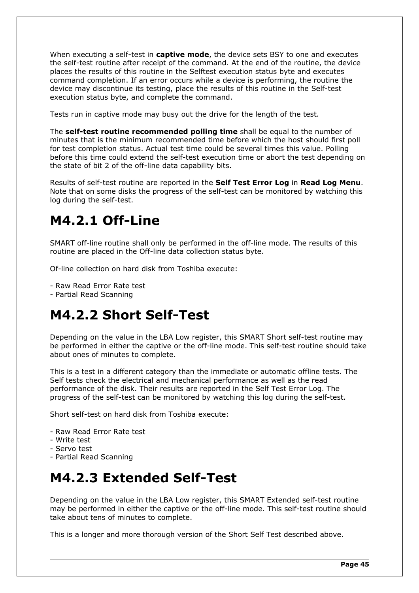When executing a self-test in **captive mode**, the device sets BSY to one and executes the self-test routine after receipt of the command. At the end of the routine, the device places the results of this routine in the Selftest execution status byte and executes command completion. If an error occurs while a device is performing, the routine the device may discontinue its testing, place the results of this routine in the Self-test execution status byte, and complete the command.

Tests run in captive mode may busy out the drive for the length of the test.

The **self-test routine recommended polling time** shall be equal to the number of minutes that is the minimum recommended time before which the host should first poll for test completion status. Actual test time could be several times this value. Polling before this time could extend the self-test execution time or abort the test depending on the state of bit 2 of the off-line data capability bits.

Results of self-test routine are reported in the **Self Test Error Log** in **Read Log Menu**. Note that on some disks the progress of the self-test can be monitored by watching this log during the self-test.

# **M4.2.1 Off-Line**

SMART off-line routine shall only be performed in the off-line mode. The results of this routine are placed in the Off-line data collection status byte.

Of-line collection on hard disk from Toshiba execute:

- Raw Read Error Rate test

- Partial Read Scanning

## **M4.2.2 Short Self-Test**

Depending on the value in the LBA Low register, this SMART Short self-test routine may be performed in either the captive or the off-line mode. This self-test routine should take about ones of minutes to complete.

This is a test in a different category than the immediate or automatic offline tests. The Self tests check the electrical and mechanical performance as well as the read performance of the disk. Their results are reported in the Self Test Error Log. The progress of the self-test can be monitored by watching this log during the self-test.

Short self-test on hard disk from Toshiba execute:

- Raw Read Error Rate test
- Write test
- Servo test
- Partial Read Scanning

## **M4.2.3 Extended Self-Test**

Depending on the value in the LBA Low register, this SMART Extended self-test routine may be performed in either the captive or the off-line mode. This self-test routine should take about tens of minutes to complete.

This is a longer and more thorough version of the Short Self Test described above.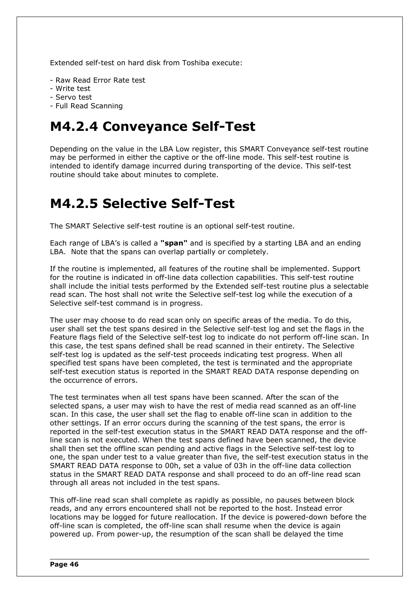Extended self-test on hard disk from Toshiba execute:

- Raw Read Error Rate test
- Write test
- Servo test
- Full Read Scanning

## **M4.2.4 Conveyance Self-Test**

Depending on the value in the LBA Low register, this SMART Conveyance self-test routine may be performed in either the captive or the off-line mode. This self-test routine is intended to identify damage incurred during transporting of the device. This self-test routine should take about minutes to complete.

## **M4.2.5 Selective Self-Test**

The SMART Selective self-test routine is an optional self-test routine.

Each range of LBA's is called a **"span"** and is specified by a starting LBA and an ending LBA. Note that the spans can overlap partially or completely.

If the routine is implemented, all features of the routine shall be implemented. Support for the routine is indicated in off-line data collection capabilities. This self-test routine shall include the initial tests performed by the Extended self-test routine plus a selectable read scan. The host shall not write the Selective self-test log while the execution of a Selective self-test command is in progress.

The user may choose to do read scan only on specific areas of the media. To do this, user shall set the test spans desired in the Selective self-test log and set the flags in the Feature flags field of the Selective self-test log to indicate do not perform off-line scan. In this case, the test spans defined shall be read scanned in their entirety. The Selective self-test log is updated as the self-test proceeds indicating test progress. When all specified test spans have been completed, the test is terminated and the appropriate self-test execution status is reported in the SMART READ DATA response depending on the occurrence of errors.

The test terminates when all test spans have been scanned. After the scan of the selected spans, a user may wish to have the rest of media read scanned as an off-line scan. In this case, the user shall set the flag to enable off-line scan in addition to the other settings. If an error occurs during the scanning of the test spans, the error is reported in the self-test execution status in the SMART READ DATA response and the offline scan is not executed. When the test spans defined have been scanned, the device shall then set the offline scan pending and active flags in the Selective self-test log to one, the span under test to a value greater than five, the self-test execution status in the SMART READ DATA response to 00h, set a value of 03h in the off-line data collection status in the SMART READ DATA response and shall proceed to do an off-line read scan through all areas not included in the test spans.

This off-line read scan shall complete as rapidly as possible, no pauses between block reads, and any errors encountered shall not be reported to the host. Instead error locations may be logged for future reallocation. If the device is powered-down before the off-line scan is completed, the off-line scan shall resume when the device is again powered up. From power-up, the resumption of the scan shall be delayed the time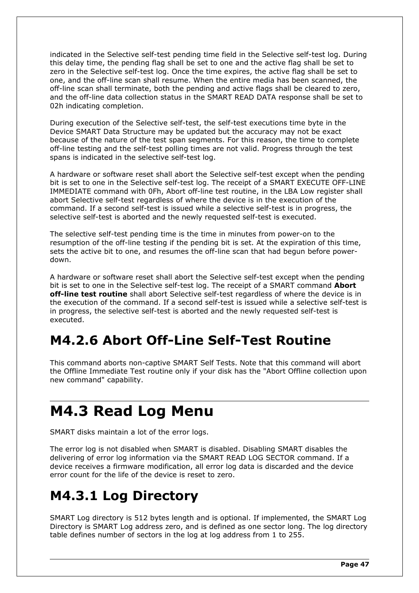indicated in the Selective self-test pending time field in the Selective self-test log. During this delay time, the pending flag shall be set to one and the active flag shall be set to zero in the Selective self-test log. Once the time expires, the active flag shall be set to one, and the off-line scan shall resume. When the entire media has been scanned, the off-line scan shall terminate, both the pending and active flags shall be cleared to zero, and the off-line data collection status in the SMART READ DATA response shall be set to 02h indicating completion.

During execution of the Selective self-test, the self-test executions time byte in the Device SMART Data Structure may be updated but the accuracy may not be exact because of the nature of the test span segments. For this reason, the time to complete off-line testing and the self-test polling times are not valid. Progress through the test spans is indicated in the selective self-test log.

A hardware or software reset shall abort the Selective self-test except when the pending bit is set to one in the Selective self-test log. The receipt of a SMART EXECUTE OFF-LINE IMMEDIATE command with 0Fh, Abort off-line test routine, in the LBA Low register shall abort Selective self-test regardless of where the device is in the execution of the command. If a second self-test is issued while a selective self-test is in progress, the selective self-test is aborted and the newly requested self-test is executed.

The selective self-test pending time is the time in minutes from power-on to the resumption of the off-line testing if the pending bit is set. At the expiration of this time, sets the active bit to one, and resumes the off-line scan that had begun before powerdown.

A hardware or software reset shall abort the Selective self-test except when the pending bit is set to one in the Selective self-test log. The receipt of a SMART command **Abort off-line test routine** shall abort Selective self-test regardless of where the device is in the execution of the command. If a second self-test is issued while a selective self-test is in progress, the selective self-test is aborted and the newly requested self-test is executed.

## **M4.2.6 Abort Off-Line Self-Test Routine**

This command aborts non-captive SMART Self Tests. Note that this command will abort the Offline Immediate Test routine only if your disk has the "Abort Offline collection upon new command" capability.

# **M4.3 Read Log Menu**

SMART disks maintain a lot of the error logs.

The error log is not disabled when SMART is disabled. Disabling SMART disables the delivering of error log information via the SMART READ LOG SECTOR command. If a device receives a firmware modification, all error log data is discarded and the device error count for the life of the device is reset to zero.

## **M4.3.1 Log Directory**

SMART Log directory is 512 bytes length and is optional. If implemented, the SMART Log Directory is SMART Log address zero, and is defined as one sector long. The log directory table defines number of sectors in the log at log address from 1 to 255.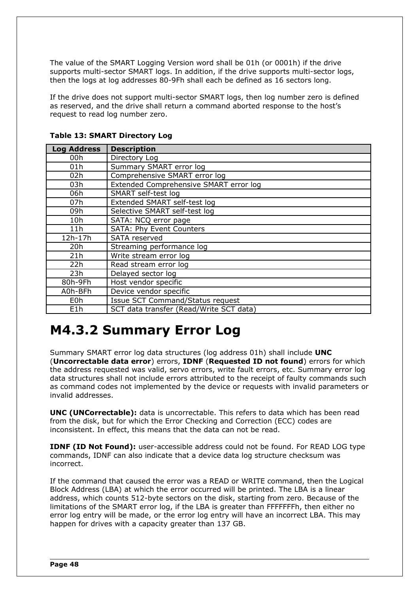The value of the SMART Logging Version word shall be 01h (or 0001h) if the drive supports multi-sector SMART logs. In addition, if the drive supports multi-sector logs, then the logs at log addresses 80-9Fh shall each be defined as 16 sectors long.

If the drive does not support multi-sector SMART logs, then log number zero is defined as reserved, and the drive shall return a command aborted response to the host's request to read log number zero.

| <b>Log Address</b> | <b>Description</b>                      |  |  |
|--------------------|-----------------------------------------|--|--|
| 00h                | Directory Log                           |  |  |
| 01h                | Summary SMART error log                 |  |  |
| 02h                | Comprehensive SMART error log           |  |  |
| 03h                | Extended Comprehensive SMART error log  |  |  |
| 06h                | SMART self-test log                     |  |  |
| 07h                | Extended SMART self-test log            |  |  |
| 09h                | Selective SMART self-test log           |  |  |
| 10h                | SATA: NCQ error page                    |  |  |
| 11h                | SATA: Phy Event Counters                |  |  |
| 12h-17h            | SATA reserved                           |  |  |
| 20h                | Streaming performance log               |  |  |
| 21h                | Write stream error log                  |  |  |
| 22h                | Read stream error log                   |  |  |
| 23h                | Delayed sector log                      |  |  |
| 80h-9Fh            | Host vendor specific                    |  |  |
| A0h-BFh            | Device vendor specific                  |  |  |
| E <sub>0</sub> h   | Issue SCT Command/Status request        |  |  |
| E1h                | SCT data transfer (Read/Write SCT data) |  |  |

### **Table 13: SMART Directory Log**

## **M4.3.2 Summary Error Log**

Summary SMART error log data structures (log address 01h) shall include **UNC** (**Uncorrectable data error**) errors, **IDNF** (**Requested ID not found**) errors for which the address requested was valid, servo errors, write fault errors, etc. Summary error log data structures shall not include errors attributed to the receipt of faulty commands such as command codes not implemented by the device or requests with invalid parameters or invalid addresses.

**UNC (UNCorrectable):** data is uncorrectable. This refers to data which has been read from the disk, but for which the Error Checking and Correction (ECC) codes are inconsistent. In effect, this means that the data can not be read.

**IDNF (ID Not Found):** user-accessible address could not be found. For READ LOG type commands, IDNF can also indicate that a device data log structure checksum was incorrect.

If the command that caused the error was a READ or WRITE command, then the Logical Block Address (LBA) at which the error occurred will be printed. The LBA is a linear address, which counts 512-byte sectors on the disk, starting from zero. Because of the limitations of the SMART error log, if the LBA is greater than FFFFFFFh, then either no error log entry will be made, or the error log entry will have an incorrect LBA. This may happen for drives with a capacity greater than 137 GB.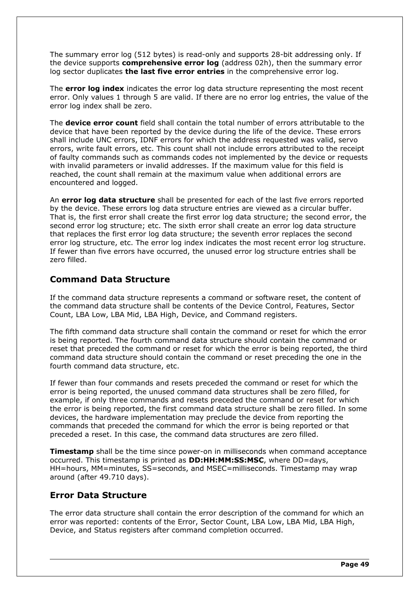The summary error log (512 bytes) is read-only and supports 28-bit addressing only. If the device supports **comprehensive error log** (address 02h), then the summary error log sector duplicates **the last five error entries** in the comprehensive error log.

The **error log index** indicates the error log data structure representing the most recent error. Only values 1 through 5 are valid. If there are no error log entries, the value of the error log index shall be zero.

The **device error count** field shall contain the total number of errors attributable to the device that have been reported by the device during the life of the device. These errors shall include UNC errors, IDNF errors for which the address requested was valid, servo errors, write fault errors, etc. This count shall not include errors attributed to the receipt of faulty commands such as commands codes not implemented by the device or requests with invalid parameters or invalid addresses. If the maximum value for this field is reached, the count shall remain at the maximum value when additional errors are encountered and logged.

An **error log data structure** shall be presented for each of the last five errors reported by the device. These errors log data structure entries are viewed as a circular buffer. That is, the first error shall create the first error log data structure; the second error, the second error log structure; etc. The sixth error shall create an error log data structure that replaces the first error log data structure; the seventh error replaces the second error log structure, etc. The error log index indicates the most recent error log structure. If fewer than five errors have occurred, the unused error log structure entries shall be zero filled.

### **Command Data Structure**

If the command data structure represents a command or software reset, the content of the command data structure shall be contents of the Device Control, Features, Sector Count, LBA Low, LBA Mid, LBA High, Device, and Command registers.

The fifth command data structure shall contain the command or reset for which the error is being reported. The fourth command data structure should contain the command or reset that preceded the command or reset for which the error is being reported, the third command data structure should contain the command or reset preceding the one in the fourth command data structure, etc.

If fewer than four commands and resets preceded the command or reset for which the error is being reported, the unused command data structures shall be zero filled, for example, if only three commands and resets preceded the command or reset for which the error is being reported, the first command data structure shall be zero filled. In some devices, the hardware implementation may preclude the device from reporting the commands that preceded the command for which the error is being reported or that preceded a reset. In this case, the command data structures are zero filled.

**Timestamp** shall be the time since power-on in milliseconds when command acceptance occurred. This timestamp is printed as **DD:HH:MM:SS:MSC**, where DD=days, HH=hours, MM=minutes, SS=seconds, and MSEC=milliseconds. Timestamp may wrap around (after 49.710 days).

### **Error Data Structure**

The error data structure shall contain the error description of the command for which an error was reported: contents of the Error, Sector Count, LBA Low, LBA Mid, LBA High, Device, and Status registers after command completion occurred.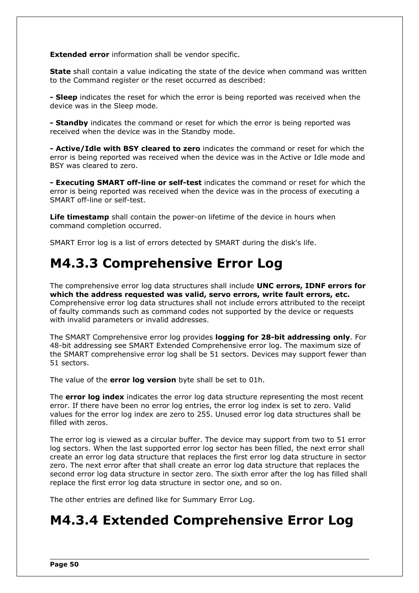**Extended error** information shall be vendor specific.

**State** shall contain a value indicating the state of the device when command was written to the Command register or the reset occurred as described:

**- Sleep** indicates the reset for which the error is being reported was received when the device was in the Sleep mode.

**- Standby** indicates the command or reset for which the error is being reported was received when the device was in the Standby mode.

**- Active/Idle with BSY cleared to zero** indicates the command or reset for which the error is being reported was received when the device was in the Active or Idle mode and BSY was cleared to zero.

**- Executing SMART off-line or self-test** indicates the command or reset for which the error is being reported was received when the device was in the process of executing a SMART off-line or self-test.

**Life timestamp** shall contain the power-on lifetime of the device in hours when command completion occurred.

SMART Error log is a list of errors detected by SMART during the disk's life.

## **M4.3.3 Comprehensive Error Log**

The comprehensive error log data structures shall include **UNC errors, IDNF errors for which the address requested was valid, servo errors, write fault errors, etc.** Comprehensive error log data structures shall not include errors attributed to the receipt of faulty commands such as command codes not supported by the device or requests with invalid parameters or invalid addresses.

The SMART Comprehensive error log provides **logging for 28-bit addressing only**. For 48-bit addressing see SMART Extended Comprehensive error log. The maximum size of the SMART comprehensive error log shall be 51 sectors. Devices may support fewer than 51 sectors.

The value of the **error log version** byte shall be set to 01h.

The **error log index** indicates the error log data structure representing the most recent error. If there have been no error log entries, the error log index is set to zero. Valid values for the error log index are zero to 255. Unused error log data structures shall be filled with zeros.

The error log is viewed as a circular buffer. The device may support from two to 51 error log sectors. When the last supported error log sector has been filled, the next error shall create an error log data structure that replaces the first error log data structure in sector zero. The next error after that shall create an error log data structure that replaces the second error log data structure in sector zero. The sixth error after the log has filled shall replace the first error log data structure in sector one, and so on.

The other entries are defined like for Summary Error Log.

## **M4.3.4 Extended Comprehensive Error Log**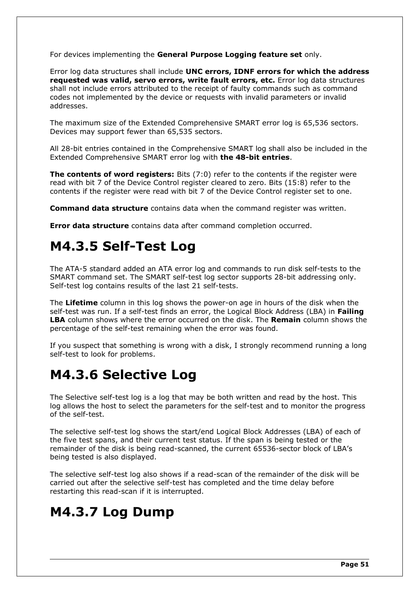For devices implementing the **General Purpose Logging feature set** only.

Error log data structures shall include **UNC errors, IDNF errors for which the address requested was valid, servo errors, write fault errors, etc.** Error log data structures shall not include errors attributed to the receipt of faulty commands such as command codes not implemented by the device or requests with invalid parameters or invalid addresses.

The maximum size of the Extended Comprehensive SMART error log is 65,536 sectors. Devices may support fewer than 65,535 sectors.

All 28-bit entries contained in the Comprehensive SMART log shall also be included in the Extended Comprehensive SMART error log with **the 48-bit entries**.

**The contents of word registers:** Bits (7:0) refer to the contents if the register were read with bit 7 of the Device Control register cleared to zero. Bits (15:8) refer to the contents if the register were read with bit 7 of the Device Control register set to one.

**Command data structure** contains data when the command register was written.

**Error data structure** contains data after command completion occurred.

## **M4.3.5 Self-Test Log**

The ATA-5 standard added an ATA error log and commands to run disk self-tests to the SMART command set. The SMART self-test log sector supports 28-bit addressing only. Self-test log contains results of the last 21 self-tests.

The **Lifetime** column in this log shows the power-on age in hours of the disk when the self-test was run. If a self-test finds an error, the Logical Block Address (LBA) in **Failing LBA** column shows where the error occurred on the disk. The **Remain** column shows the percentage of the self-test remaining when the error was found.

If you suspect that something is wrong with a disk, I strongly recommend running a long self-test to look for problems.

## **M4.3.6 Selective Log**

The Selective self-test log is a log that may be both written and read by the host. This log allows the host to select the parameters for the self-test and to monitor the progress of the self-test.

The selective self-test log shows the start/end Logical Block Addresses (LBA) of each of the five test spans, and their current test status. If the span is being tested or the remainder of the disk is being read-scanned, the current 65536-sector block of LBA's being tested is also displayed.

The selective self-test log also shows if a read-scan of the remainder of the disk will be carried out after the selective self-test has completed and the time delay before restarting this read-scan if it is interrupted.

## **M4.3.7 Log Dump**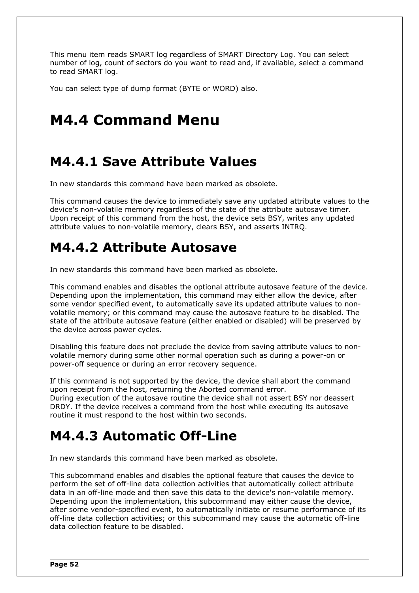This menu item reads SMART log regardless of SMART Directory Log. You can select number of log, count of sectors do you want to read and, if available, select a command to read SMART log.

You can select type of dump format (BYTE or WORD) also.

# **M4.4 Command Menu**

## **M4.4.1 Save Attribute Values**

In new standards this command have been marked as obsolete.

This command causes the device to immediately save any updated attribute values to the device's non-volatile memory regardless of the state of the attribute autosave timer. Upon receipt of this command from the host, the device sets BSY, writes any updated attribute values to non-volatile memory, clears BSY, and asserts INTRQ.

## **M4.4.2 Attribute Autosave**

In new standards this command have been marked as obsolete.

This command enables and disables the optional attribute autosave feature of the device. Depending upon the implementation, this command may either allow the device, after some vendor specified event, to automatically save its updated attribute values to nonvolatile memory; or this command may cause the autosave feature to be disabled. The state of the attribute autosave feature (either enabled or disabled) will be preserved by the device across power cycles.

Disabling this feature does not preclude the device from saving attribute values to nonvolatile memory during some other normal operation such as during a power-on or power-off sequence or during an error recovery sequence.

If this command is not supported by the device, the device shall abort the command upon receipt from the host, returning the Aborted command error.

During execution of the autosave routine the device shall not assert BSY nor deassert DRDY. If the device receives a command from the host while executing its autosave routine it must respond to the host within two seconds.

## **M4.4.3 Automatic Off-Line**

In new standards this command have been marked as obsolete.

This subcommand enables and disables the optional feature that causes the device to perform the set of off-line data collection activities that automatically collect attribute data in an off-line mode and then save this data to the device's non-volatile memory. Depending upon the implementation, this subcommand may either cause the device, after some vendor-specified event, to automatically initiate or resume performance of its off-line data collection activities; or this subcommand may cause the automatic off-line data collection feature to be disabled.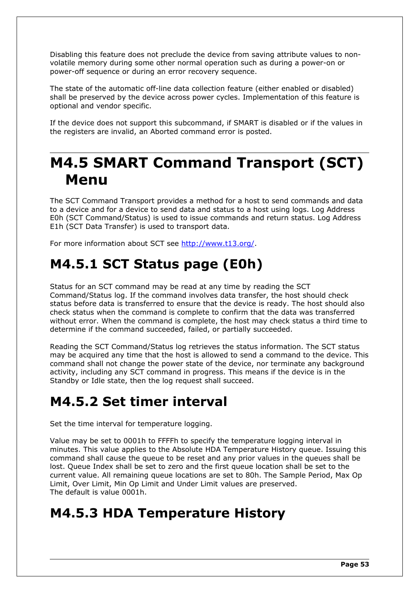Disabling this feature does not preclude the device from saving attribute values to nonvolatile memory during some other normal operation such as during a power-on or power-off sequence or during an error recovery sequence.

The state of the automatic off-line data collection feature (either enabled or disabled) shall be preserved by the device across power cycles. Implementation of this feature is optional and vendor specific.

If the device does not support this subcommand, if SMART is disabled or if the values in the registers are invalid, an Aborted command error is posted.

# **M4.5 SMART Command Transport (SCT) Menu**

The SCT Command Transport provides a method for a host to send commands and data to a device and for a device to send data and status to a host using logs. Log Address E0h (SCT Command/Status) is used to issue commands and return status. Log Address E1h (SCT Data Transfer) is used to transport data.

For more information about SCT see [http://www.t13.org/.](http://www.t13.org/)

## **M4.5.1 SCT Status page (E0h)**

Status for an SCT command may be read at any time by reading the SCT Command/Status log. If the command involves data transfer, the host should check status before data is transferred to ensure that the device is ready. The host should also check status when the command is complete to confirm that the data was transferred without error. When the command is complete, the host may check status a third time to determine if the command succeeded, failed, or partially succeeded.

Reading the SCT Command/Status log retrieves the status information. The SCT status may be acquired any time that the host is allowed to send a command to the device. This command shall not change the power state of the device, nor terminate any background activity, including any SCT command in progress. This means if the device is in the Standby or Idle state, then the log request shall succeed.

## **M4.5.2 Set timer interval**

Set the time interval for temperature logging.

Value may be set to 0001h to FFFFh to specify the temperature logging interval in minutes. This value applies to the Absolute HDA Temperature History queue. Issuing this command shall cause the queue to be reset and any prior values in the queues shall be lost. Queue Index shall be set to zero and the first queue location shall be set to the current value. All remaining queue locations are set to 80h. The Sample Period, Max Op Limit, Over Limit, Min Op Limit and Under Limit values are preserved. The default is value 0001h.

## **M4.5.3 HDA Temperature History**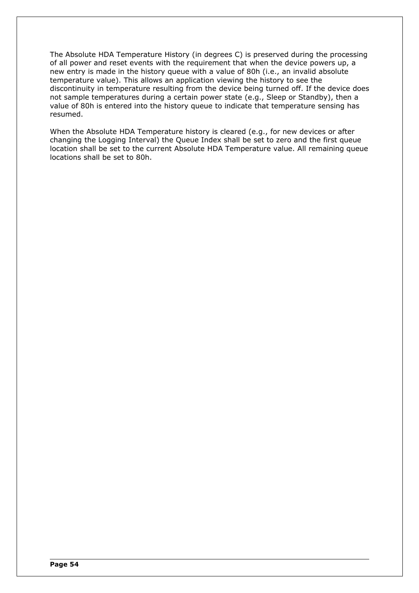The Absolute HDA Temperature History (in degrees C) is preserved during the processing of all power and reset events with the requirement that when the device powers up, a new entry is made in the history queue with a value of 80h (i.e., an invalid absolute temperature value). This allows an application viewing the history to see the discontinuity in temperature resulting from the device being turned off. If the device does not sample temperatures during a certain power state (e.g., Sleep or Standby), then a value of 80h is entered into the history queue to indicate that temperature sensing has resumed.

When the Absolute HDA Temperature history is cleared (e.g., for new devices or after changing the Logging Interval) the Queue Index shall be set to zero and the first queue location shall be set to the current Absolute HDA Temperature value. All remaining queue locations shall be set to 80h.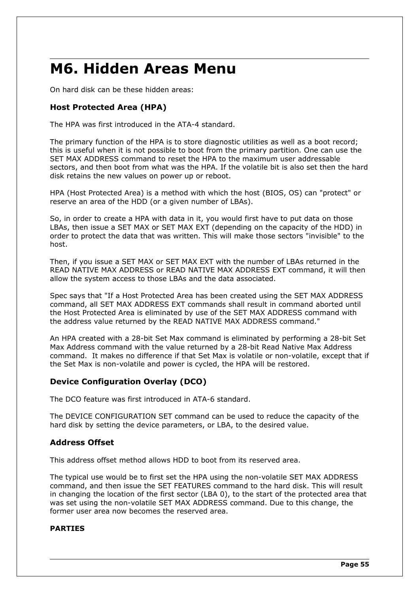# **M6. Hidden Areas Menu**

On hard disk can be these hidden areas:

### **Host Protected Area (HPA)**

The HPA was first introduced in the ATA-4 standard.

The primary function of the HPA is to store diagnostic utilities as well as a boot record; this is useful when it is not possible to boot from the primary partition. One can use the SET MAX ADDRESS command to reset the HPA to the maximum user addressable sectors, and then boot from what was the HPA. If the volatile bit is also set then the hard disk retains the new values on power up or reboot.

HPA (Host Protected Area) is a method with which the host (BIOS, OS) can "protect" or reserve an area of the HDD (or a given number of LBAs).

So, in order to create a HPA with data in it, you would first have to put data on those LBAs, then issue a SET MAX or SET MAX EXT (depending on the capacity of the HDD) in order to protect the data that was written. This will make those sectors "invisible" to the host.

Then, if you issue a SET MAX or SET MAX EXT with the number of LBAs returned in the READ NATIVE MAX ADDRESS or READ NATIVE MAX ADDRESS EXT command, it will then allow the system access to those LBAs and the data associated.

Spec says that "If a Host Protected Area has been created using the SET MAX ADDRESS command, all SET MAX ADDRESS EXT commands shall result in command aborted until the Host Protected Area is eliminated by use of the SET MAX ADDRESS command with the address value returned by the READ NATIVE MAX ADDRESS command."

An HPA created with a 28-bit Set Max command is eliminated by performing a 28-bit Set Max Address command with the value returned by a 28-bit Read Native Max Address command. It makes no difference if that Set Max is volatile or non-volatile, except that if the Set Max is non-volatile and power is cycled, the HPA will be restored.

### **Device Configuration Overlay (DCO)**

The DCO feature was first introduced in ATA-6 standard.

The DEVICE CONFIGURATION SET command can be used to reduce the capacity of the hard disk by setting the device parameters, or LBA, to the desired value.

### **Address Offset**

This address offset method allows HDD to boot from its reserved area.

The typical use would be to first set the HPA using the non-volatile SET MAX ADDRESS command, and then issue the SET FEATURES command to the hard disk. This will result in changing the location of the first sector (LBA 0), to the start of the protected area that was set using the non-volatile SET MAX ADDRESS command. Due to this change, the former user area now becomes the reserved area.

### **PARTIES**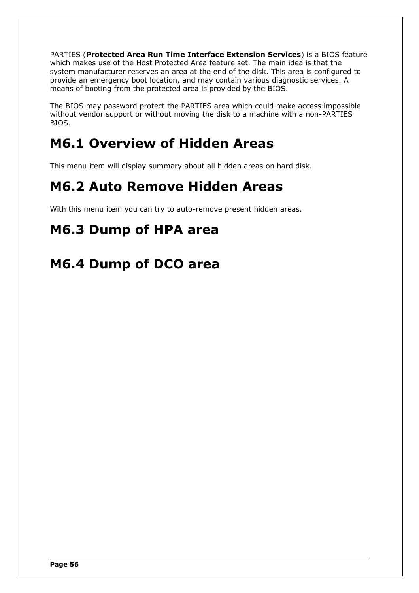PARTIES (**Protected Area Run Time Interface Extension Services**) is a BIOS feature which makes use of the Host Protected Area feature set. The main idea is that the system manufacturer reserves an area at the end of the disk. This area is configured to provide an emergency boot location, and may contain various diagnostic services. A means of booting from the protected area is provided by the BIOS.

The BIOS may password protect the PARTIES area which could make access impossible without vendor support or without moving the disk to a machine with a non-PARTIES BIOS.

## **M6.1 Overview of Hidden Areas**

This menu item will display summary about all hidden areas on hard disk.

## **M6.2 Auto Remove Hidden Areas**

With this menu item you can try to auto-remove present hidden areas.

# **M6.3 Dump of HPA area**

## **M6.4 Dump of DCO area**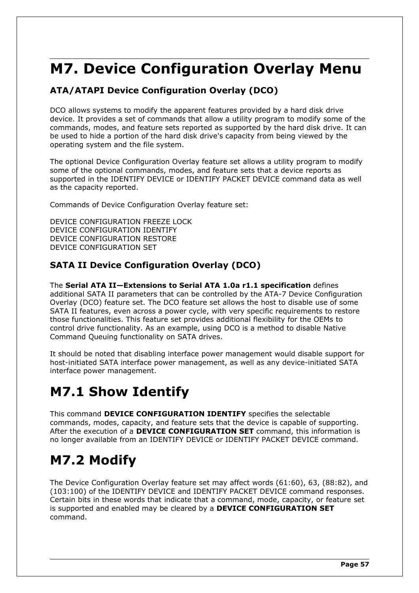# **M7. Device Configuration Overlay Menu**

## **ATA/ATAPI Device Configuration Overlay (DCO)**

DCO allows systems to modify the apparent features provided by a hard disk drive device. It provides a set of commands that allow a utility program to modify some of the commands, modes, and feature sets reported as supported by the hard disk drive. It can be used to hide a portion of the hard disk drive's capacity from being viewed by the operating system and the file system.

The optional Device Configuration Overlay feature set allows a utility program to modify some of the optional commands, modes, and feature sets that a device reports as supported in the IDENTIFY DEVICE or IDENTIFY PACKET DEVICE command data as well as the capacity reported.

Commands of Device Configuration Overlay feature set:

DEVICE CONFIGURATION FREEZE LOCK DEVICE CONFIGURATION IDENTIFY DEVICE CONFIGURATION RESTORE DEVICE CONFIGURATION SET

### **SATA II Device Configuration Overlay (DCO)**

The **Serial ATA II—Extensions to Serial ATA 1.0a r1.1 specification** defines additional SATA II parameters that can be controlled by the ATA-7 Device Configuration Overlay (DCO) feature set. The DCO feature set allows the host to disable use of some SATA II features, even across a power cycle, with very specific requirements to restore those functionalities. This feature set provides additional flexibility for the OEMs to control drive functionality. As an example, using DCO is a method to disable Native Command Queuing functionality on SATA drives.

It should be noted that disabling interface power management would disable support for host-initiated SATA interface power management, as well as any device-initiated SATA interface power management.

## **M7.1 Show Identify**

This command **DEVICE CONFIGURATION IDENTIFY** specifies the selectable commands, modes, capacity, and feature sets that the device is capable of supporting. After the execution of a **DEVICE CONFIGURATION SET** command, this information is no longer available from an IDENTIFY DEVICE or IDENTIFY PACKET DEVICE command.

# **M7.2 Modify**

The Device Configuration Overlay feature set may affect words (61:60), 63, (88:82), and (103:100) of the IDENTIFY DEVICE and IDENTIFY PACKET DEVICE command responses. Certain bits in these words that indicate that a command, mode, capacity, or feature set is supported and enabled may be cleared by a **DEVICE CONFIGURATION SET** command.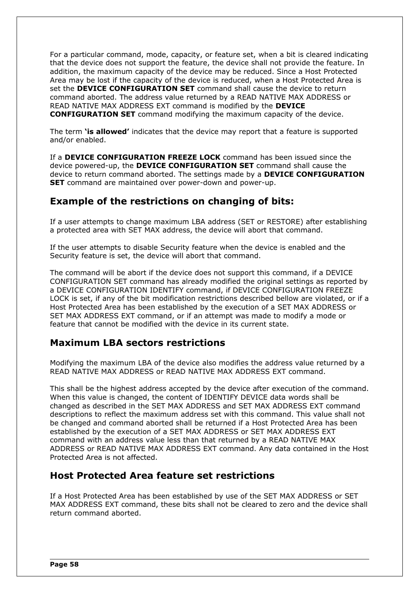For a particular command, mode, capacity, or feature set, when a bit is cleared indicating that the device does not support the feature, the device shall not provide the feature. In addition, the maximum capacity of the device may be reduced. Since a Host Protected Area may be lost if the capacity of the device is reduced, when a Host Protected Area is set the **DEVICE CONFIGURATION SET** command shall cause the device to return command aborted. The address value returned by a READ NATIVE MAX ADDRESS or READ NATIVE MAX ADDRESS EXT command is modified by the **DEVICE CONFIGURATION SET** command modifying the maximum capacity of the device.

The term **'is allowed'** indicates that the device may report that a feature is supported and/or enabled.

If a **DEVICE CONFIGURATION FREEZE LOCK** command has been issued since the device powered-up, the **DEVICE CONFIGURATION SET** command shall cause the device to return command aborted. The settings made by a **DEVICE CONFIGURATION SET** command are maintained over power-down and power-up.

### **Example of the restrictions on changing of bits:**

If a user attempts to change maximum LBA address (SET or RESTORE) after establishing a protected area with SET MAX address, the device will abort that command.

If the user attempts to disable Security feature when the device is enabled and the Security feature is set, the device will abort that command.

The command will be abort if the device does not support this command, if a DEVICE CONFIGURATION SET command has already modified the original settings as reported by a DEVICE CONFIGURATION IDENTIFY command, if DEVICE CONFIGURATION FREEZE LOCK is set, if any of the bit modification restrictions described bellow are violated, or if a Host Protected Area has been established by the execution of a SET MAX ADDRESS or SET MAX ADDRESS EXT command, or if an attempt was made to modify a mode or feature that cannot be modified with the device in its current state.

### **Maximum LBA sectors restrictions**

Modifying the maximum LBA of the device also modifies the address value returned by a READ NATIVE MAX ADDRESS or READ NATIVE MAX ADDRESS EXT command.

This shall be the highest address accepted by the device after execution of the command. When this value is changed, the content of IDENTIFY DEVICE data words shall be changed as described in the SET MAX ADDRESS and SET MAX ADDRESS EXT command descriptions to reflect the maximum address set with this command. This value shall not be changed and command aborted shall be returned if a Host Protected Area has been established by the execution of a SET MAX ADDRESS or SET MAX ADDRESS EXT command with an address value less than that returned by a READ NATIVE MAX ADDRESS or READ NATIVE MAX ADDRESS EXT command. Any data contained in the Host Protected Area is not affected.

### **Host Protected Area feature set restrictions**

If a Host Protected Area has been established by use of the SET MAX ADDRESS or SET MAX ADDRESS EXT command, these bits shall not be cleared to zero and the device shall return command aborted.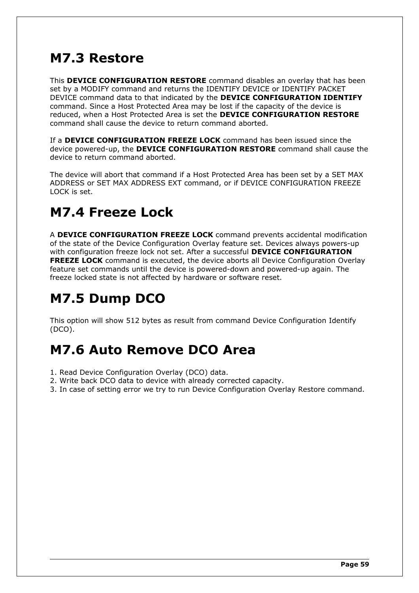## **M7.3 Restore**

This **DEVICE CONFIGURATION RESTORE** command disables an overlay that has been set by a MODIFY command and returns the IDENTIFY DEVICE or IDENTIFY PACKET DEVICE command data to that indicated by the **DEVICE CONFIGURATION IDENTIFY** command. Since a Host Protected Area may be lost if the capacity of the device is reduced, when a Host Protected Area is set the **DEVICE CONFIGURATION RESTORE** command shall cause the device to return command aborted.

If a **DEVICE CONFIGURATION FREEZE LOCK** command has been issued since the device powered-up, the **DEVICE CONFIGURATION RESTORE** command shall cause the device to return command aborted.

The device will abort that command if a Host Protected Area has been set by a SET MAX ADDRESS or SET MAX ADDRESS EXT command, or if DEVICE CONFIGURATION FREEZE LOCK is set.

## **M7.4 Freeze Lock**

A **DEVICE CONFIGURATION FREEZE LOCK** command prevents accidental modification of the state of the Device Configuration Overlay feature set. Devices always powers-up with configuration freeze lock not set. After a successful **DEVICE CONFIGURATION FREEZE LOCK** command is executed, the device aborts all Device Configuration Overlay feature set commands until the device is powered-down and powered-up again. The freeze locked state is not affected by hardware or software reset.

# **M7.5 Dump DCO**

This option will show 512 bytes as result from command Device Configuration Identify (DCO).

## **M7.6 Auto Remove DCO Area**

- 1. Read Device Configuration Overlay (DCO) data.
- 2. Write back DCO data to device with already corrected capacity.
- 3. In case of setting error we try to run Device Configuration Overlay Restore command.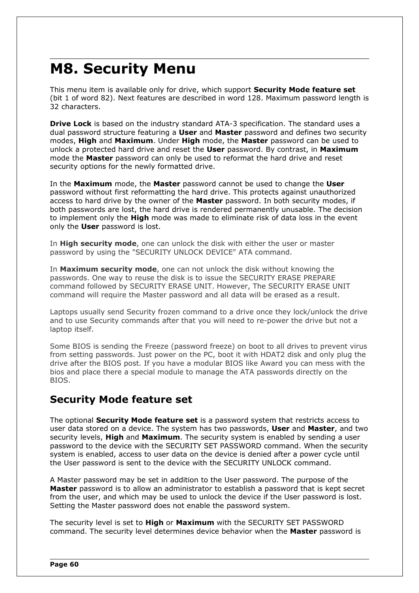# **M8. Security Menu**

This menu item is available only for drive, which support **Security Mode feature set** (bit 1 of word 82). Next features are described in word 128. Maximum password length is 32 characters.

**Drive Lock** is based on the industry standard ATA-3 specification. The standard uses a dual password structure featuring a **User** and **Master** password and defines two security modes, **High** and **Maximum**. Under **High** mode, the **Master** password can be used to unlock a protected hard drive and reset the **User** password. By contrast, in **Maximum** mode the **Master** password can only be used to reformat the hard drive and reset security options for the newly formatted drive.

In the **Maximum** mode, the **Master** password cannot be used to change the **User** password without first reformatting the hard drive. This protects against unauthorized access to hard drive by the owner of the **Master** password. In both security modes, if both passwords are lost, the hard drive is rendered permanently unusable. The decision to implement only the **High** mode was made to eliminate risk of data loss in the event only the **User** password is lost.

In **High security mode**, one can unlock the disk with either the user or master password by using the "SECURITY UNLOCK DEVICE" ATA command.

In **Maximum security mode**, one can not unlock the disk without knowing the passwords. One way to reuse the disk is to issue the SECURITY ERASE PREPARE command followed by SECURITY ERASE UNIT. However, The SECURITY ERASE UNIT command will require the Master password and all data will be erased as a result.

Laptops usually send Security frozen command to a drive once they lock/unlock the drive and to use Security commands after that you will need to re-power the drive but not a laptop itself.

Some BIOS is sending the Freeze (password freeze) on boot to all drives to prevent virus from setting passwords. Just power on the PC, boot it with HDAT2 disk and only plug the drive after the BIOS post. If you have a modular BIOS like Award you can mess with the bios and place there a special module to manage the ATA passwords directly on the **BIOS** 

## **Security Mode feature set**

The optional **Security Mode feature set** is a password system that restricts access to user data stored on a device. The system has two passwords, **User** and **Master**, and two security levels, **High** and **Maximum**. The security system is enabled by sending a user password to the device with the SECURITY SET PASSWORD command. When the security system is enabled, access to user data on the device is denied after a power cycle until the User password is sent to the device with the SECURITY UNLOCK command.

A Master password may be set in addition to the User password. The purpose of the **Master** password is to allow an administrator to establish a password that is kept secret from the user, and which may be used to unlock the device if the User password is lost. Setting the Master password does not enable the password system.

The security level is set to **High** or **Maximum** with the SECURITY SET PASSWORD command. The security level determines device behavior when the **Master** password is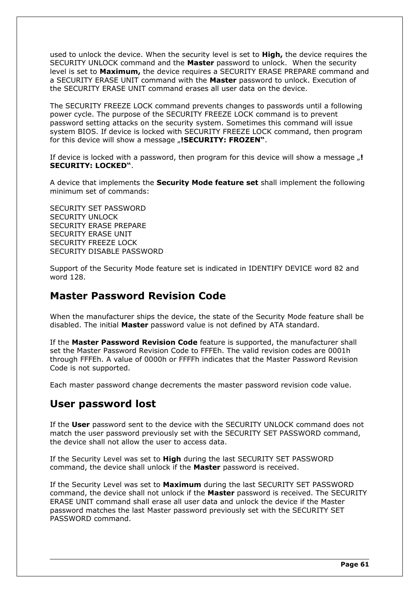used to unlock the device. When the security level is set to **High,** the device requires the SECURITY UNLOCK command and the **Master** password to unlock. When the security level is set to **Maximum,** the device requires a SECURITY ERASE PREPARE command and a SECURITY ERASE UNIT command with the **Master** password to unlock. Execution of the SECURITY ERASE UNIT command erases all user data on the device.

The SECURITY FREEZE LOCK command prevents changes to passwords until a following power cycle. The purpose of the SECURITY FREEZE LOCK command is to prevent password setting attacks on the security system. Sometimes this command will issue system BIOS. If device is locked with SECURITY FREEZE LOCK command, then program for this device will show a message "**!SECURITY: FROZEN**".

If device is locked with a password, then program for this device will show a message  $\mu$ ! **SECURITY: LOCKED"**.

A device that implements the **Security Mode feature set** shall implement the following minimum set of commands:

SECURITY SET PASSWORD SECURITY UNLOCK SECURITY ERASE PREPARE SECURITY ERASE UNIT SECURITY FREEZE LOCK SECURITY DISABLE PASSWORD

Support of the Security Mode feature set is indicated in IDENTIFY DEVICE word 82 and word 128.

## **Master Password Revision Code**

When the manufacturer ships the device, the state of the Security Mode feature shall be disabled. The initial **Master** password value is not defined by ATA standard.

If the **Master Password Revision Code** feature is supported, the manufacturer shall set the Master Password Revision Code to FFFEh. The valid revision codes are 0001h through FFFEh. A value of 0000h or FFFFh indicates that the Master Password Revision Code is not supported.

Each master password change decrements the master password revision code value.

## **User password lost**

If the **User** password sent to the device with the SECURITY UNLOCK command does not match the user password previously set with the SECURITY SET PASSWORD command, the device shall not allow the user to access data.

If the Security Level was set to **High** during the last SECURITY SET PASSWORD command, the device shall unlock if the **Master** password is received.

If the Security Level was set to **Maximum** during the last SECURITY SET PASSWORD command, the device shall not unlock if the **Master** password is received. The SECURITY ERASE UNIT command shall erase all user data and unlock the device if the Master password matches the last Master password previously set with the SECURITY SET PASSWORD command.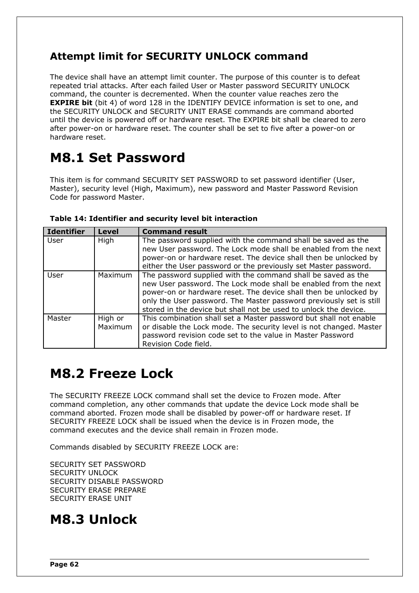## **Attempt limit for SECURITY UNLOCK command**

The device shall have an attempt limit counter. The purpose of this counter is to defeat repeated trial attacks. After each failed User or Master password SECURITY UNLOCK command, the counter is decremented. When the counter value reaches zero the **EXPIRE bit** (bit 4) of word 128 in the IDENTIFY DEVICE information is set to one, and the SECURITY UNLOCK and SECURITY UNIT ERASE commands are command aborted until the device is powered off or hardware reset. The EXPIRE bit shall be cleared to zero after power-on or hardware reset. The counter shall be set to five after a power-on or hardware reset.

# **M8.1 Set Password**

This item is for command SECURITY SET PASSWORD to set password identifier (User, Master), security level (High, Maximum), new password and Master Password Revision Code for password Master.

| <b>Identifier</b> | <b>Level</b>       | <b>Command result</b>                                                                                                                                                                                                                                                                                                                          |
|-------------------|--------------------|------------------------------------------------------------------------------------------------------------------------------------------------------------------------------------------------------------------------------------------------------------------------------------------------------------------------------------------------|
| User              | High               | The password supplied with the command shall be saved as the<br>new User password. The Lock mode shall be enabled from the next<br>power-on or hardware reset. The device shall then be unlocked by<br>either the User password or the previously set Master password.                                                                         |
| User              | Maximum            | The password supplied with the command shall be saved as the<br>new User password. The Lock mode shall be enabled from the next<br>power-on or hardware reset. The device shall then be unlocked by<br>only the User password. The Master password previously set is still<br>stored in the device but shall not be used to unlock the device. |
| Master            | High or<br>Maximum | This combination shall set a Master password but shall not enable<br>or disable the Lock mode. The security level is not changed. Master<br>password revision code set to the value in Master Password<br>Revision Code field.                                                                                                                 |

### **Table 14: Identifier and security level bit interaction**

## **M8.2 Freeze Lock**

The SECURITY FREEZE LOCK command shall set the device to Frozen mode. After command completion, any other commands that update the device Lock mode shall be command aborted. Frozen mode shall be disabled by power-off or hardware reset. If SECURITY FREEZE LOCK shall be issued when the device is in Frozen mode, the command executes and the device shall remain in Frozen mode.

Commands disabled by SECURITY FREEZE LOCK are:

SECURITY SET PASSWORD SECURITY UNLOCK SECURITY DISABLE PASSWORD SECURITY ERASE PREPARE SECURITY ERASE UNIT

## **M8.3 Unlock**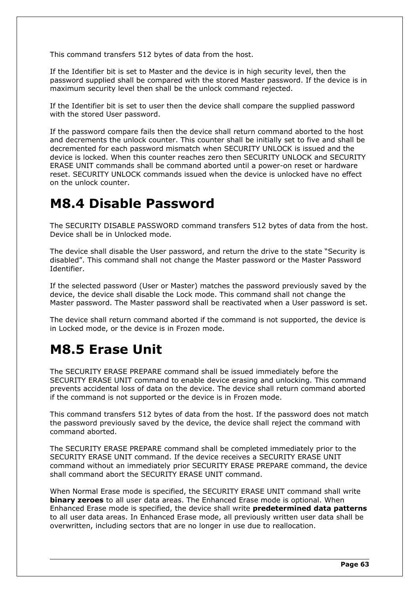This command transfers 512 bytes of data from the host.

If the Identifier bit is set to Master and the device is in high security level, then the password supplied shall be compared with the stored Master password. If the device is in maximum security level then shall be the unlock command rejected.

If the Identifier bit is set to user then the device shall compare the supplied password with the stored User password.

If the password compare fails then the device shall return command aborted to the host and decrements the unlock counter. This counter shall be initially set to five and shall be decremented for each password mismatch when SECURITY UNLOCK is issued and the device is locked. When this counter reaches zero then SECURITY UNLOCK and SECURITY ERASE UNIT commands shall be command aborted until a power-on reset or hardware reset. SECURITY UNLOCK commands issued when the device is unlocked have no effect on the unlock counter.

## **M8.4 Disable Password**

The SECURITY DISABLE PASSWORD command transfers 512 bytes of data from the host. Device shall be in Unlocked mode.

The device shall disable the User password, and return the drive to the state "Security is disabled". This command shall not change the Master password or the Master Password Identifier.

If the selected password (User or Master) matches the password previously saved by the device, the device shall disable the Lock mode. This command shall not change the Master password. The Master password shall be reactivated when a User password is set.

The device shall return command aborted if the command is not supported, the device is in Locked mode, or the device is in Frozen mode.

## **M8.5 Erase Unit**

The SECURITY ERASE PREPARE command shall be issued immediately before the SECURITY ERASE UNIT command to enable device erasing and unlocking. This command prevents accidental loss of data on the device. The device shall return command aborted if the command is not supported or the device is in Frozen mode.

This command transfers 512 bytes of data from the host. If the password does not match the password previously saved by the device, the device shall reject the command with command aborted.

The SECURITY ERASE PREPARE command shall be completed immediately prior to the SECURITY ERASE UNIT command. If the device receives a SECURITY ERASE UNIT command without an immediately prior SECURITY ERASE PREPARE command, the device shall command abort the SECURITY ERASE UNIT command.

When Normal Erase mode is specified, the SECURITY ERASE UNIT command shall write **binary zeroes** to all user data areas. The Enhanced Erase mode is optional. When Enhanced Erase mode is specified, the device shall write **predetermined data patterns** to all user data areas. In Enhanced Erase mode, all previously written user data shall be overwritten, including sectors that are no longer in use due to reallocation.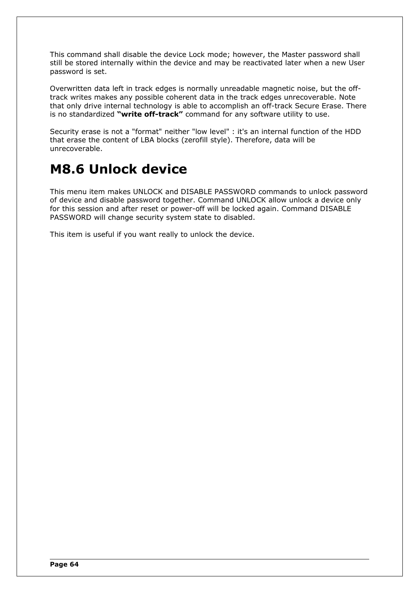This command shall disable the device Lock mode; however, the Master password shall still be stored internally within the device and may be reactivated later when a new User password is set.

Overwritten data left in track edges is normally unreadable magnetic noise, but the offtrack writes makes any possible coherent data in the track edges unrecoverable. Note that only drive internal technology is able to accomplish an off-track Secure Erase. There is no standardized **"write off-track"** command for any software utility to use.

Security erase is not a "format" neither "low level" : it's an internal function of the HDD that erase the content of LBA blocks (zerofill style). Therefore, data will be unrecoverable.

## **M8.6 Unlock device**

This menu item makes UNLOCK and DISABLE PASSWORD commands to unlock password of device and disable password together. Command UNLOCK allow unlock a device only for this session and after reset or power-off will be locked again. Command DISABLE PASSWORD will change security system state to disabled.

This item is useful if you want really to unlock the device.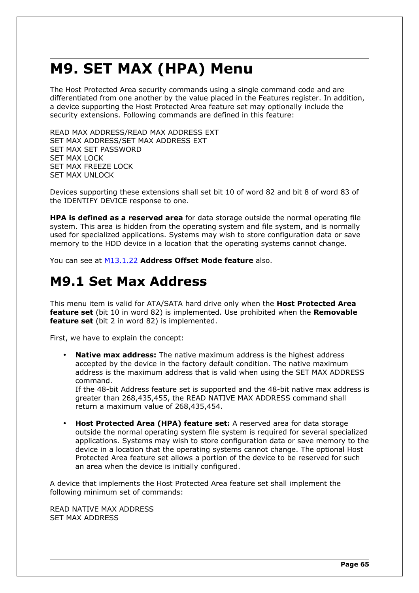# **M9. SET MAX (HPA) Menu**

The Host Protected Area security commands using a single command code and are differentiated from one another by the value placed in the Features register. In addition, a device supporting the Host Protected Area feature set may optionally include the security extensions. Following commands are defined in this feature:

READ MAX ADDRESS/READ MAX ADDRESS EXT SET MAX ADDRESS/SET MAX ADDRESS EXT SET MAX SET PASSWORD SET MAX LOCK SET MAX FREEZE LOCK SET MAX UNLOCK

Devices supporting these extensions shall set bit 10 of word 82 and bit 8 of word 83 of the IDENTIFY DEVICE response to one.

**HPA is defined as a reserved area** for data storage outside the normal operating file system. This area is hidden from the operating system and file system, and is normally used for specialized applications. Systems may wish to store configuration data or save memory to the HDD device in a location that the operating systems cannot change.

You can see at [M13.1.22](#page-77-0) **Address Offset Mode feature** also.

## **M9.1 Set Max Address**

This menu item is valid for ATA/SATA hard drive only when the **Host Protected Area feature set** (bit 10 in word 82) is implemented. Use prohibited when the **Removable feature set** (bit 2 in word 82) is implemented.

First, we have to explain the concept:

• **Native max address:** The native maximum address is the highest address accepted by the device in the factory default condition. The native maximum address is the maximum address that is valid when using the SET MAX ADDRESS command.

If the 48-bit Address feature set is supported and the 48-bit native max address is greater than 268,435,455, the READ NATIVE MAX ADDRESS command shall return a maximum value of 268,435,454.

• **Host Protected Area (HPA) feature set:** A reserved area for data storage outside the normal operating system file system is required for several specialized applications. Systems may wish to store configuration data or save memory to the device in a location that the operating systems cannot change. The optional Host Protected Area feature set allows a portion of the device to be reserved for such an area when the device is initially configured.

A device that implements the Host Protected Area feature set shall implement the following minimum set of commands:

READ NATIVE MAX ADDRESS SET MAX ADDRESS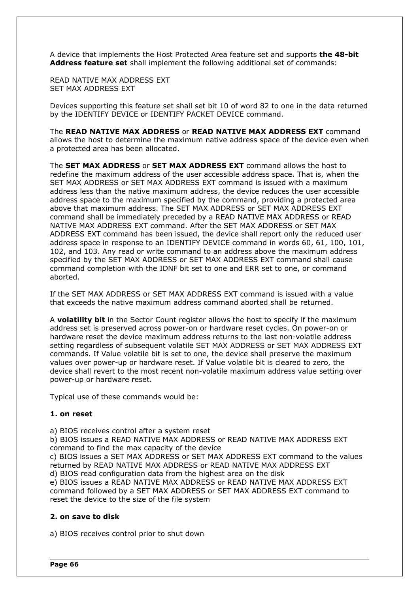A device that implements the Host Protected Area feature set and supports **the 48-bit Address feature set** shall implement the following additional set of commands:

READ NATIVE MAX ADDRESS EXT SET MAX ADDRESS EXT

Devices supporting this feature set shall set bit 10 of word 82 to one in the data returned by the IDENTIFY DEVICE or IDENTIFY PACKET DEVICE command.

The **READ NATIVE MAX ADDRESS** or **READ NATIVE MAX ADDRESS EXT** command allows the host to determine the maximum native address space of the device even when a protected area has been allocated.

The **SET MAX ADDRESS** or **SET MAX ADDRESS EXT** command allows the host to redefine the maximum address of the user accessible address space. That is, when the SET MAX ADDRESS or SET MAX ADDRESS EXT command is issued with a maximum address less than the native maximum address, the device reduces the user accessible address space to the maximum specified by the command, providing a protected area above that maximum address. The SET MAX ADDRESS or SET MAX ADDRESS EXT command shall be immediately preceded by a READ NATIVE MAX ADDRESS or READ NATIVE MAX ADDRESS EXT command. After the SET MAX ADDRESS or SET MAX ADDRESS EXT command has been issued, the device shall report only the reduced user address space in response to an IDENTIFY DEVICE command in words 60, 61, 100, 101, 102, and 103. Any read or write command to an address above the maximum address specified by the SET MAX ADDRESS or SET MAX ADDRESS EXT command shall cause command completion with the IDNF bit set to one and ERR set to one, or command aborted.

If the SET MAX ADDRESS or SET MAX ADDRESS EXT command is issued with a value that exceeds the native maximum address command aborted shall be returned.

A **volatility bit** in the Sector Count register allows the host to specify if the maximum address set is preserved across power-on or hardware reset cycles. On power-on or hardware reset the device maximum address returns to the last non-volatile address setting regardless of subsequent volatile SET MAX ADDRESS or SET MAX ADDRESS EXT commands. If Value volatile bit is set to one, the device shall preserve the maximum values over power-up or hardware reset. If Value volatile bit is cleared to zero, the device shall revert to the most recent non-volatile maximum address value setting over power-up or hardware reset.

Typical use of these commands would be:

#### **1. on reset**

a) BIOS receives control after a system reset

b) BIOS issues a READ NATIVE MAX ADDRESS or READ NATIVE MAX ADDRESS EXT command to find the max capacity of the device

c) BIOS issues a SET MAX ADDRESS or SET MAX ADDRESS EXT command to the values returned by READ NATIVE MAX ADDRESS or READ NATIVE MAX ADDRESS EXT d) BIOS read configuration data from the highest area on the disk

e) BIOS issues a READ NATIVE MAX ADDRESS or READ NATIVE MAX ADDRESS EXT command followed by a SET MAX ADDRESS or SET MAX ADDRESS EXT command to reset the device to the size of the file system

#### **2. on save to disk**

a) BIOS receives control prior to shut down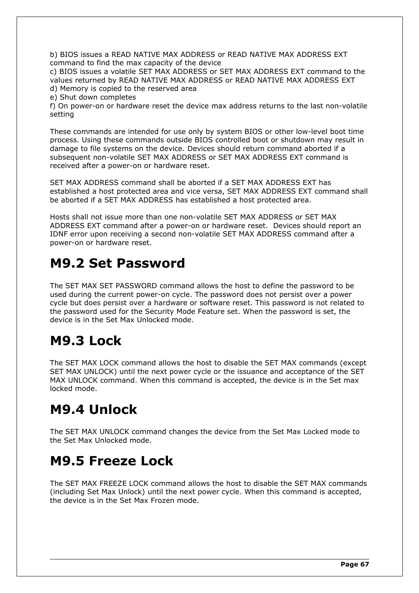b) BIOS issues a READ NATIVE MAX ADDRESS or READ NATIVE MAX ADDRESS EXT command to find the max capacity of the device

c) BIOS issues a volatile SET MAX ADDRESS or SET MAX ADDRESS EXT command to the values returned by READ NATIVE MAX ADDRESS or READ NATIVE MAX ADDRESS EXT d) Memory is copied to the reserved area

e) Shut down completes

f) On power-on or hardware reset the device max address returns to the last non-volatile setting

These commands are intended for use only by system BIOS or other low-level boot time process. Using these commands outside BIOS controlled boot or shutdown may result in damage to file systems on the device. Devices should return command aborted if a subsequent non-volatile SET MAX ADDRESS or SET MAX ADDRESS EXT command is received after a power-on or hardware reset.

SET MAX ADDRESS command shall be aborted if a SET MAX ADDRESS EXT has established a host protected area and vice versa, SET MAX ADDRESS EXT command shall be aborted if a SET MAX ADDRESS has established a host protected area.

Hosts shall not issue more than one non-volatile SET MAX ADDRESS or SET MAX ADDRESS EXT command after a power-on or hardware reset. Devices should report an IDNF error upon receiving a second non-volatile SET MAX ADDRESS command after a power-on or hardware reset.

## **M9.2 Set Password**

The SET MAX SET PASSWORD command allows the host to define the password to be used during the current power-on cycle. The password does not persist over a power cycle but does persist over a hardware or software reset. This password is not related to the password used for the Security Mode Feature set. When the password is set, the device is in the Set Max Unlocked mode.

## **M9.3 Lock**

The SET MAX LOCK command allows the host to disable the SET MAX commands (except SET MAX UNLOCK) until the next power cycle or the issuance and acceptance of the SET MAX UNLOCK command. When this command is accepted, the device is in the Set max locked mode.

## **M9.4 Unlock**

The SET MAX UNLOCK command changes the device from the Set Max Locked mode to the Set Max Unlocked mode.

## **M9.5 Freeze Lock**

The SET MAX FREEZE LOCK command allows the host to disable the SET MAX commands (including Set Max Unlock) until the next power cycle. When this command is accepted, the device is in the Set Max Frozen mode.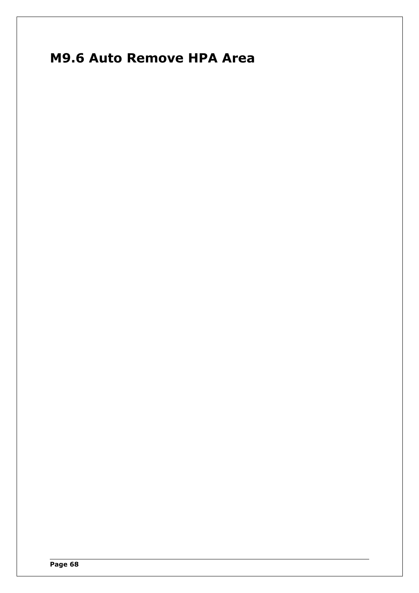# **M9.6 Auto Remove HPA Area**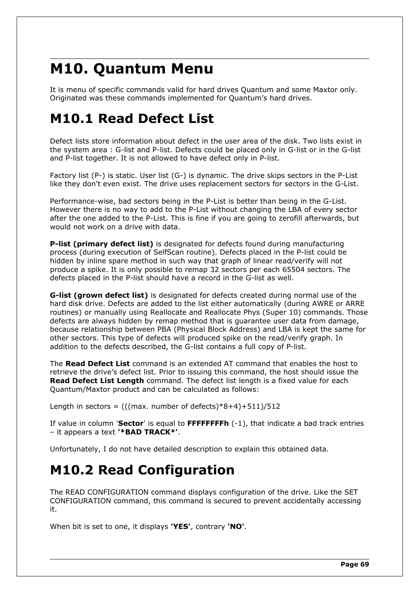# **M10. Quantum Menu**

It is menu of specific commands valid for hard drives Quantum and some Maxtor only. Originated was these commands implemented for Quantum's hard drives.

## **M10.1 Read Defect List**

Defect lists store information about defect in the user area of the disk. Two lists exist in the system area : G-list and P-list. Defects could be placed only in G-list or in the G-list and P-list together. It is not allowed to have defect only in P-list.

Factory list (P-) is static. User list (G-) is dynamic. The drive skips sectors in the P-List like they don't even exist. The drive uses replacement sectors for sectors in the G-List.

Performance-wise, bad sectors being in the P-List is better than being in the G-List. However there is no way to add to the P-List without changing the LBA of every sector after the one added to the P-List. This is fine if you are going to zerofill afterwards, but would not work on a drive with data.

**P-list (primary defect list)** is designated for defects found during manufacturing process (during execution of SelfScan routine). Defects placed in the P-list could be hidden by inline spare method in such way that graph of linear read/verify will not produce a spike. It is only possible to remap 32 sectors per each 65504 sectors. The defects placed in the P-list should have a record in the G-list as well.

**G-list (grown defect list)** is designated for defects created during normal use of the hard disk drive. Defects are added to the list either automatically (during AWRE or ARRE routines) or manually using Reallocate and Reallocate Phys (Super 10) commands. Those defects are always hidden by remap method that is guarantee user data from damage, because relationship between PBA (Physical Block Address) and LBA is kept the same for other sectors. This type of defects will produced spike on the read/verify graph. In addition to the defects described, the G-list contains a full copy of P-list.

The **Read Defect List** command is an extended AT command that enables the host to retrieve the drive's defect list. Prior to issuing this command, the host should issue the **Read Defect List Length** command. The defect list length is a fixed value for each Quantum/Maxtor product and can be calculated as follows:

Length in sectors =  $(((max, number of defects)*8+4)+511)/512)$ 

If value in column '**Sector**' is equal to **FFFFFFFFh** (-1), that indicate a bad track entries – it appears a text **'\*BAD TRACK\*'**.

Unfortunately, I do not have detailed description to explain this obtained data.

## **M10.2 Read Configuration**

The READ CONFIGURATION command displays configuration of the drive. Like the SET CONFIGURATION command, this command is secured to prevent accidentally accessing it.

When bit is set to one, it displays **'YES'**, contrary **'NO'**.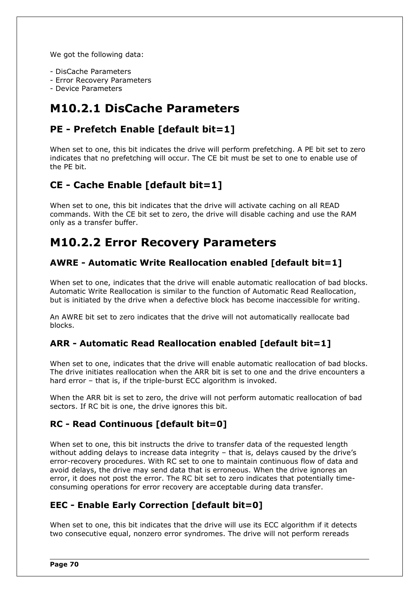We got the following data:

- DisCache Parameters
- Error Recovery Parameters
- Device Parameters

## **M10.2.1 DisCache Parameters**

## **PE - Prefetch Enable [default bit=1]**

When set to one, this bit indicates the drive will perform prefetching. A PE bit set to zero indicates that no prefetching will occur. The CE bit must be set to one to enable use of the PE bit.

## **CE - Cache Enable [default bit=1]**

When set to one, this bit indicates that the drive will activate caching on all READ commands. With the CE bit set to zero, the drive will disable caching and use the RAM only as a transfer buffer.

## **M10.2.2 Error Recovery Parameters**

### **AWRE - Automatic Write Reallocation enabled [default bit=1]**

When set to one, indicates that the drive will enable automatic reallocation of bad blocks. Automatic Write Reallocation is similar to the function of Automatic Read Reallocation, but is initiated by the drive when a defective block has become inaccessible for writing.

An AWRE bit set to zero indicates that the drive will not automatically reallocate bad blocks.

### **ARR - Automatic Read Reallocation enabled [default bit=1]**

When set to one, indicates that the drive will enable automatic reallocation of bad blocks. The drive initiates reallocation when the ARR bit is set to one and the drive encounters a hard error - that is, if the triple-burst ECC algorithm is invoked.

When the ARR bit is set to zero, the drive will not perform automatic reallocation of bad sectors. If RC bit is one, the drive ignores this bit.

### **RC - Read Continuous [default bit=0]**

When set to one, this bit instructs the drive to transfer data of the requested length without adding delays to increase data integrity – that is, delays caused by the drive's error-recovery procedures. With RC set to one to maintain continuous flow of data and avoid delays, the drive may send data that is erroneous. When the drive ignores an error, it does not post the error. The RC bit set to zero indicates that potentially timeconsuming operations for error recovery are acceptable during data transfer.

### **EEC - Enable Early Correction [default bit=0]**

When set to one, this bit indicates that the drive will use its ECC algorithm if it detects two consecutive equal, nonzero error syndromes. The drive will not perform rereads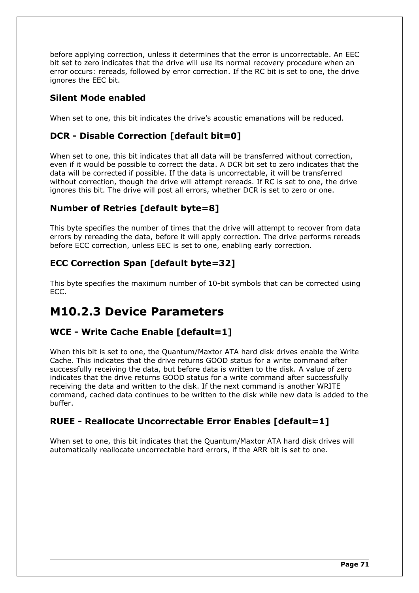before applying correction, unless it determines that the error is uncorrectable. An EEC bit set to zero indicates that the drive will use its normal recovery procedure when an error occurs: rereads, followed by error correction. If the RC bit is set to one, the drive ignores the EEC bit.

### **Silent Mode enabled**

When set to one, this bit indicates the drive's acoustic emanations will be reduced.

### **DCR - Disable Correction [default bit=0]**

When set to one, this bit indicates that all data will be transferred without correction, even if it would be possible to correct the data. A DCR bit set to zero indicates that the data will be corrected if possible. If the data is uncorrectable, it will be transferred without correction, though the drive will attempt rereads. If RC is set to one, the drive ignores this bit. The drive will post all errors, whether DCR is set to zero or one.

### **Number of Retries [default byte=8]**

This byte specifies the number of times that the drive will attempt to recover from data errors by rereading the data, before it will apply correction. The drive performs rereads before ECC correction, unless EEC is set to one, enabling early correction.

### **ECC Correction Span [default byte=32]**

This byte specifies the maximum number of 10-bit symbols that can be corrected using ECC.

## **M10.2.3 Device Parameters**

### **WCE - Write Cache Enable [default=1]**

When this bit is set to one, the Quantum/Maxtor ATA hard disk drives enable the Write Cache. This indicates that the drive returns GOOD status for a write command after successfully receiving the data, but before data is written to the disk. A value of zero indicates that the drive returns GOOD status for a write command after successfully receiving the data and written to the disk. If the next command is another WRITE command, cached data continues to be written to the disk while new data is added to the buffer.

## **RUEE - Reallocate Uncorrectable Error Enables [default=1]**

When set to one, this bit indicates that the Quantum/Maxtor ATA hard disk drives will automatically reallocate uncorrectable hard errors, if the ARR bit is set to one.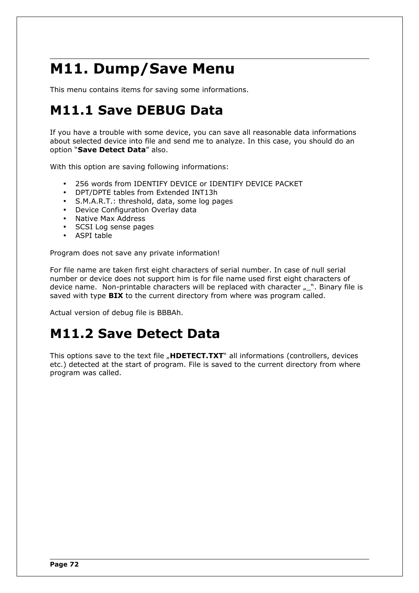# **M11. Dump/Save Menu**

This menu contains items for saving some informations.

# **M11.1 Save DEBUG Data**

If you have a trouble with some device, you can save all reasonable data informations about selected device into file and send me to analyze. In this case, you should do an option "**Save Detect Data**" also.

With this option are saving following informations:

- 256 words from IDENTIFY DEVICE or IDENTIFY DEVICE PACKET
- DPT/DPTE tables from Extended INT13h
- S.M.A.R.T.: threshold, data, some log pages
- Device Configuration Overlay data
- Native Max Address
- SCSI Log sense pages
- ASPI table

Program does not save any private information!

For file name are taken first eight characters of serial number. In case of null serial number or device does not support him is for file name used first eight characters of device name. Non-printable characters will be replaced with character  $\sum_{n=1}^{\infty}$ . Binary file is saved with type **BIX** to the current directory from where was program called.

Actual version of debug file is BBBAh.

# **M11.2 Save Detect Data**

This options save to the text file "**HDETECT.TXT**" all informations (controllers, devices etc.) detected at the start of program. File is saved to the current directory from where program was called.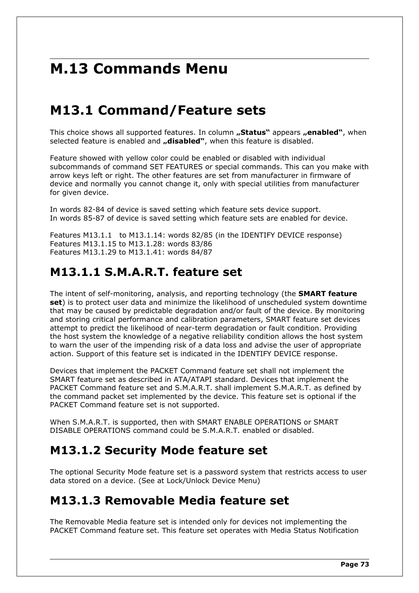# **M.13 Commands Menu**

# **M13.1 Command/Feature sets**

This choice shows all supported features. In column **"Status**" appears **"enabled**", when selected feature is enabled and "disabled", when this feature is disabled.

Feature showed with yellow color could be enabled or disabled with individual subcommands of command SET FEATURES or special commands. This can you make with arrow keys left or right. The other features are set from manufacturer in firmware of device and normally you cannot change it, only with special utilities from manufacturer for given device.

In words 82-84 of device is saved setting which feature sets device support. In words 85-87 of device is saved setting which feature sets are enabled for device.

Features M13.1.1 to M13.1.14: words 82/85 (in the IDENTIFY DEVICE response) Features M13.1.15 to M13.1.28: words 83/86 Features M13.1.29 to M13.1.41: words 84/87

## **M13.1.1 S.M.A.R.T. feature set**

The intent of self-monitoring, analysis, and reporting technology (the **SMART feature set**) is to protect user data and minimize the likelihood of unscheduled system downtime that may be caused by predictable degradation and/or fault of the device. By monitoring and storing critical performance and calibration parameters, SMART feature set devices attempt to predict the likelihood of near-term degradation or fault condition. Providing the host system the knowledge of a negative reliability condition allows the host system to warn the user of the impending risk of a data loss and advise the user of appropriate action. Support of this feature set is indicated in the IDENTIFY DEVICE response.

Devices that implement the PACKET Command feature set shall not implement the SMART feature set as described in ATA/ATAPI standard. Devices that implement the PACKET Command feature set and S.M.A.R.T. shall implement S.M.A.R.T. as defined by the command packet set implemented by the device. This feature set is optional if the PACKET Command feature set is not supported.

When S.M.A.R.T. is supported, then with SMART ENABLE OPERATIONS or SMART DISABLE OPERATIONS command could be S.M.A.R.T. enabled or disabled.

## **M13.1.2 Security Mode feature set**

The optional Security Mode feature set is a password system that restricts access to user data stored on a device. (See at Lock/Unlock Device Menu)

### **M13.1.3 Removable Media feature set**

The Removable Media feature set is intended only for devices not implementing the PACKET Command feature set. This feature set operates with Media Status Notification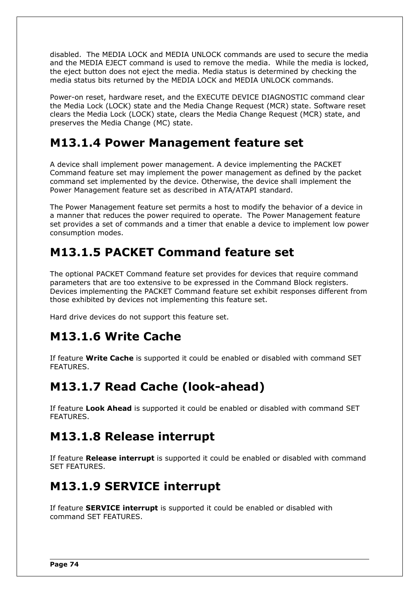disabled. The MEDIA LOCK and MEDIA UNLOCK commands are used to secure the media and the MEDIA EJECT command is used to remove the media. While the media is locked, the eject button does not eject the media. Media status is determined by checking the media status bits returned by the MEDIA LOCK and MEDIA UNLOCK commands.

Power-on reset, hardware reset, and the EXECUTE DEVICE DIAGNOSTIC command clear the Media Lock (LOCK) state and the Media Change Request (MCR) state. Software reset clears the Media Lock (LOCK) state, clears the Media Change Request (MCR) state, and preserves the Media Change (MC) state.

## **M13.1.4 Power Management feature set**

A device shall implement power management. A device implementing the PACKET Command feature set may implement the power management as defined by the packet command set implemented by the device. Otherwise, the device shall implement the Power Management feature set as described in ATA/ATAPI standard.

The Power Management feature set permits a host to modify the behavior of a device in a manner that reduces the power required to operate. The Power Management feature set provides a set of commands and a timer that enable a device to implement low power consumption modes.

## **M13.1.5 PACKET Command feature set**

The optional PACKET Command feature set provides for devices that require command parameters that are too extensive to be expressed in the Command Block registers. Devices implementing the PACKET Command feature set exhibit responses different from those exhibited by devices not implementing this feature set.

Hard drive devices do not support this feature set.

## **M13.1.6 Write Cache**

If feature **Write Cache** is supported it could be enabled or disabled with command SET FEATURES.

## **M13.1.7 Read Cache (look-ahead)**

If feature **Look Ahead** is supported it could be enabled or disabled with command SET FEATURES.

## **M13.1.8 Release interrupt**

If feature **Release interrupt** is supported it could be enabled or disabled with command SET FEATURES.

## **M13.1.9 SERVICE interrupt**

If feature **SERVICE interrupt** is supported it could be enabled or disabled with command SET FEATURES.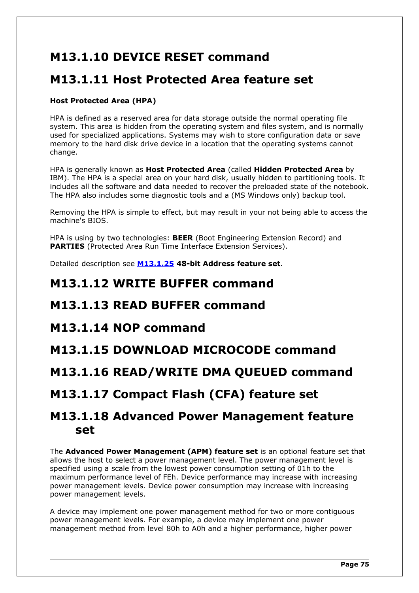## **M13.1.10 DEVICE RESET command**

## **M13.1.11 Host Protected Area feature set**

### **Host Protected Area (HPA)**

HPA is defined as a reserved area for data storage outside the normal operating file system. This area is hidden from the operating system and files system, and is normally used for specialized applications. Systems may wish to store configuration data or save memory to the hard disk drive device in a location that the operating systems cannot change.

HPA is generally known as **Host Protected Area** (called **Hidden Protected Area** by IBM). The HPA is a special area on your hard disk, usually hidden to partitioning tools. It includes all the software and data needed to recover the preloaded state of the notebook. The HPA also includes some diagnostic tools and a (MS Windows only) backup tool.

Removing the HPA is simple to effect, but may result in your not being able to access the machine's BIOS.

HPA is using by two technologies: **BEER** (Boot Engineering Extension Record) and **PARTIES** (Protected Area Run Time Interface Extension Services).

Detailed description see **[M13.1.25](#page-78-0) 48-bit Address feature set**.

### **M13.1.12 WRITE BUFFER command**

### **M13.1.13 READ BUFFER command**

### **M13.1.14 NOP command**

### **M13.1.15 DOWNLOAD MICROCODE command**

### **M13.1.16 READ/WRITE DMA QUEUED command**

## **M13.1.17 Compact Flash (CFA) feature set**

### **M13.1.18 Advanced Power Management feature set**

The **Advanced Power Management (APM) feature set** is an optional feature set that allows the host to select a power management level. The power management level is specified using a scale from the lowest power consumption setting of 01h to the maximum performance level of FEh. Device performance may increase with increasing power management levels. Device power consumption may increase with increasing power management levels.

A device may implement one power management method for two or more contiguous power management levels. For example, a device may implement one power management method from level 80h to A0h and a higher performance, higher power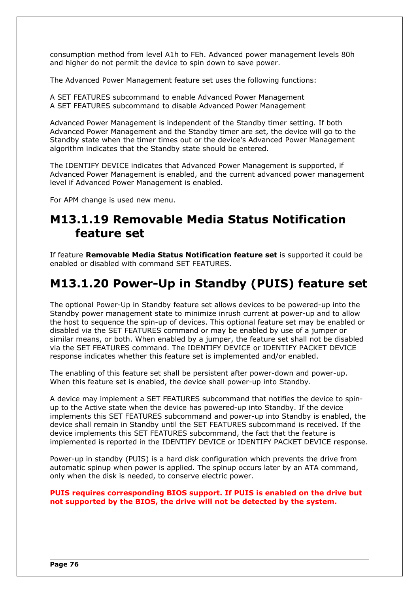consumption method from level A1h to FEh. Advanced power management levels 80h and higher do not permit the device to spin down to save power.

The Advanced Power Management feature set uses the following functions:

A SET FEATURES subcommand to enable Advanced Power Management A SET FEATURES subcommand to disable Advanced Power Management

Advanced Power Management is independent of the Standby timer setting. If both Advanced Power Management and the Standby timer are set, the device will go to the Standby state when the timer times out or the device's Advanced Power Management algorithm indicates that the Standby state should be entered.

The IDENTIFY DEVICE indicates that Advanced Power Management is supported, if Advanced Power Management is enabled, and the current advanced power management level if Advanced Power Management is enabled.

For APM change is used new menu.

## **M13.1.19 Removable Media Status Notification feature set**

If feature **Removable Media Status Notification feature set** is supported it could be enabled or disabled with command SET FEATURES.

## **M13.1.20 Power-Up in Standby (PUIS) feature set**

The optional Power-Up in Standby feature set allows devices to be powered-up into the Standby power management state to minimize inrush current at power-up and to allow the host to sequence the spin-up of devices. This optional feature set may be enabled or disabled via the SET FEATURES command or may be enabled by use of a jumper or similar means, or both. When enabled by a jumper, the feature set shall not be disabled via the SET FEATURES command. The IDENTIFY DEVICE or IDENTIFY PACKET DEVICE response indicates whether this feature set is implemented and/or enabled.

The enabling of this feature set shall be persistent after power-down and power-up. When this feature set is enabled, the device shall power-up into Standby.

A device may implement a SET FEATURES subcommand that notifies the device to spinup to the Active state when the device has powered-up into Standby. If the device implements this SET FEATURES subcommand and power-up into Standby is enabled, the device shall remain in Standby until the SET FEATURES subcommand is received. If the device implements this SET FEATURES subcommand, the fact that the feature is implemented is reported in the IDENTIFY DEVICE or IDENTIFY PACKET DEVICE response.

Power-up in standby (PUIS) is a hard disk configuration which prevents the drive from automatic spinup when power is applied. The spinup occurs later by an ATA command, only when the disk is needed, to conserve electric power.

**PUIS requires corresponding BIOS support. If PUIS is enabled on the drive but not supported by the BIOS, the drive will not be detected by the system.**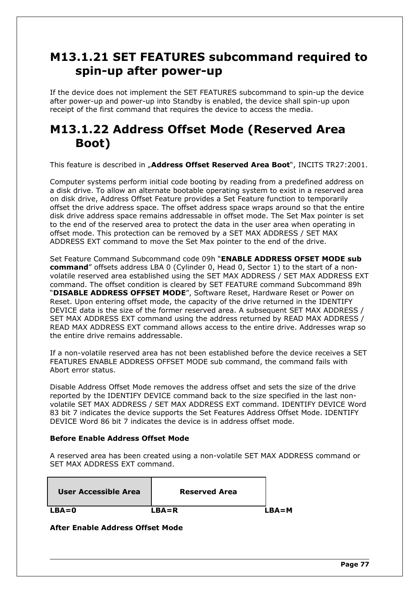## **M13.1.21 SET FEATURES subcommand required to spin-up after power-up**

If the device does not implement the SET FEATURES subcommand to spin-up the device after power-up and power-up into Standby is enabled, the device shall spin-up upon receipt of the first command that requires the device to access the media.

## **M13.1.22 Address Offset Mode (Reserved Area Boot)**

This feature is described in "Address Offset Reserved Area Boot", INCITS TR27:2001.

Computer systems perform initial code booting by reading from a predefined address on a disk drive. To allow an alternate bootable operating system to exist in a reserved area on disk drive, Address Offset Feature provides a Set Feature function to temporarily offset the drive address space. The offset address space wraps around so that the entire disk drive address space remains addressable in offset mode. The Set Max pointer is set to the end of the reserved area to protect the data in the user area when operating in offset mode. This protection can be removed by a SET MAX ADDRESS / SET MAX ADDRESS EXT command to move the Set Max pointer to the end of the drive.

Set Feature Command Subcommand code 09h "**ENABLE ADDRESS OFSET MODE sub command**" offsets address LBA 0 (Cylinder 0, Head 0, Sector 1) to the start of a nonvolatile reserved area established using the SET MAX ADDRESS / SET MAX ADDRESS EXT command. The offset condition is cleared by SET FEATURE command Subcommand 89h "**DISABLE ADDRESS OFFSET MODE**", Software Reset, Hardware Reset or Power on Reset. Upon entering offset mode, the capacity of the drive returned in the IDENTIFY DEVICE data is the size of the former reserved area. A subsequent SET MAX ADDRESS / SET MAX ADDRESS EXT command using the address returned by READ MAX ADDRESS / READ MAX ADDRESS EXT command allows access to the entire drive. Addresses wrap so the entire drive remains addressable.

If a non-volatile reserved area has not been established before the device receives a SET FEATURES ENABLE ADDRESS OFFSET MODE sub command, the command fails with Abort error status.

Disable Address Offset Mode removes the address offset and sets the size of the drive reported by the IDENTIFY DEVICE command back to the size specified in the last nonvolatile SET MAX ADDRESS / SET MAX ADDRESS EXT command. IDENTIFY DEVICE Word 83 bit 7 indicates the device supports the Set Features Address Offset Mode. IDENTIFY DEVICE Word 86 bit 7 indicates the device is in address offset mode.

### **Before Enable Address Offset Mode**

A reserved area has been created using a non-volatile SET MAX ADDRESS command or SET MAX ADDRESS EXT command.

| User Accessible Area | <b>Reserved Area</b> |         |
|----------------------|----------------------|---------|
| $LBA=0$              | $LBA=R$              | $LBA=M$ |

**After Enable Address Offset Mode**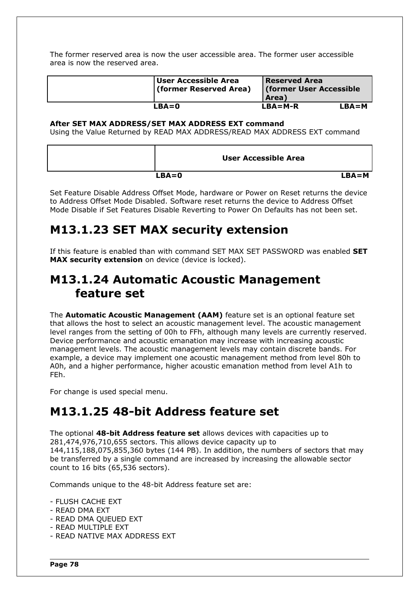The former reserved area is now the user accessible area. The former user accessible area is now the reserved area.

| User Accessible Area<br>(former Reserved Area) | <b>Reserved Area</b><br><b>(former User Accessible)</b><br><b>Area</b> ) |         |
|------------------------------------------------|--------------------------------------------------------------------------|---------|
| LBA=0                                          | $LBA=M-R$                                                                | $LBA=M$ |

#### **After SET MAX ADDRESS/SET MAX ADDRESS EXT command**

Using the Value Returned by READ MAX ADDRESS/READ MAX ADDRESS EXT command

| <b>User Accessible Area</b> |         |
|-----------------------------|---------|
| $LBA = 0$                   | $LBA=M$ |

Set Feature Disable Address Offset Mode, hardware or Power on Reset returns the device to Address Offset Mode Disabled. Software reset returns the device to Address Offset Mode Disable if Set Features Disable Reverting to Power On Defaults has not been set.

## **M13.1.23 SET MAX security extension**

If this feature is enabled than with command SET MAX SET PASSWORD was enabled **SET MAX security extension** on device (device is locked).

### **M13.1.24 Automatic Acoustic Management feature set**

The **Automatic Acoustic Management (AAM)** feature set is an optional feature set that allows the host to select an acoustic management level. The acoustic management level ranges from the setting of 00h to FFh, although many levels are currently reserved. Device performance and acoustic emanation may increase with increasing acoustic management levels. The acoustic management levels may contain discrete bands. For example, a device may implement one acoustic management method from level 80h to A0h, and a higher performance, higher acoustic emanation method from level A1h to FEh.

For change is used special menu.

## <span id="page-78-0"></span>**M13.1.25 48-bit Address feature set**

The optional **48-bit Address feature set** allows devices with capacities up to 281,474,976,710,655 sectors. This allows device capacity up to 144,115,188,075,855,360 bytes (144 PB). In addition, the numbers of sectors that may be transferred by a single command are increased by increasing the allowable sector count to 16 bits (65,536 sectors).

Commands unique to the 48-bit Address feature set are:

- FLUSH CACHE EXT
- READ DMA EXT
- READ DMA QUEUED EXT
- READ MULTIPLE EXT
- READ NATIVE MAX ADDRESS EXT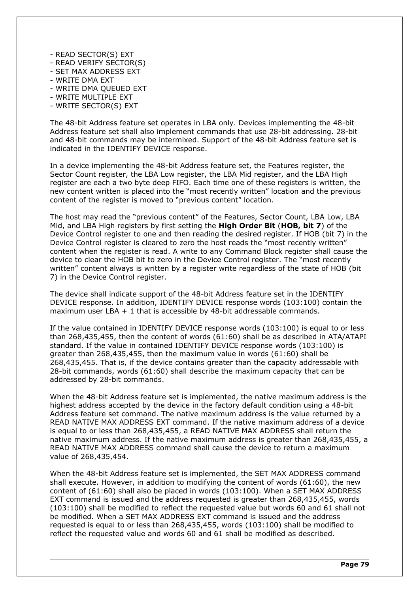- READ SECTOR(S) EXT
- READ VERIFY SECTOR(S)
- SET MAX ADDRESS EXT
- WRITE DMA EXT
- WRITE DMA QUEUED EXT
- WRITE MULTIPLE EXT
- WRITE SECTOR(S) EXT

The 48-bit Address feature set operates in LBA only. Devices implementing the 48-bit Address feature set shall also implement commands that use 28-bit addressing. 28-bit and 48-bit commands may be intermixed. Support of the 48-bit Address feature set is indicated in the IDENTIFY DEVICE response.

In a device implementing the 48-bit Address feature set, the Features register, the Sector Count register, the LBA Low register, the LBA Mid register, and the LBA High register are each a two byte deep FIFO. Each time one of these registers is written, the new content written is placed into the "most recently written" location and the previous content of the register is moved to "previous content" location.

The host may read the "previous content" of the Features, Sector Count, LBA Low, LBA Mid, and LBA High registers by first setting the **High Order Bit** (**HOB, bit 7**) of the Device Control register to one and then reading the desired register. If HOB (bit 7) in the Device Control register is cleared to zero the host reads the "most recently written" content when the register is read. A write to any Command Block register shall cause the device to clear the HOB bit to zero in the Device Control register. The "most recently written" content always is written by a register write regardless of the state of HOB (bit 7) in the Device Control register.

The device shall indicate support of the 48-bit Address feature set in the IDENTIFY DEVICE response. In addition, IDENTIFY DEVICE response words (103:100) contain the maximum user LBA  $+1$  that is accessible by 48-bit addressable commands.

If the value contained in IDENTIFY DEVICE response words (103:100) is equal to or less than 268,435,455, then the content of words (61:60) shall be as described in ATA/ATAPI standard. If the value in contained IDENTIFY DEVICE response words (103:100) is greater than 268,435,455, then the maximum value in words (61:60) shall be 268,435,455. That is, if the device contains greater than the capacity addressable with 28-bit commands, words (61:60) shall describe the maximum capacity that can be addressed by 28-bit commands.

When the 48-bit Address feature set is implemented, the native maximum address is the highest address accepted by the device in the factory default condition using a 48-bit Address feature set command. The native maximum address is the value returned by a READ NATIVE MAX ADDRESS EXT command. If the native maximum address of a device is equal to or less than 268,435,455, a READ NATIVE MAX ADDRESS shall return the native maximum address. If the native maximum address is greater than 268,435,455, a READ NATIVE MAX ADDRESS command shall cause the device to return a maximum value of 268,435,454.

When the 48-bit Address feature set is implemented, the SET MAX ADDRESS command shall execute. However, in addition to modifying the content of words (61:60), the new content of (61:60) shall also be placed in words (103:100). When a SET MAX ADDRESS EXT command is issued and the address requested is greater than 268,435,455, words (103:100) shall be modified to reflect the requested value but words 60 and 61 shall not be modified. When a SET MAX ADDRESS EXT command is issued and the address requested is equal to or less than 268,435,455, words (103:100) shall be modified to reflect the requested value and words 60 and 61 shall be modified as described.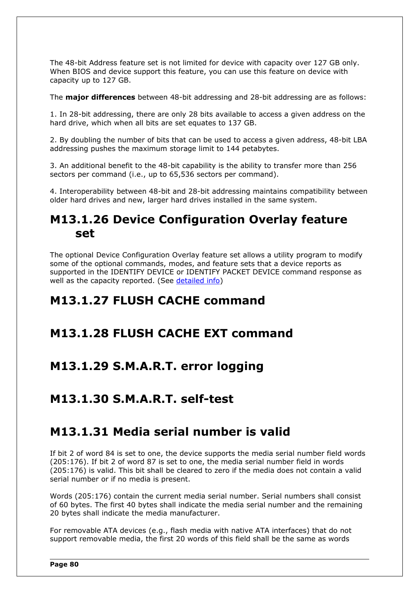The 48-bit Address feature set is not limited for device with capacity over 127 GB only. When BIOS and device support this feature, you can use this feature on device with capacity up to 127 GB.

The **major differences** between 48-bit addressing and 28-bit addressing are as follows:

1. In 28-bit addressing, there are only 28 bits available to access a given address on the hard drive, which when all bits are set equates to 137 GB.

2. By doubling the number of bits that can be used to access a given address, 48-bit LBA addressing pushes the maximum storage limit to 144 petabytes.

3. An additional benefit to the 48-bit capability is the ability to transfer more than 256 sectors per command (i.e., up to 65,536 sectors per command).

4. Interoperability between 48-bit and 28-bit addressing maintains compatibility between older hard drives and new, larger hard drives installed in the same system.

### **M13.1.26 Device Configuration Overlay feature set**

The optional Device Configuration Overlay feature set allows a utility program to modify some of the optional commands, modes, and feature sets that a device reports as supported in the IDENTIFY DEVICE or IDENTIFY PACKET DEVICE command response as well as the capacity reported. (See [detailed info\)](#page-57-0)

### **M13.1.27 FLUSH CACHE command**

### **M13.1.28 FLUSH CACHE EXT command**

### **M13.1.29 S.M.A.R.T. error logging**

### **M13.1.30 S.M.A.R.T. self-test**

### **M13.1.31 Media serial number is valid**

If bit 2 of word 84 is set to one, the device supports the media serial number field words (205:176). If bit 2 of word 87 is set to one, the media serial number field in words (205:176) is valid. This bit shall be cleared to zero if the media does not contain a valid serial number or if no media is present.

Words (205:176) contain the current media serial number. Serial numbers shall consist of 60 bytes. The first 40 bytes shall indicate the media serial number and the remaining 20 bytes shall indicate the media manufacturer.

For removable ATA devices (e.g., flash media with native ATA interfaces) that do not support removable media, the first 20 words of this field shall be the same as words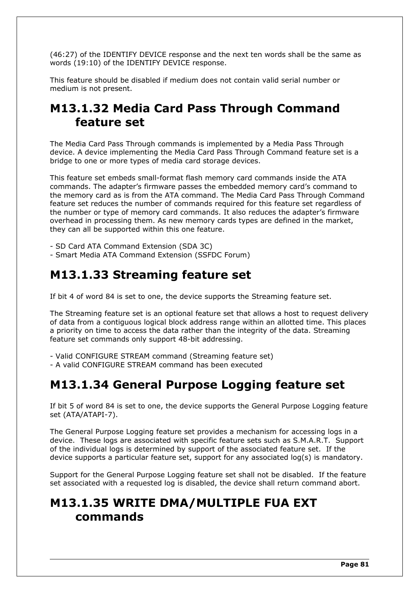(46:27) of the IDENTIFY DEVICE response and the next ten words shall be the same as words (19:10) of the IDENTIFY DEVICE response.

This feature should be disabled if medium does not contain valid serial number or medium is not present.

## **M13.1.32 Media Card Pass Through Command feature set**

The Media Card Pass Through commands is implemented by a Media Pass Through device. A device implementing the Media Card Pass Through Command feature set is a bridge to one or more types of media card storage devices.

This feature set embeds small-format flash memory card commands inside the ATA commands. The adapter's firmware passes the embedded memory card's command to the memory card as is from the ATA command. The Media Card Pass Through Command feature set reduces the number of commands required for this feature set regardless of the number or type of memory card commands. It also reduces the adapter's firmware overhead in processing them. As new memory cards types are defined in the market, they can all be supported within this one feature.

- SD Card ATA Command Extension (SDA 3C)

- Smart Media ATA Command Extension (SSFDC Forum)

## **M13.1.33 Streaming feature set**

If bit 4 of word 84 is set to one, the device supports the Streaming feature set.

The Streaming feature set is an optional feature set that allows a host to request delivery of data from a contiguous logical block address range within an allotted time. This places a priority on time to access the data rather than the integrity of the data. Streaming feature set commands only support 48-bit addressing.

- Valid CONFIGURE STREAM command (Streaming feature set)

- A valid CONFIGURE STREAM command has been executed

## **M13.1.34 General Purpose Logging feature set**

If bit 5 of word 84 is set to one, the device supports the General Purpose Logging feature set (ATA/ATAPI-7).

The General Purpose Logging feature set provides a mechanism for accessing logs in a device. These logs are associated with specific feature sets such as S.M.A.R.T. Support of the individual logs is determined by support of the associated feature set. If the device supports a particular feature set, support for any associated log(s) is mandatory.

Support for the General Purpose Logging feature set shall not be disabled. If the feature set associated with a requested log is disabled, the device shall return command abort.

## **M13.1.35 WRITE DMA/MULTIPLE FUA EXT commands**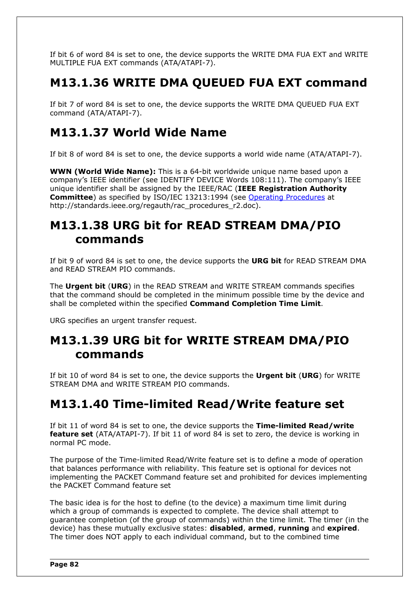If bit 6 of word 84 is set to one, the device supports the WRITE DMA FUA EXT and WRITE MULTIPLE FUA EXT commands (ATA/ATAPI-7).

## **M13.1.36 WRITE DMA QUEUED FUA EXT command**

If bit 7 of word 84 is set to one, the device supports the WRITE DMA QUEUED FUA EXT command (ATA/ATAPI-7).

## **M13.1.37 World Wide Name**

If bit 8 of word 84 is set to one, the device supports a world wide name (ATA/ATAPI-7).

**WWN (World Wide Name):** This is a 64-bit worldwide unique name based upon a company's IEEE identifier (see IDENTIFY DEVICE Words 108:111). The company's IEEE unique identifier shall be assigned by the IEEE/RAC (**IEEE Registration Authority Committee**) as specified by ISO/IEC 13213:1994 (see [Operating Procedures](http://standards.ieee.org/regauth/rac_procedures_r2.doc) at http://standards.ieee.org/regauth/rac\_procedures\_r2.doc).

## **M13.1.38 URG bit for READ STREAM DMA/PIO commands**

If bit 9 of word 84 is set to one, the device supports the **URG bit** for READ STREAM DMA and READ STREAM PIO commands.

The **Urgent bit** (**URG**) in the READ STREAM and WRITE STREAM commands specifies that the command should be completed in the minimum possible time by the device and shall be completed within the specified **Command Completion Time Limit**.

URG specifies an urgent transfer request.

## **M13.1.39 URG bit for WRITE STREAM DMA/PIO commands**

If bit 10 of word 84 is set to one, the device supports the **Urgent bit** (**URG**) for WRITE STREAM DMA and WRITE STREAM PIO commands.

## **M13.1.40 Time-limited Read/Write feature set**

If bit 11 of word 84 is set to one, the device supports the **Time-limited Read/write feature set** (ATA/ATAPI-7). If bit 11 of word 84 is set to zero, the device is working in normal PC mode.

The purpose of the Time-limited Read/Write feature set is to define a mode of operation that balances performance with reliability. This feature set is optional for devices not implementing the PACKET Command feature set and prohibited for devices implementing the PACKET Command feature set

The basic idea is for the host to define (to the device) a maximum time limit during which a group of commands is expected to complete. The device shall attempt to guarantee completion (of the group of commands) within the time limit. The timer (in the device) has these mutually exclusive states: **disabled**, **armed**, **running** and **expired**. The timer does NOT apply to each individual command, but to the combined time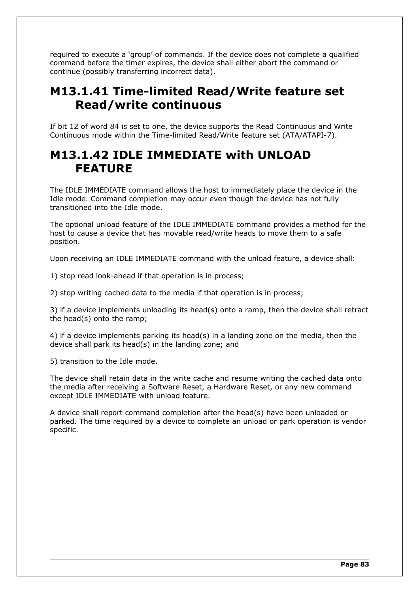required to execute a 'group' of commands. If the device does not complete a qualified command before the timer expires, the device shall either abort the command or continue (possibly transferring incorrect data).

## **M13.1.41 Time-limited Read/Write feature set Read/write continuous**

If bit 12 of word 84 is set to one, the device supports the Read Continuous and Write Continuous mode within the Time-limited Read/Write feature set (ATA/ATAPI-7).

### **M13.1.42 IDLE IMMEDIATE with UNLOAD FEATURE**

The IDLE IMMEDIATE command allows the host to immediately place the device in the Idle mode. Command completion may occur even though the device has not fully transitioned into the Idle mode.

The optional unload feature of the IDLE IMMEDIATE command provides a method for the host to cause a device that has movable read/write heads to move them to a safe position.

Upon receiving an IDLE IMMEDIATE command with the unload feature, a device shall:

1) stop read look-ahead if that operation is in process;

2) stop writing cached data to the media if that operation is in process;

3) if a device implements unloading its head(s) onto a ramp, then the device shall retract the head(s) onto the ramp;

4) if a device implements parking its head(s) in a landing zone on the media, then the device shall park its head(s) in the landing zone; and

5) transition to the Idle mode.

The device shall retain data in the write cache and resume writing the cached data onto the media after receiving a Software Reset, a Hardware Reset, or any new command except IDLE IMMEDIATE with unload feature.

A device shall report command completion after the head(s) have been unloaded or parked. The time required by a device to complete an unload or park operation is vendor specific.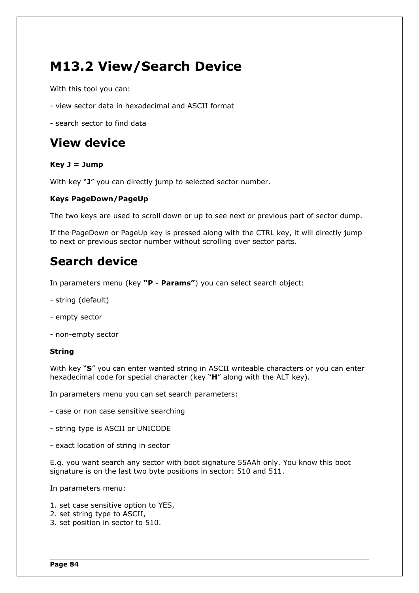# **M13.2 View/Search Device**

With this tool you can:

- view sector data in hexadecimal and ASCII format
- search sector to find data

## **View device**

### **Key J = Jump**

With key "**J**" you can directly jump to selected sector number.

### **Keys PageDown/PageUp**

The two keys are used to scroll down or up to see next or previous part of sector dump.

If the PageDown or PageUp key is pressed along with the CTRL key, it will directly jump to next or previous sector number without scrolling over sector parts.

## **Search device**

In parameters menu (key **"P - Params"**) you can select search object:

- string (default)
- empty sector
- non-empty sector

#### **String**

With key "**S**" you can enter wanted string in ASCII writeable characters or you can enter hexadecimal code for special character (key "**H**" along with the ALT key).

In parameters menu you can set search parameters:

- case or non case sensitive searching
- string type is ASCII or UNICODE
- exact location of string in sector

E.g. you want search any sector with boot signature 55AAh only. You know this boot signature is on the last two byte positions in sector: 510 and 511.

In parameters menu:

- 1. set case sensitive option to YES,
- 2. set string type to ASCII,
- 3. set position in sector to 510.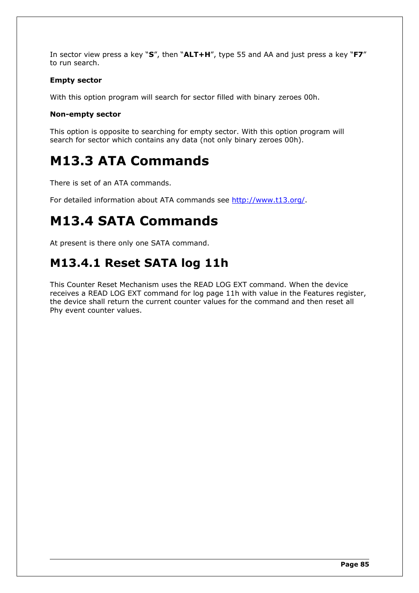In sector view press a key "**S**", then "**ALT+H**", type 55 and AA and just press a key "**F7**" to run search.

### **Empty sector**

With this option program will search for sector filled with binary zeroes 00h.

### **Non-empty sector**

This option is opposite to searching for empty sector. With this option program will search for sector which contains any data (not only binary zeroes 00h).

# **M13.3 ATA Commands**

There is set of an ATA commands.

For detailed information about ATA commands see [http://www.t13.org/.](http://www.t13.org/)

# **M13.4 SATA Commands**

At present is there only one SATA command.

## **M13.4.1 Reset SATA log 11h**

This Counter Reset Mechanism uses the READ LOG EXT command. When the device receives a READ LOG EXT command for log page 11h with value in the Features register, the device shall return the current counter values for the command and then reset all Phy event counter values.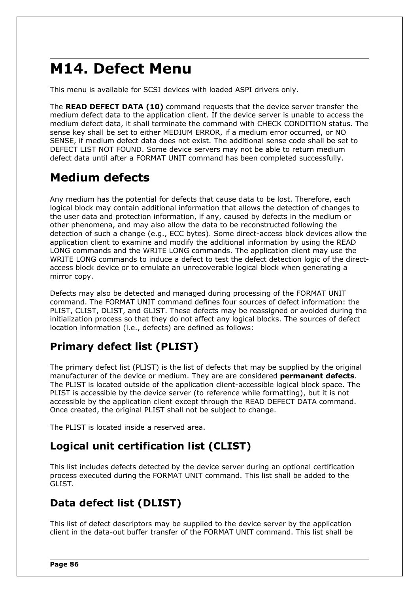# **M14. Defect Menu**

This menu is available for SCSI devices with loaded ASPI drivers only.

The **READ DEFECT DATA (10)** command requests that the device server transfer the medium defect data to the application client. If the device server is unable to access the medium defect data, it shall terminate the command with CHECK CONDITION status. The sense key shall be set to either MEDIUM ERROR, if a medium error occurred, or NO SENSE, if medium defect data does not exist. The additional sense code shall be set to DEFECT LIST NOT FOUND. Some device servers may not be able to return medium defect data until after a FORMAT UNIT command has been completed successfully.

## **Medium defects**

Any medium has the potential for defects that cause data to be lost. Therefore, each logical block may contain additional information that allows the detection of changes to the user data and protection information, if any, caused by defects in the medium or other phenomena, and may also allow the data to be reconstructed following the detection of such a change (e.g., ECC bytes). Some direct-access block devices allow the application client to examine and modify the additional information by using the READ LONG commands and the WRITE LONG commands. The application client may use the WRITE LONG commands to induce a defect to test the defect detection logic of the directaccess block device or to emulate an unrecoverable logical block when generating a mirror copy.

Defects may also be detected and managed during processing of the FORMAT UNIT command. The FORMAT UNIT command defines four sources of defect information: the PLIST, CLIST, DLIST, and GLIST. These defects may be reassigned or avoided during the initialization process so that they do not affect any logical blocks. The sources of defect location information (i.e., defects) are defined as follows:

## **Primary defect list (PLIST)**

The primary defect list (PLIST) is the list of defects that may be supplied by the original manufacturer of the device or medium. They are are considered **permanent defects**. The PLIST is located outside of the application client-accessible logical block space. The PLIST is accessible by the device server (to reference while formatting), but it is not accessible by the application client except through the READ DEFECT DATA command. Once created, the original PLIST shall not be subject to change.

The PLIST is located inside a reserved area.

### **Logical unit certification list (CLIST)**

This list includes defects detected by the device server during an optional certification process executed during the FORMAT UNIT command. This list shall be added to the GLIST.

## **Data defect list (DLIST)**

This list of defect descriptors may be supplied to the device server by the application client in the data-out buffer transfer of the FORMAT UNIT command. This list shall be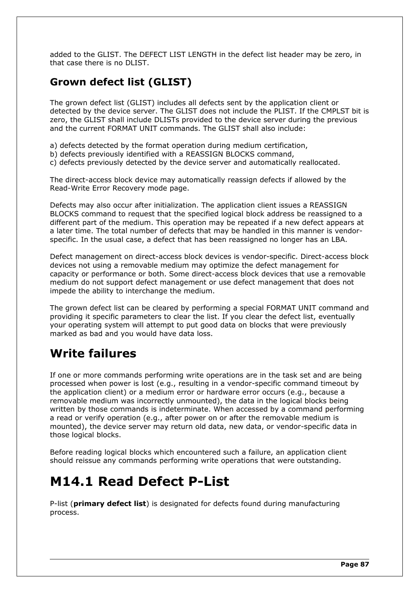added to the GLIST. The DEFECT LIST LENGTH in the defect list header may be zero, in that case there is no DLIST.

### **Grown defect list (GLIST)**

The grown defect list (GLIST) includes all defects sent by the application client or detected by the device server. The GLIST does not include the PLIST. If the CMPLST bit is zero, the GLIST shall include DLISTs provided to the device server during the previous and the current FORMAT UNIT commands. The GLIST shall also include:

- a) defects detected by the format operation during medium certification,
- b) defects previously identified with a REASSIGN BLOCKS command,
- c) defects previously detected by the device server and automatically reallocated.

The direct-access block device may automatically reassign defects if allowed by the Read-Write Error Recovery mode page.

Defects may also occur after initialization. The application client issues a REASSIGN BLOCKS command to request that the specified logical block address be reassigned to a different part of the medium. This operation may be repeated if a new defect appears at a later time. The total number of defects that may be handled in this manner is vendorspecific. In the usual case, a defect that has been reassigned no longer has an LBA.

Defect management on direct-access block devices is vendor-specific. Direct-access block devices not using a removable medium may optimize the defect management for capacity or performance or both. Some direct-access block devices that use a removable medium do not support defect management or use defect management that does not impede the ability to interchange the medium.

The grown defect list can be cleared by performing a special FORMAT UNIT command and providing it specific parameters to clear the list. If you clear the defect list, eventually your operating system will attempt to put good data on blocks that were previously marked as bad and you would have data loss.

## **Write failures**

If one or more commands performing write operations are in the task set and are being processed when power is lost (e.g., resulting in a vendor-specific command timeout by the application client) or a medium error or hardware error occurs (e.g., because a removable medium was incorrectly unmounted), the data in the logical blocks being written by those commands is indeterminate. When accessed by a command performing a read or verify operation (e.g., after power on or after the removable medium is mounted), the device server may return old data, new data, or vendor-specific data in those logical blocks.

Before reading logical blocks which encountered such a failure, an application client should reissue any commands performing write operations that were outstanding.

## **M14.1 Read Defect P-List**

P-list (**primary defect list**) is designated for defects found during manufacturing process.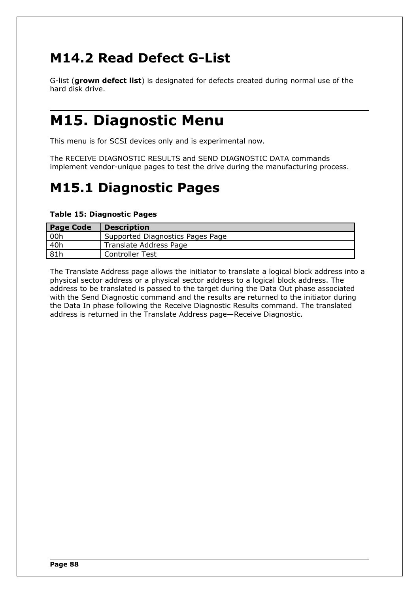# **M14.2 Read Defect G-List**

G-list (**grown defect list**) is designated for defects created during normal use of the hard disk drive.

# **M15. Diagnostic Menu**

This menu is for SCSI devices only and is experimental now.

The RECEIVE DIAGNOSTIC RESULTS and SEND DIAGNOSTIC DATA commands implement vendor-unique pages to test the drive during the manufacturing process.

# **M15.1 Diagnostic Pages**

### **Table 15: Diagnostic Pages**

| <b>Page Code</b> | <b>Description</b>               |
|------------------|----------------------------------|
| 00h              | Supported Diagnostics Pages Page |
| 40h              | Translate Address Page           |
| 81h              | <b>Controller Test</b>           |

The Translate Address page allows the initiator to translate a logical block address into a physical sector address or a physical sector address to a logical block address. The address to be translated is passed to the target during the Data Out phase associated with the Send Diagnostic command and the results are returned to the initiator during the Data In phase following the Receive Diagnostic Results command. The translated address is returned in the Translate Address page—Receive Diagnostic.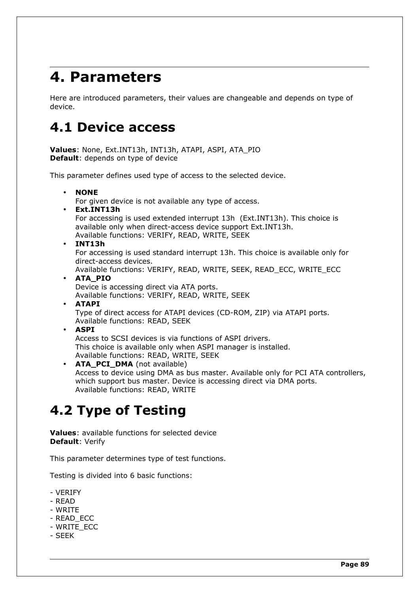# **4. Parameters**

Here are introduced parameters, their values are changeable and depends on type of device.

# **4.1 Device access**

**Values**: None, Ext.INT13h, INT13h, ATAPI, ASPI, ATA\_PIO **Default**: depends on type of device

This parameter defines used type of access to the selected device.

• **NONE** For given device is not available any type of access. • **Ext.INT13h** For accessing is used extended interrupt 13h (Ext.INT13h). This choice is available only when direct-access device support Ext.INT13h. Available functions: VERIFY, READ, WRITE, SEEK • **INT13h** For accessing is used standard interrupt 13h. This choice is available only for direct-access devices. Available functions: VERIFY, READ, WRITE, SEEK, READ\_ECC, WRITE\_ECC • **ATA\_PIO** Device is accessing direct via ATA ports. Available functions: VERIFY, READ, WRITE, SEEK • **ATAPI** Type of direct access for ATAPI devices (CD-ROM, ZIP) via ATAPI ports. Available functions: READ, SEEK • **ASPI** Access to SCSI devices is via functions of ASPI drivers. This choice is available only when ASPI manager is installed. Available functions: READ, WRITE, SEEK • **ATA\_PCI\_DMA** (not available) Access to device using DMA as bus master. Available only for PCI ATA controllers, which support bus master. Device is accessing direct via DMA ports. Available functions: READ, WRITE

# **4.2 Type of Testing**

**Values**: available functions for selected device **Default**: Verify

This parameter determines type of test functions.

Testing is divided into 6 basic functions:

- VERIFY
- READ
- WRITE
- READ\_ECC
- WRITE\_ECC
- SEEK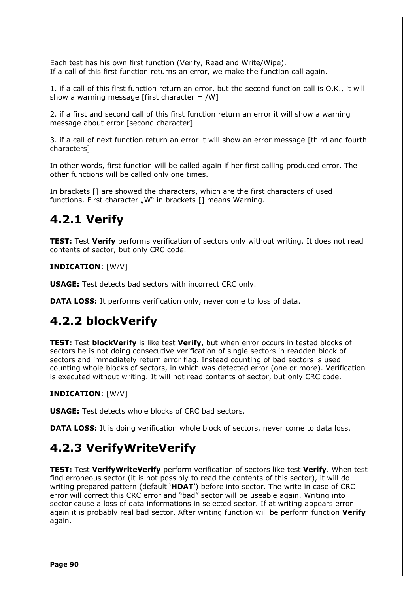Each test has his own first function (Verify, Read and Write/Wipe). If a call of this first function returns an error, we make the function call again.

1. if a call of this first function return an error, but the second function call is O.K., it will show a warning message [first character  $=$  /W]

2. if a first and second call of this first function return an error it will show a warning message about error [second character]

3. if a call of next function return an error it will show an error message [third and fourth characters]

In other words, first function will be called again if her first calling produced error. The other functions will be called only one times.

In brackets [] are showed the characters, which are the first characters of used functions. First character "W" in brackets [1 means Warning.

## **4.2.1 Verify**

**TEST:** Test **Verify** performs verification of sectors only without writing. It does not read contents of sector, but only CRC code.

### **INDICATION**: [W/V]

**USAGE:** Test detects bad sectors with incorrect CRC only.

**DATA LOSS:** It performs verification only, never come to loss of data.

## **4.2.2 blockVerify**

**TEST:** Test **blockVerify** is like test **Verify**, but when error occurs in tested blocks of sectors he is not doing consecutive verification of single sectors in readden block of sectors and immediately return error flag. Instead counting of bad sectors is used counting whole blocks of sectors, in which was detected error (one or more). Verification is executed without writing. It will not read contents of sector, but only CRC code.

#### **INDICATION**: [W/V]

**USAGE:** Test detects whole blocks of CRC bad sectors.

**DATA LOSS:** It is doing verification whole block of sectors, never come to data loss.

## **4.2.3 VerifyWriteVerify**

**TEST:** Test **VerifyWriteVerify** perform verification of sectors like test **Verify**. When test find erroneous sector (it is not possibly to read the contents of this sector), it will do writing prepared pattern (default '**HDAT**') before into sector. The write in case of CRC error will correct this CRC error and "bad" sector will be useable again. Writing into sector cause a loss of data informations in selected sector. If at writing appears error again it is probably real bad sector. After writing function will be perform function **Verify** again.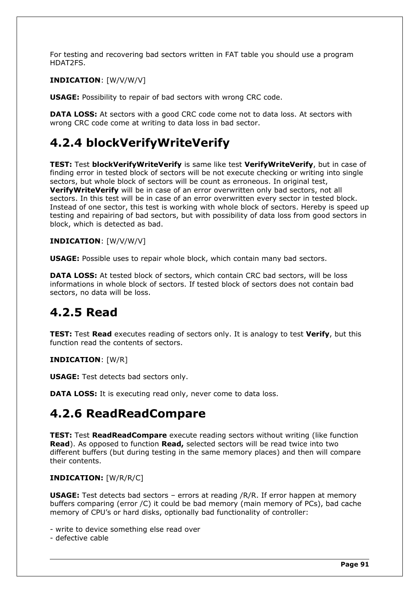For testing and recovering bad sectors written in FAT table you should use a program HDAT2FS.

### **INDICATION**: [W/V/W/V]

**USAGE:** Possibility to repair of bad sectors with wrong CRC code.

**DATA LOSS:** At sectors with a good CRC code come not to data loss. At sectors with wrong CRC code come at writing to data loss in bad sector.

## **4.2.4 blockVerifyWriteVerify**

**TEST:** Test **blockVerifyWriteVerify** is same like test **VerifyWriteVerify**, but in case of finding error in tested block of sectors will be not execute checking or writing into single sectors, but whole block of sectors will be count as erroneous. In original test, **VerifyWriteVerify** will be in case of an error overwritten only bad sectors, not all sectors. In this test will be in case of an error overwritten every sector in tested block. Instead of one sector, this test is working with whole block of sectors. Hereby is speed up testing and repairing of bad sectors, but with possibility of data loss from good sectors in block, which is detected as bad.

### **INDICATION**: [W/V/W/V]

**USAGE:** Possible uses to repair whole block, which contain many bad sectors.

**DATA LOSS:** At tested block of sectors, which contain CRC bad sectors, will be loss informations in whole block of sectors. If tested block of sectors does not contain bad sectors, no data will be loss.

## **4.2.5 Read**

**TEST:** Test **Read** executes reading of sectors only. It is analogy to test **Verify**, but this function read the contents of sectors.

#### **INDICATION**: [W/R]

**USAGE:** Test detects bad sectors only.

**DATA LOSS:** It is executing read only, never come to data loss.

## **4.2.6 ReadReadCompare**

**TEST:** Test **ReadReadCompare** execute reading sectors without writing (like function **Read**). As opposed to function **Read,** selected sectors will be read twice into two different buffers (but during testing in the same memory places) and then will compare their contents.

#### **INDICATION:** [W/R/R/C]

**USAGE:** Test detects bad sectors - errors at reading /R/R. If error happen at memory buffers comparing (error /C) it could be bad memory (main memory of PCs), bad cache memory of CPU's or hard disks, optionally bad functionality of controller:

- write to device something else read over
- defective cable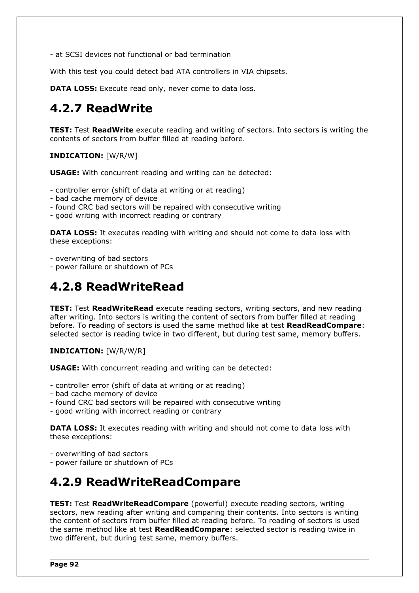- at SCSI devices not functional or bad termination

With this test you could detect bad ATA controllers in VIA chipsets.

**DATA LOSS:** Execute read only, never come to data loss.

## **4.2.7 ReadWrite**

**TEST:** Test **ReadWrite** execute reading and writing of sectors. Into sectors is writing the contents of sectors from buffer filled at reading before.

**INDICATION:** [W/R/W]

**USAGE:** With concurrent reading and writing can be detected:

- controller error (shift of data at writing or at reading)
- bad cache memory of device
- found CRC bad sectors will be repaired with consecutive writing
- good writing with incorrect reading or contrary

**DATA LOSS:** It executes reading with writing and should not come to data loss with these exceptions:

- overwriting of bad sectors

- power failure or shutdown of PCs

## **4.2.8 ReadWriteRead**

**TEST:** Test **ReadWriteRead** execute reading sectors, writing sectors, and new reading after writing. Into sectors is writing the content of sectors from buffer filled at reading before. To reading of sectors is used the same method like at test **ReadReadCompare**: selected sector is reading twice in two different, but during test same, memory buffers.

**INDICATION:** [W/R/W/R]

**USAGE:** With concurrent reading and writing can be detected:

- controller error (shift of data at writing or at reading)
- bad cache memory of device
- found CRC bad sectors will be repaired with consecutive writing
- good writing with incorrect reading or contrary

**DATA LOSS:** It executes reading with writing and should not come to data loss with these exceptions:

- overwriting of bad sectors

- power failure or shutdown of PCs

## **4.2.9 ReadWriteReadCompare**

**TEST:** Test **ReadWriteReadCompare** (powerful) execute reading sectors, writing sectors, new reading after writing and comparing their contents. Into sectors is writing the content of sectors from buffer filled at reading before. To reading of sectors is used the same method like at test **ReadReadCompare**: selected sector is reading twice in two different, but during test same, memory buffers.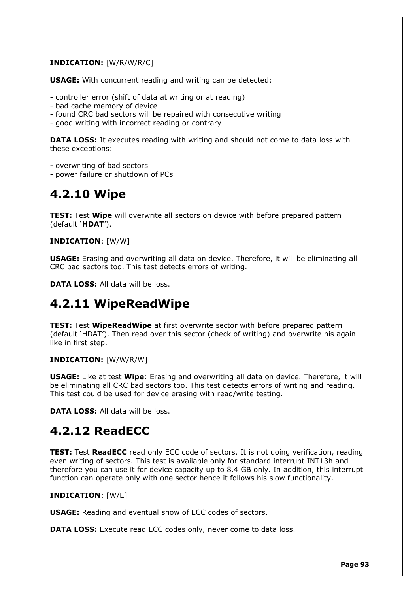### **INDICATION:** [W/R/W/R/C]

**USAGE:** With concurrent reading and writing can be detected:

- controller error (shift of data at writing or at reading)
- bad cache memory of device
- found CRC bad sectors will be repaired with consecutive writing
- good writing with incorrect reading or contrary

**DATA LOSS:** It executes reading with writing and should not come to data loss with these exceptions:

- overwriting of bad sectors

- power failure or shutdown of PCs

## **4.2.10 Wipe**

**TEST:** Test **Wipe** will overwrite all sectors on device with before prepared pattern (default '**HDAT**').

### **INDICATION**: [W/W]

**USAGE:** Erasing and overwriting all data on device. Therefore, it will be eliminating all CRC bad sectors too. This test detects errors of writing.

**DATA LOSS:** All data will be loss.

## **4.2.11 WipeReadWipe**

**TEST:** Test **WipeReadWipe** at first overwrite sector with before prepared pattern (default 'HDAT'). Then read over this sector (check of writing) and overwrite his again like in first step.

#### **INDICATION:** [W/W/R/W]

**USAGE:** Like at test **Wipe**: Erasing and overwriting all data on device. Therefore, it will be eliminating all CRC bad sectors too. This test detects errors of writing and reading. This test could be used for device erasing with read/write testing.

**DATA LOSS:** All data will be loss.

## **4.2.12 ReadECC**

**TEST:** Test **ReadECC** read only ECC code of sectors. It is not doing verification, reading even writing of sectors. This test is available only for standard interrupt INT13h and therefore you can use it for device capacity up to 8.4 GB only. In addition, this interrupt function can operate only with one sector hence it follows his slow functionality.

#### **INDICATION**: [W/E]

**USAGE:** Reading and eventual show of ECC codes of sectors.

**DATA LOSS:** Execute read ECC codes only, never come to data loss.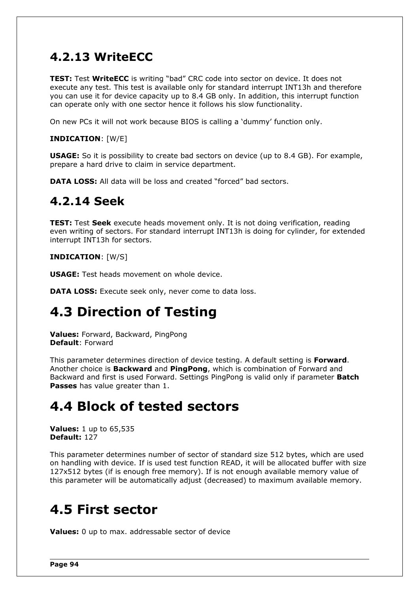## **4.2.13 WriteECC**

**TEST:** Test **WriteECC** is writing "bad" CRC code into sector on device. It does not execute any test. This test is available only for standard interrupt INT13h and therefore you can use it for device capacity up to 8.4 GB only. In addition, this interrupt function can operate only with one sector hence it follows his slow functionality.

On new PCs it will not work because BIOS is calling a 'dummy' function only.

### **INDICATION**: [W/E]

**USAGE:** So it is possibility to create bad sectors on device (up to 8.4 GB). For example, prepare a hard drive to claim in service department.

**DATA LOSS:** All data will be loss and created "forced" bad sectors.

### **4.2.14 Seek**

**TEST:** Test **Seek** execute heads movement only. It is not doing verification, reading even writing of sectors. For standard interrupt INT13h is doing for cylinder, for extended interrupt INT13h for sectors.

#### **INDICATION**: [W/S]

**USAGE:** Test heads movement on whole device.

**DATA LOSS:** Execute seek only, never come to data loss.

## **4.3 Direction of Testing**

**Values:** Forward, Backward, PingPong **Default**: Forward

This parameter determines direction of device testing. A default setting is **Forward**. Another choice is **Backward** and **PingPong**, which is combination of Forward and Backward and first is used Forward. Settings PingPong is valid only if parameter **Batch Passes** has value greater than 1.

## **4.4 Block of tested sectors**

**Values:** 1 up to 65,535 **Default:** 127

This parameter determines number of sector of standard size 512 bytes, which are used on handling with device. If is used test function READ, it will be allocated buffer with size 127x512 bytes (if is enough free memory). If is not enough available memory value of this parameter will be automatically adjust (decreased) to maximum available memory.

## **4.5 First sector**

**Values:** 0 up to max. addressable sector of device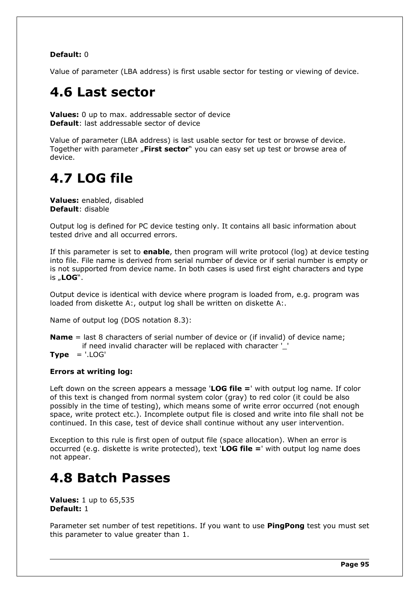### **Default:** 0

Value of parameter (LBA address) is first usable sector for testing or viewing of device.

# **4.6 Last sector**

**Values:** 0 up to max. addressable sector of device **Default**: last addressable sector of device

Value of parameter (LBA address) is last usable sector for test or browse of device. Together with parameter "First sector" you can easy set up test or browse area of device.

# **4.7 LOG file**

**Values:** enabled, disabled **Default**: disable

Output log is defined for PC device testing only. It contains all basic information about tested drive and all occurred errors.

If this parameter is set to **enable**, then program will write protocol (log) at device testing into file. File name is derived from serial number of device or if serial number is empty or is not supported from device name. In both cases is used first eight characters and type is "**LOG**".

Output device is identical with device where program is loaded from, e.g. program was loaded from diskette A:, output log shall be written on diskette A:.

Name of output log (DOS notation 8.3):

**Name** = last 8 characters of serial number of device or (if invalid) of device name; if need invalid character will be replaced with character '\_'

**Type** = '.LOG'

#### **Errors at writing log:**

Left down on the screen appears a message '**LOG file =**' with output log name. If color of this text is changed from normal system color (gray) to red color (it could be also possibly in the time of testing), which means some of write error occurred (not enough space, write protect etc.). Incomplete output file is closed and write into file shall not be continued. In this case, test of device shall continue without any user intervention.

Exception to this rule is first open of output file (space allocation). When an error is occurred (e.g. diskette is write protected), text '**LOG file =**' with output log name does not appear.

## **4.8 Batch Passes**

**Values:** 1 up to 65,535 **Default:** 1

Parameter set number of test repetitions. If you want to use **PingPong** test you must set this parameter to value greater than 1.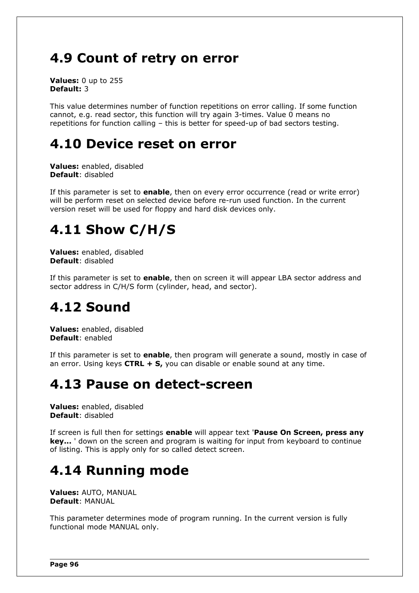# **4.9 Count of retry on error**

**Values:** 0 up to 255 **Default:** 3

This value determines number of function repetitions on error calling. If some function cannot, e.g. read sector, this function will try again 3-times. Value 0 means no repetitions for function calling – this is better for speed-up of bad sectors testing.

## **4.10 Device reset on error**

**Values:** enabled, disabled **Default**: disabled

If this parameter is set to **enable**, then on every error occurrence (read or write error) will be perform reset on selected device before re-run used function. In the current version reset will be used for floppy and hard disk devices only.

# **4.11 Show C/H/S**

**Values:** enabled, disabled **Default**: disabled

If this parameter is set to **enable**, then on screen it will appear LBA sector address and sector address in C/H/S form (cylinder, head, and sector).

# **4.12 Sound**

**Values:** enabled, disabled **Default**: enabled

If this parameter is set to **enable**, then program will generate a sound, mostly in case of an error. Using keys **CTRL + S,** you can disable or enable sound at any time.

## **4.13 Pause on detect-screen**

**Values:** enabled, disabled **Default**: disabled

If screen is full then for settings **enable** will appear text '**Pause On Screen, press any key...** ' down on the screen and program is waiting for input from keyboard to continue of listing. This is apply only for so called detect screen.

# **4.14 Running mode**

**Values:** AUTO, MANUAL **Default**: MANUAL

This parameter determines mode of program running. In the current version is fully functional mode MANUAL only.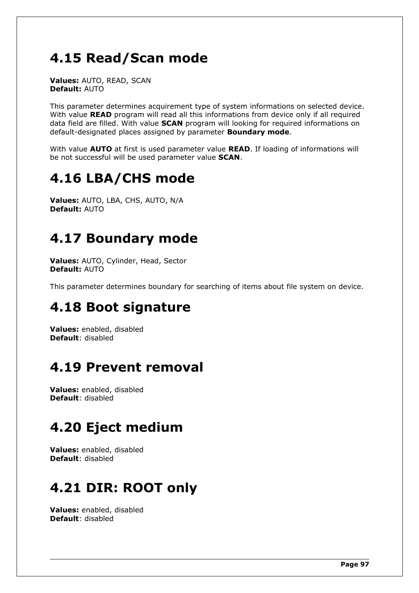# **4.15 Read/Scan mode**

**Values:** AUTO, READ, SCAN **Default:** AUTO

This parameter determines acquirement type of system informations on selected device. With value **READ** program will read all this informations from device only if all required data field are filled. With value **SCAN** program will looking for required informations on default-designated places assigned by parameter **Boundary mode**.

With value **AUTO** at first is used parameter value **READ**. If loading of informations will be not successful will be used parameter value **SCAN**.

# **4.16 LBA/CHS mode**

**Values:** AUTO, LBA, CHS, AUTO, N/A **Default:** AUTO

# **4.17 Boundary mode**

**Values:** AUTO, Cylinder, Head, Sector **Default:** AUTO

This parameter determines boundary for searching of items about file system on device.

## **4.18 Boot signature**

**Values:** enabled, disabled **Default**: disabled

# **4.19 Prevent removal**

**Values:** enabled, disabled **Default**: disabled

# **4.20 Eject medium**

**Values:** enabled, disabled **Default**: disabled

# **4.21 DIR: ROOT only**

**Values:** enabled, disabled **Default**: disabled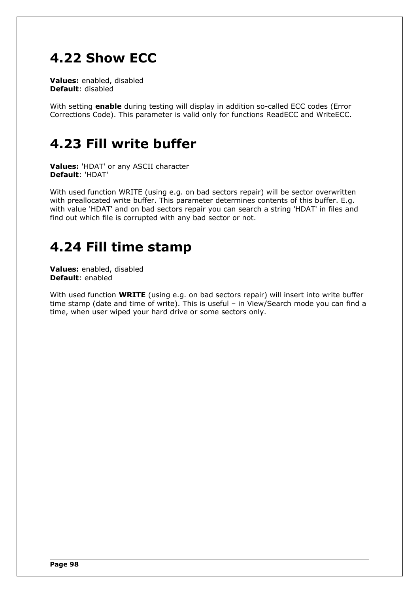# **4.22 Show ECC**

**Values:** enabled, disabled **Default**: disabled

With setting **enable** during testing will display in addition so-called ECC codes (Error Corrections Code). This parameter is valid only for functions ReadECC and WriteECC.

## **4.23 Fill write buffer**

**Values:** 'HDAT' or any ASCII character **Default**: 'HDAT'

With used function WRITE (using e.g. on bad sectors repair) will be sector overwritten with preallocated write buffer. This parameter determines contents of this buffer. E.g. with value 'HDAT' and on bad sectors repair you can search a string 'HDAT' in files and find out which file is corrupted with any bad sector or not.

# **4.24 Fill time stamp**

**Values:** enabled, disabled **Default**: enabled

With used function **WRITE** (using e.g. on bad sectors repair) will insert into write buffer time stamp (date and time of write). This is useful – in View/Search mode you can find a time, when user wiped your hard drive or some sectors only.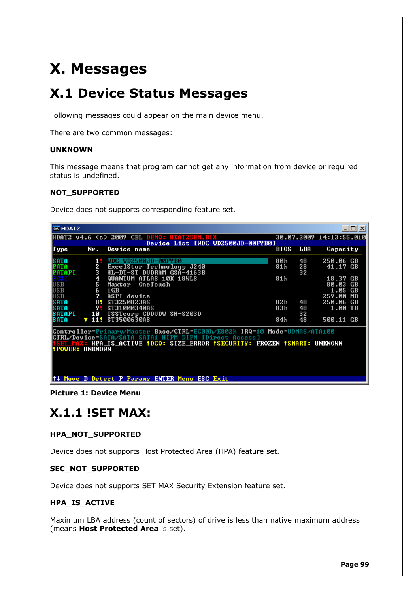# **X. Messages**

# **X.1 Device Status Messages**

Following messages could appear on the main device menu.

There are two common messages:

#### **UNKNOWN**

This message means that program cannot get any information from device or required status is undefined.

#### **NOT\_SUPPORTED**

Device does not supports corresponding feature set.

| <b>EX HDAT2</b>                                                                                                                                                                                              |                   |                                                                                |                 |                | <u> - 미지</u>                                       |
|--------------------------------------------------------------------------------------------------------------------------------------------------------------------------------------------------------------|-------------------|--------------------------------------------------------------------------------|-----------------|----------------|----------------------------------------------------|
|                                                                                                                                                                                                              |                   | HDAT2 v4.6 (c) 2009 CBL DEMO: HDAT2DEM.BIX                                     |                 |                | 30.07.2009 14:13:55.010                            |
| I ype                                                                                                                                                                                                        | Nr.               | Device List [WDC WD2500JD-00FYB0]<br>Device name                               | <b>BIOS</b>     | LBA            | Capacity                                           |
| SATA<br>PATA<br>PATAPI                                                                                                                                                                                       | 1.<br>2<br>з      | WDC WD2500JD-00FYB0<br>ExcelStor Technology J240<br>HL-DT-ST DUDRAM GSA-4163B  | 80h<br>81h      | 48<br>28<br>32 | 250.06 GB<br>41.17 GB                              |
| SCS I<br>USB<br>USB<br>USB                                                                                                                                                                                   | 4<br>5<br>6.<br>7 | QUANTUM ATLAS 10K 18WLS<br>OneTouch<br>Maxtor<br>$1\,\text{GB}$<br>ASPI device | 81 <sub>h</sub> |                | 18.37 GB<br>80.03<br>GB<br>1.05 GB<br>259.00<br>MВ |
| SATA<br>SATA<br><b>SATAPI</b>                                                                                                                                                                                | 81<br>9.<br>10    | \$T3250823A\$<br>\$T310003400\$<br>TSSTcorp CDDUDW SH-S203D                    | 82h<br>83h      | 48<br>48<br>32 | 250.06 GB<br>1.00 TB                               |
| SATA                                                                                                                                                                                                         | $\sqrt{112}$      | ST3500630AS                                                                    | 84h             | 48             | 500.11 GB                                          |
| Controller=Primary/Master Base/CTRL=EC00h/E802h IRQ=10 Mode=UDMA5/ATA100<br>CTRL/Device=SATA/SATA SATA1 HIPM DIPM [Direct Access]<br><b>POWER: UNKNOWN!</b><br>↑↓ Move D Detect P Params ENTER Menu ESC Exit |                   |                                                                                |                 |                |                                                    |
|                                                                                                                                                                                                              |                   |                                                                                |                 |                |                                                    |

**Picture 1: Device Menu**

### **X.1.1 !SET MAX:**

### **HPA\_NOT\_SUPPORTED**

Device does not supports Host Protected Area (HPA) feature set.

#### **SEC\_NOT\_SUPPORTED**

Device does not supports SET MAX Security Extension feature set.

#### **HPA\_IS\_ACTIVE**

Maximum LBA address (count of sectors) of drive is less than native maximum address (means **Host Protected Area** is set).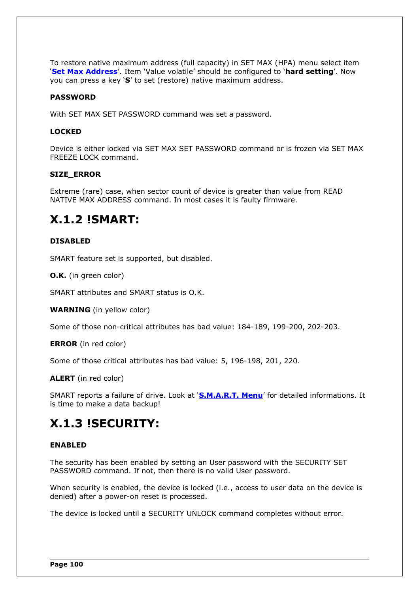To restore native maximum address (full capacity) in SET MAX (HPA) menu select item '**[Set Max Address](#page-65-0)**'. Item 'Value volatile' should be configured to '**hard setting**'. Now you can press a key '**S**' to set (restore) native maximum address.

### **PASSWORD**

With SET MAX SET PASSWORD command was set a password.

#### **LOCKED**

Device is either locked via SET MAX SET PASSWORD command or is frozen via SET MAX FREEZE LOCK command.

#### **SIZE\_ERROR**

Extreme (rare) case, when sector count of device is greater than value from READ NATIVE MAX ADDRESS command. In most cases it is faulty firmware.

## **X.1.2 !SMART:**

#### **DISABLED**

SMART feature set is supported, but disabled.

#### **O.K.** (in green color)

SMART attributes and SMART status is O.K.

**WARNING** (in yellow color)

Some of those non-critical attributes has bad value: 184-189, 199-200, 202-203.

**ERROR** (in red color)

Some of those critical attributes has bad value: 5, 196-198, 201, 220.

**ALERT** (in red color)

SMART reports a failure of drive. Look at '**[S.M.A.R.T. Menu](#page-29-0)**' for detailed informations. It is time to make a data backup!

### **X.1.3 !SECURITY:**

#### **ENABLED**

The security has been enabled by setting an User password with the SECURITY SET PASSWORD command. If not, then there is no valid User password.

When security is enabled, the device is locked (i.e., access to user data on the device is denied) after a power-on reset is processed.

The device is locked until a SECURITY UNLOCK command completes without error.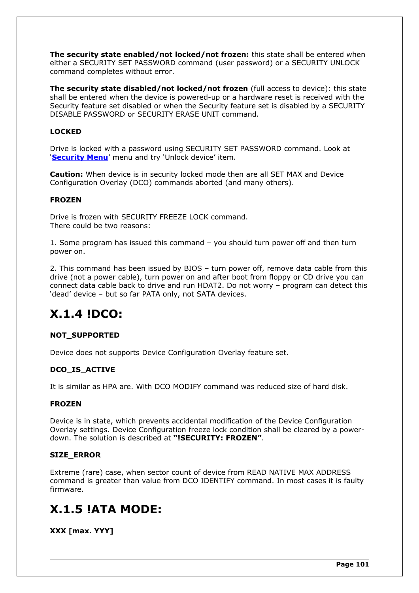**The security state enabled/not locked/not frozen:** this state shall be entered when either a SECURITY SET PASSWORD command (user password) or a SECURITY UNLOCK command completes without error.

**The security state disabled/not locked/not frozen** (full access to device): this state shall be entered when the device is powered-up or a hardware reset is received with the Security feature set disabled or when the Security feature set is disabled by a SECURITY DISABLE PASSWORD or SECURITY ERASE UNIT command.

### **LOCKED**

Drive is locked with a password using SECURITY SET PASSWORD command. Look at '**[Security Menu](#page-59-0)**' menu and try 'Unlock device' item.

**Caution:** When device is in security locked mode then are all SET MAX and Device Configuration Overlay (DCO) commands aborted (and many others).

#### **FROZEN**

Drive is frozen with SECURITY FREEZE LOCK command. There could be two reasons:

1. Some program has issued this command – you should turn power off and then turn power on.

2. This command has been issued by BIOS – turn power off, remove data cable from this drive (not a power cable), turn power on and after boot from floppy or CD drive you can connect data cable back to drive and run HDAT2. Do not worry – program can detect this 'dead' device – but so far PATA only, not SATA devices.

## **X.1.4 !DCO:**

### **NOT\_SUPPORTED**

Device does not supports Device Configuration Overlay feature set.

#### **DCO\_IS\_ACTIVE**

It is similar as HPA are. With DCO MODIFY command was reduced size of hard disk.

#### **FROZEN**

Device is in state, which prevents accidental modification of the Device Configuration Overlay settings. Device Configuration freeze lock condition shall be cleared by a powerdown. The solution is described at **"!SECURITY: FROZEN"**.

#### **SIZE\_ERROR**

Extreme (rare) case, when sector count of device from READ NATIVE MAX ADDRESS command is greater than value from DCO IDENTIFY command. In most cases it is faulty firmware.

## **X.1.5 !ATA MODE:**

**XXX [max. YYY]**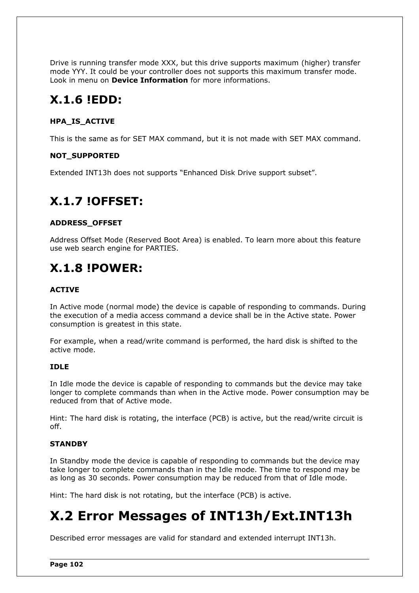Drive is running transfer mode XXX, but this drive supports maximum (higher) transfer mode YYY. It could be your controller does not supports this maximum transfer mode. Look in menu on **Device Information** for more informations.

## **X.1.6 !EDD:**

### **HPA\_IS\_ACTIVE**

This is the same as for SET MAX command, but it is not made with SET MAX command.

### **NOT\_SUPPORTED**

Extended INT13h does not supports "Enhanced Disk Drive support subset".

## **X.1.7 !OFFSET:**

### **ADDRESS\_OFFSET**

Address Offset Mode (Reserved Boot Area) is enabled. To learn more about this feature use web search engine for PARTIES.

## **X.1.8 !POWER:**

### **ACTIVE**

In Active mode (normal mode) the device is capable of responding to commands. During the execution of a media access command a device shall be in the Active state. Power consumption is greatest in this state.

For example, when a read/write command is performed, the hard disk is shifted to the active mode.

#### **IDLE**

In Idle mode the device is capable of responding to commands but the device may take longer to complete commands than when in the Active mode. Power consumption may be reduced from that of Active mode.

Hint: The hard disk is rotating, the interface (PCB) is active, but the read/write circuit is off.

### **STANDBY**

In Standby mode the device is capable of responding to commands but the device may take longer to complete commands than in the Idle mode. The time to respond may be as long as 30 seconds. Power consumption may be reduced from that of Idle mode.

Hint: The hard disk is not rotating, but the interface (PCB) is active.

# **X.2 Error Messages of INT13h/Ext.INT13h**

Described error messages are valid for standard and extended interrupt INT13h.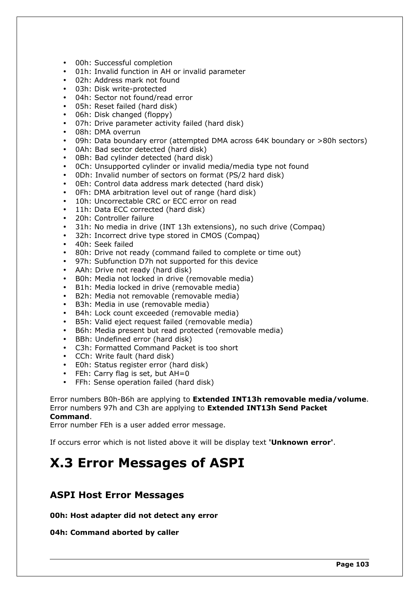- 00h: Successful completion
- 01h: Invalid function in AH or invalid parameter
- 02h: Address mark not found
- 03h: Disk write-protected
- 04h: Sector not found/read error
- 05h: Reset failed (hard disk)
- 06h: Disk changed (floppy)
- 07h: Drive parameter activity failed (hard disk)
- 08h: DMA overrun
- 09h: Data boundary error (attempted DMA across 64K boundary or >80h sectors)
- 0Ah: Bad sector detected (hard disk)
- 0Bh: Bad cylinder detected (hard disk)
- 0Ch: Unsupported cylinder or invalid media/media type not found
- 0Dh: Invalid number of sectors on format (PS/2 hard disk)
- 0Eh: Control data address mark detected (hard disk)
- 0Fh: DMA arbitration level out of range (hard disk)
- 10h: Uncorrectable CRC or ECC error on read
- 11h: Data ECC corrected (hard disk)
- 20h: Controller failure
- 31h: No media in drive (INT 13h extensions), no such drive (Compaq)
- 32h: Incorrect drive type stored in CMOS (Compaq)
- 40h: Seek failed
- 80h: Drive not ready (command failed to complete or time out)
- 97h: Subfunction D7h not supported for this device
- AAh: Drive not ready (hard disk)
- B0h: Media not locked in drive (removable media)
- B1h: Media locked in drive (removable media)
- B2h: Media not removable (removable media)
- B3h: Media in use (removable media)
- B4h: Lock count exceeded (removable media)
- B5h: Valid eject request failed (removable media)
- B6h: Media present but read protected (removable media)
- BBh: Undefined error (hard disk)
- C3h: Formatted Command Packet is too short
- CCh: Write fault (hard disk)
- E0h: Status register error (hard disk)
- FEh: Carry flag is set, but AH=0
- FFh: Sense operation failed (hard disk)

Error numbers B0h-B6h are applying to **Extended INT13h removable media/volume**. Error numbers 97h and C3h are applying to **Extended INT13h Send Packet Command**.

Error number FEh is a user added error message.

If occurs error which is not listed above it will be display text **'Unknown error'**.

## **X.3 Error Messages of ASPI**

### **ASPI Host Error Messages**

**00h: Host adapter did not detect any error**

**04h: Command aborted by caller**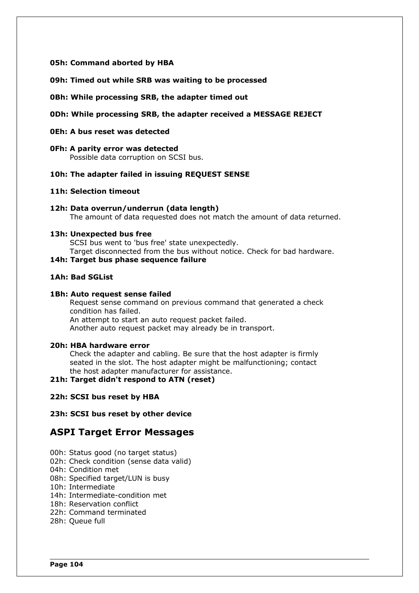### **05h: Command aborted by HBA**

**09h: Timed out while SRB was waiting to be processed**

#### **0Bh: While processing SRB, the adapter timed out**

#### **0Dh: While processing SRB, the adapter received a MESSAGE REJECT**

### **0Eh: A bus reset was detected**

### **0Fh: A parity error was detected**

Possible data corruption on SCSI bus.

### **10h: The adapter failed in issuing REQUEST SENSE**

#### **11h: Selection timeout**

#### **12h: Data overrun/underrun (data length)** The amount of data requested does not match the amount of data returned.

#### **13h: Unexpected bus free**

SCSI bus went to 'bus free' state unexpectedly.

Target disconnected from the bus without notice. Check for bad hardware.

### **14h: Target bus phase sequence failure**

### **1Ah: Bad SGList**

#### **1Bh: Auto request sense failed**

 Request sense command on previous command that generated a check condition has failed. An attempt to start an auto request packet failed. Another auto request packet may already be in transport.

#### **20h: HBA hardware error**

 Check the adapter and cabling. Be sure that the host adapter is firmly seated in the slot. The host adapter might be malfunctioning; contact the host adapter manufacturer for assistance.

#### **21h: Target didn't respond to ATN (reset)**

#### **22h: SCSI bus reset by HBA**

#### **23h: SCSI bus reset by other device**

### **ASPI Target Error Messages**

- 00h: Status good (no target status)
- 02h: Check condition (sense data valid)
- 04h: Condition met
- 08h: Specified target/LUN is busy
- 10h: Intermediate
- 14h: Intermediate-condition met
- 18h: Reservation conflict
- 22h: Command terminated
- 28h: Queue full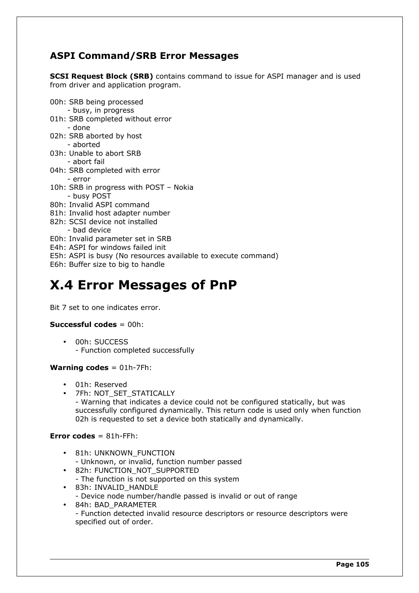### **ASPI Command/SRB Error Messages**

**SCSI Request Block (SRB)** contains command to issue for ASPI manager and is used from driver and application program.

- 00h: SRB being processed
- busy, in progress
- 01h: SRB completed without error - done
- 02h: SRB aborted by host - aborted
- 03h: Unable to abort SRB
	- abort fail
- 04h: SRB completed with error - error
- 10h: SRB in progress with POST Nokia - busy POST
- 80h: Invalid ASPI command
- 81h: Invalid host adapter number
- 82h: SCSI device not installed
- bad device
- E0h: Invalid parameter set in SRB
- E4h: ASPI for windows failed init
- E5h: ASPI is busy (No resources available to execute command)
- E6h: Buffer size to big to handle

# <span id="page-105-0"></span>**X.4 Error Messages of PnP**

Bit 7 set to one indicates error.

### **Successful codes** = 00h:

• 00h: SUCCESS - Function completed successfully

### **Warning codes** = 01h-7Fh:

- 01h: Reserved
- 7Fh: NOT\_SET\_STATICALLY

- Warning that indicates a device could not be configured statically, but was successfully configured dynamically. This return code is used only when function 02h is requested to set a device both statically and dynamically.

### **Error codes** = 81h-FFh:

- 81h: UNKNOWN\_FUNCTION - Unknown, or invalid, function number passed
- 82h: FUNCTION\_NOT\_SUPPORTED - The function is not supported on this system
- 83h: INVALID\_HANDLE - Device node number/handle passed is invalid or out of range
- 84h: BAD\_PARAMETER - Function detected invalid resource descriptors or resource descriptors were specified out of order.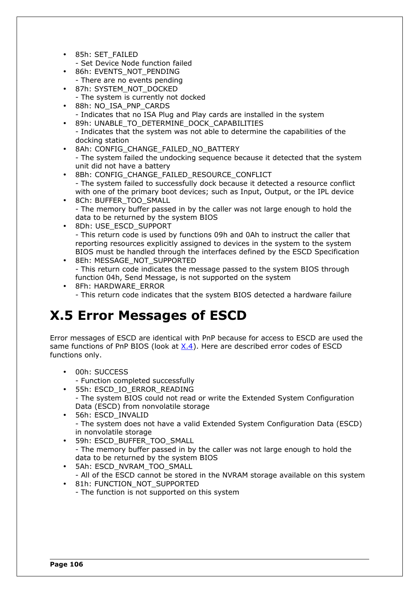• 85h: SET\_FAILED

- Set Device Node function failed

- 86h: EVENTS\_NOT\_PENDING - There are no events pending
- 87h: SYSTEM\_NOT\_DOCKED - The system is currently not docked
- 88h: NO\_ISA\_PNP\_CARDS - Indicates that no ISA Plug and Play cards are installed in the system
- 89h: UNABLE\_TO\_DETERMINE\_DOCK\_CAPABILITIES
- Indicates that the system was not able to determine the capabilities of the docking station
- 8Ah: CONFIG\_CHANGE\_FAILED\_NO\_BATTERY - The system failed the undocking sequence because it detected that the system unit did not have a battery
- 8Bh: CONFIG\_CHANGE\_FAILED\_RESOURCE\_CONFLICT - The system failed to successfully dock because it detected a resource conflict with one of the primary boot devices; such as Input, Output, or the IPL device
- 8Ch: BUFFER\_TOO\_SMALL - The memory buffer passed in by the caller was not large enough to hold the data to be returned by the system BIOS
- 8Dh: USE\_ESCD\_SUPPORT - This return code is used by functions 09h and 0Ah to instruct the caller that reporting resources explicitly assigned to devices in the system to the system BIOS must be handled through the interfaces defined by the ESCD Specification
- 8Eh: MESSAGE\_NOT\_SUPPORTED - This return code indicates the message passed to the system BIOS through function 04h, Send Message, is not supported on the system
- 8Fh: HARDWARE\_ERROR - This return code indicates that the system BIOS detected a hardware failure

# **X.5 Error Messages of ESCD**

Error messages of ESCD are identical with PnP because for access to ESCD are used the same functions of PnP BIOS (look at  $X.4$ ). Here are described error codes of ESCD functions only.

- 00h: SUCCESS
- Function completed successfully
- 55h: ESCD\_IO\_ERROR\_READING - The system BIOS could not read or write the Extended System Configuration Data (ESCD) from nonvolatile storage
- 56h: ESCD\_INVALID - The system does not have a valid Extended System Configuration Data (ESCD) in nonvolatile storage
- 59h: ESCD\_BUFFER\_TOO\_SMALL - The memory buffer passed in by the caller was not large enough to hold the data to be returned by the system BIOS
- 5Ah: ESCD\_NVRAM\_TOO\_SMALL
- All of the ESCD cannot be stored in the NVRAM storage available on this system • 81h: FUNCTION\_NOT\_SUPPORTED
- The function is not supported on this system